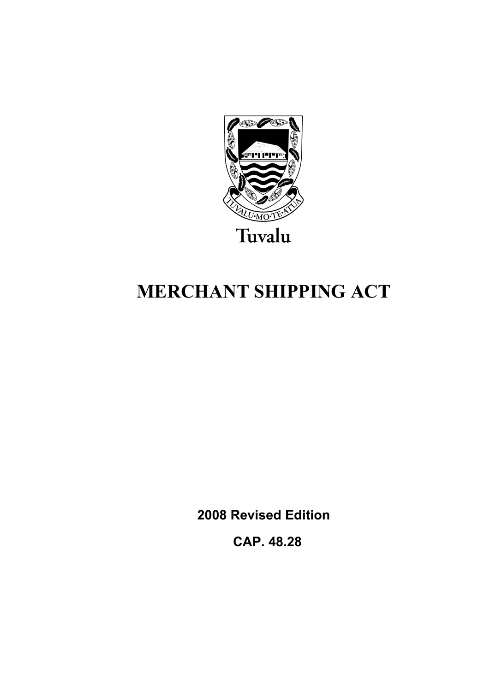

# **MERCHANT SHIPPING ACT**

**2008 Revised Edition** 

 **CAP. 48.28**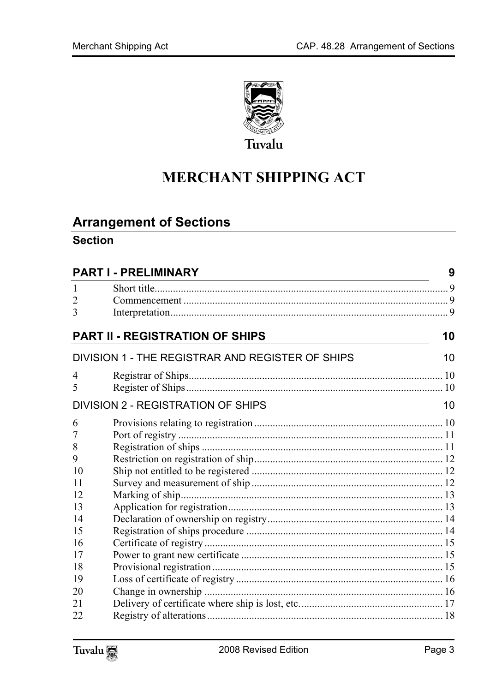

# **MERCHANT SHIPPING ACT**

# **Arrangement of Sections**

# **Section**

| <b>PART I - PRELIMINARY</b> |                                                  | 9  |
|-----------------------------|--------------------------------------------------|----|
|                             |                                                  |    |
| 2                           |                                                  |    |
| 3                           |                                                  |    |
|                             | <b>PART II - REGISTRATION OF SHIPS</b>           | 10 |
|                             | DIVISION 1 - THE REGISTRAR AND REGISTER OF SHIPS | 10 |
| 4                           |                                                  |    |
| 5                           |                                                  |    |
|                             | <b>DIVISION 2 - REGISTRATION OF SHIPS</b>        | 10 |
| 6                           |                                                  |    |
| $\overline{7}$              |                                                  |    |
| 8                           |                                                  |    |
| 9                           |                                                  |    |
| 10                          |                                                  |    |
| 11                          |                                                  |    |
| 12                          |                                                  |    |
| 13                          |                                                  |    |
| 14                          |                                                  |    |
| 15                          |                                                  |    |
| 16                          |                                                  |    |
| 17                          |                                                  |    |
| 18                          |                                                  |    |
| 19                          |                                                  |    |
| 20                          |                                                  |    |
| 21                          |                                                  |    |
| 22                          |                                                  |    |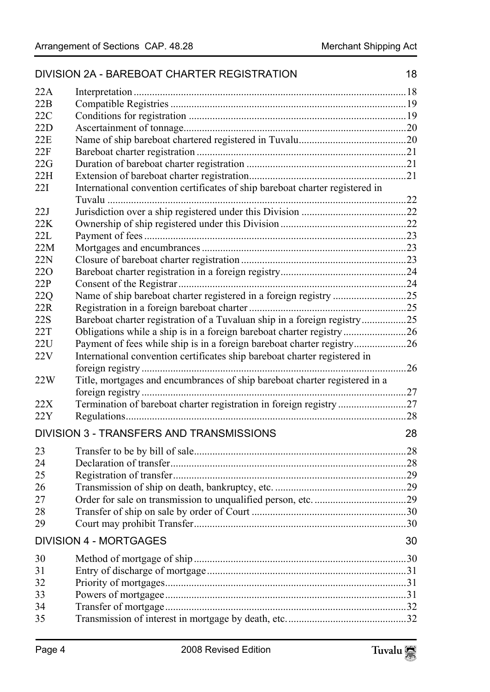|            | DIVISION 2A - BAREBOAT CHARTER REGISTRATION                                  | 18 |
|------------|------------------------------------------------------------------------------|----|
| 22A        |                                                                              |    |
| 22B        |                                                                              |    |
| 22C        |                                                                              |    |
| 22D        |                                                                              |    |
| 22E        |                                                                              |    |
| 22F        |                                                                              |    |
| 22G        |                                                                              |    |
| 22H        |                                                                              |    |
| 22I        | International convention certificates of ship bareboat charter registered in |    |
|            | Tuvalu                                                                       |    |
| 22J        |                                                                              |    |
| 22K        |                                                                              |    |
| 22L        |                                                                              |    |
| 22M        |                                                                              |    |
| 22N        |                                                                              |    |
| <b>220</b> |                                                                              |    |
| 22P        |                                                                              |    |
| 22Q        | Name of ship bareboat charter registered in a foreign registry 25            |    |
| 22R        |                                                                              |    |
| 22S        | Bareboat charter registration of a Tuvaluan ship in a foreign registry25     |    |
| 22T        |                                                                              |    |
| 22U        | Payment of fees while ship is in a foreign bareboat charter registry26       |    |
| 22V        | International convention certificates ship bareboat charter registered in    |    |
|            |                                                                              |    |
| 22W        | Title, mortgages and encumbrances of ship bareboat charter registered in a   |    |
| 22X        | Termination of bareboat charter registration in foreign registry27           |    |
| 22Y        |                                                                              |    |
|            | DIVISION 3 - TRANSFERS AND TRANSMISSIONS                                     | 28 |
|            |                                                                              |    |
| 23         |                                                                              |    |
| 24         |                                                                              |    |
| 25         |                                                                              |    |
| 26         |                                                                              |    |
| 27         |                                                                              |    |
| 28         |                                                                              |    |
| 29         |                                                                              |    |
|            | <b>DIVISION 4 - MORTGAGES</b>                                                | 30 |
| 30         |                                                                              |    |
| 31         |                                                                              |    |
| 32         |                                                                              |    |
| 33         |                                                                              |    |
| 34         |                                                                              |    |
| 35         |                                                                              |    |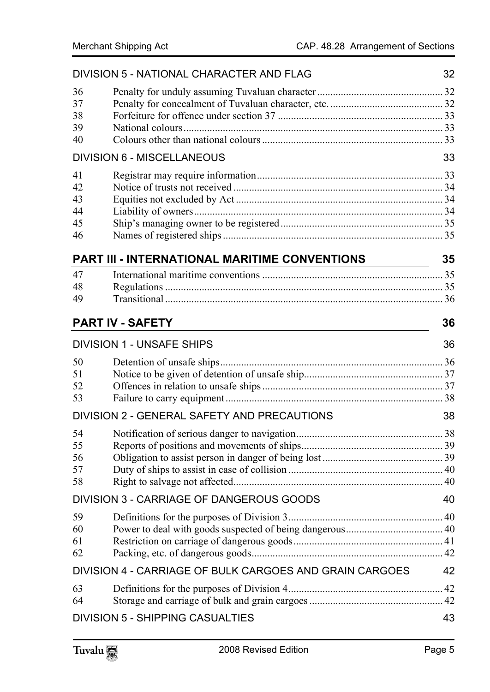|                                  | DIVISION 5 - NATIONAL CHARACTER AND FLAG                | 32 |
|----------------------------------|---------------------------------------------------------|----|
| 36<br>37<br>38<br>39<br>40       |                                                         |    |
|                                  | <b>DIVISION 6 - MISCELLANEOUS</b>                       | 33 |
| 41<br>42<br>43<br>44<br>45<br>46 |                                                         |    |
|                                  | <b>PART III - INTERNATIONAL MARITIME CONVENTIONS</b>    | 35 |
| 47<br>48<br>49                   |                                                         |    |
|                                  | <b>PART IV - SAFETY</b>                                 | 36 |
|                                  | <b>DIVISION 1 - UNSAFE SHIPS</b>                        | 36 |
| 50<br>51<br>52<br>53             |                                                         |    |
|                                  | DIVISION 2 - GENERAL SAFETY AND PRECAUTIONS             | 38 |
| 54<br>55<br>56<br>57<br>58       |                                                         |    |
|                                  | DIVISION 3 - CARRIAGE OF DANGEROUS GOODS                | 40 |
| 59<br>60<br>61<br>62             |                                                         |    |
|                                  | DIVISION 4 - CARRIAGE OF BULK CARGOES AND GRAIN CARGOES | 42 |
| 63<br>64                         |                                                         |    |
|                                  | <b>DIVISION 5 - SHIPPING CASUALTIES</b>                 | 43 |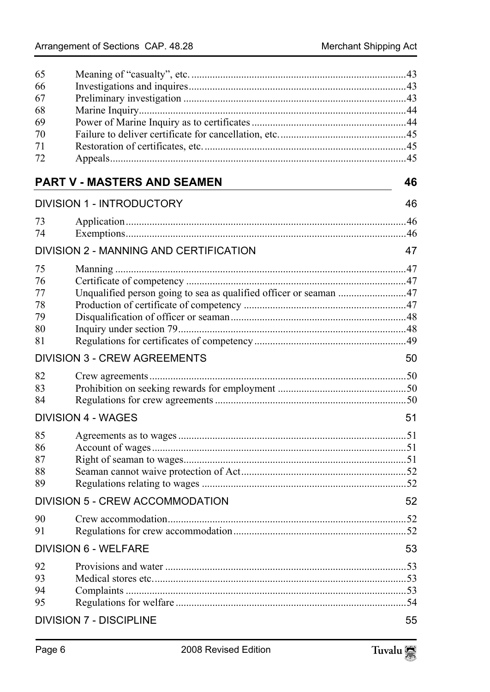| 65 |                                                                   |    |
|----|-------------------------------------------------------------------|----|
| 66 |                                                                   |    |
| 67 |                                                                   |    |
| 68 |                                                                   |    |
| 69 |                                                                   |    |
| 70 |                                                                   |    |
| 71 |                                                                   |    |
| 72 |                                                                   |    |
|    | <b>PART V - MASTERS AND SEAMEN</b>                                | 46 |
|    | <b>DIVISION 1 - INTRODUCTORY</b>                                  | 46 |
| 73 |                                                                   |    |
| 74 |                                                                   |    |
|    | DIVISION 2 - MANNING AND CERTIFICATION                            | 47 |
| 75 |                                                                   |    |
| 76 |                                                                   |    |
| 77 | Unqualified person going to sea as qualified officer or seaman 47 |    |
| 78 |                                                                   |    |
| 79 |                                                                   |    |
| 80 |                                                                   |    |
| 81 |                                                                   |    |
|    | <b>DIVISION 3 - CREW AGREEMENTS</b>                               | 50 |
| 82 |                                                                   |    |
| 83 |                                                                   |    |
| 84 |                                                                   |    |
|    | <b>DIVISION 4 - WAGES</b>                                         | 51 |
| 85 |                                                                   |    |
| 86 |                                                                   |    |
| 87 |                                                                   |    |
| 88 |                                                                   |    |
| 89 |                                                                   |    |
|    | <b>DIVISION 5 - CREW ACCOMMODATION</b>                            | 52 |
| 90 |                                                                   |    |
| 91 |                                                                   |    |
|    |                                                                   |    |
|    | <b>DIVISION 6 - WELFARE</b>                                       | 53 |
| 92 |                                                                   |    |
| 93 |                                                                   |    |
| 94 |                                                                   |    |
| 95 |                                                                   |    |
|    | <b>DIVISION 7 - DISCIPLINE</b>                                    | 55 |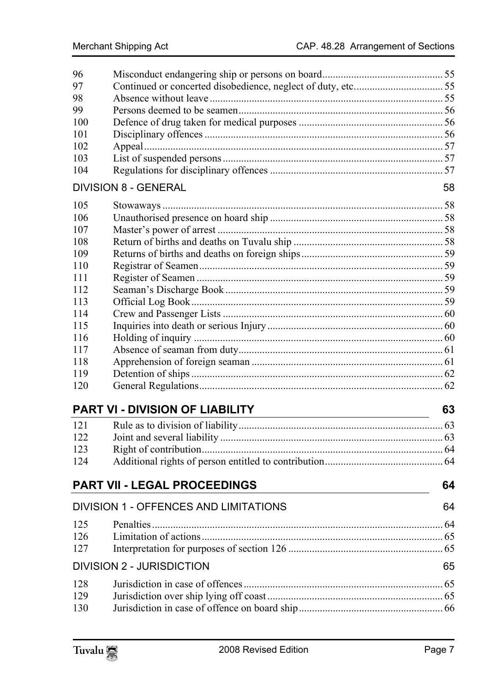| 96<br>97 |                                              |    |
|----------|----------------------------------------------|----|
| 98       |                                              |    |
| 99       |                                              |    |
| 100      |                                              |    |
| 101      |                                              |    |
| 102      |                                              |    |
| 103      |                                              |    |
| 104      |                                              |    |
|          | <b>DIVISION 8 - GENERAL</b>                  | 58 |
| 105      |                                              |    |
| 106      |                                              |    |
| 107      |                                              |    |
| 108      |                                              |    |
| 109      |                                              |    |
| 110      |                                              |    |
| 111      |                                              |    |
| 112      |                                              |    |
| 113      |                                              |    |
| 114      |                                              |    |
| 115      |                                              |    |
| 116      |                                              |    |
| 117      |                                              |    |
| 118      |                                              |    |
| 119      |                                              |    |
| 120      |                                              |    |
|          |                                              | 63 |
| 121      |                                              |    |
| 122      |                                              |    |
| 123      |                                              |    |
| 124      |                                              |    |
|          | <b>PART VII - LEGAL PROCEEDINGS</b>          | 64 |
|          | <b>DIVISION 1 - OFFENCES AND LIMITATIONS</b> | 64 |
| 125      |                                              | 64 |
| 126      |                                              |    |
| 127      |                                              |    |
|          |                                              |    |
|          | <b>DIVISION 2 - JURISDICTION</b>             | 65 |
| 128      |                                              |    |
| 129      |                                              |    |
| 130      |                                              |    |

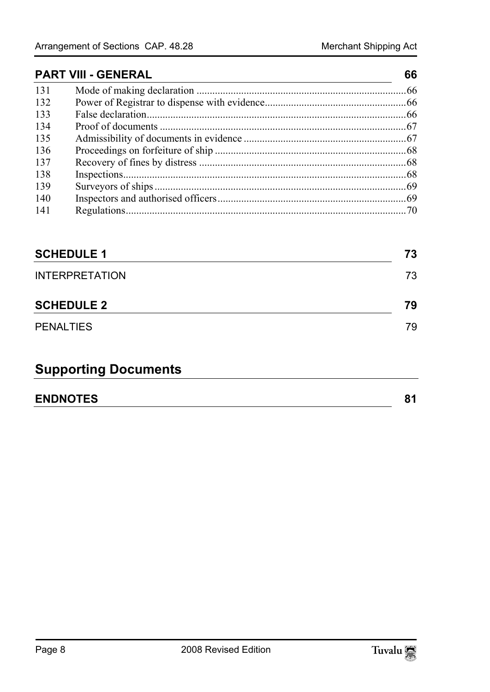# **PART VIII - [GENERAL 66](#page-66-1)** 131 Mod[e of making declaration ................................................................................66](#page-67-0) 132 Pow[er of Registrar to dispense with evidence......................................................66](#page-67-1) 133 Fals[e declaration...................................................................................................66](#page-67-2) 134 Proo[f of documents ..............................................................................................67](#page-68-0)

| 135 |  |
|-----|--|
| 136 |  |
| 137 |  |
| 138 |  |
| 139 |  |
| 140 |  |
| 141 |  |

| <b>SCHEDULE 1</b>     | 73 |
|-----------------------|----|
| <b>INTERPRETATION</b> | 73 |
| <b>SCHEDULE 2</b>     | 79 |
| <b>PENALTIES</b>      | 79 |

# **Supporting Documents**

| <b>ENDNOTES</b> |  |
|-----------------|--|
|                 |  |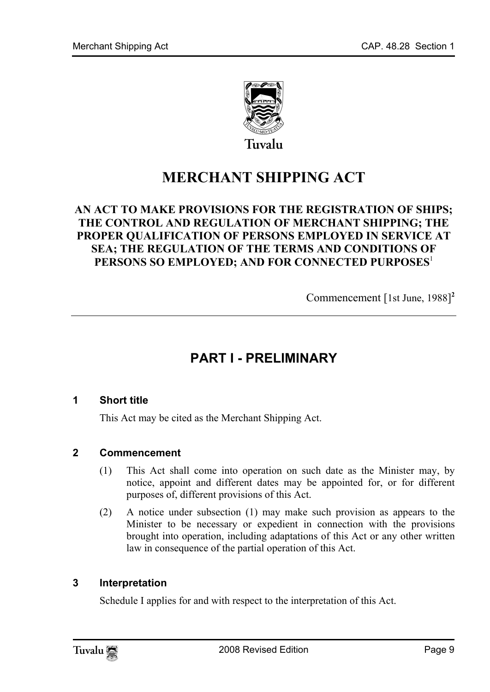

**MERCHANT SHIPPING ACT** 

# **AN ACT TO MAKE PROVISIONS FOR THE REGISTRATION OF SHIPS; THE CONTROL AND REGULATION OF MERCHANT SHIPPING; THE PROPER QUALIFICATION OF PERSONS EMPLOYED IN SERVICE AT SEA; THE REGULATION OF THE TERMS AND CONDITIONS OF PERSONS SO EMPLOYED; AND FOR CONNECTED PURPOSES**<sup>1</sup>

<span id="page-8-0"></span>Commencement [1st June, 1988] **2**

# <span id="page-8-1"></span>**PART I - PRELIMINARY**

#### **1 Short title**

This Act may be cited as the Merchant Shipping Act.

#### **2 Commencement**

- (1) This Act shall come into operation on such date as the Minister may, by notice, appoint and different dates may be appointed for, or for different purposes of, different provisions of this Act.
- (2) A notice under subsection (1) may make such provision as appears to the Minister to be necessary or expedient in connection with the provisions brought into operation, including adaptations of this Act or any other written law in consequence of the partial operation of this Act.

#### **3 Interpretation**

Schedule I applies for and with respect to the interpretation of this Act.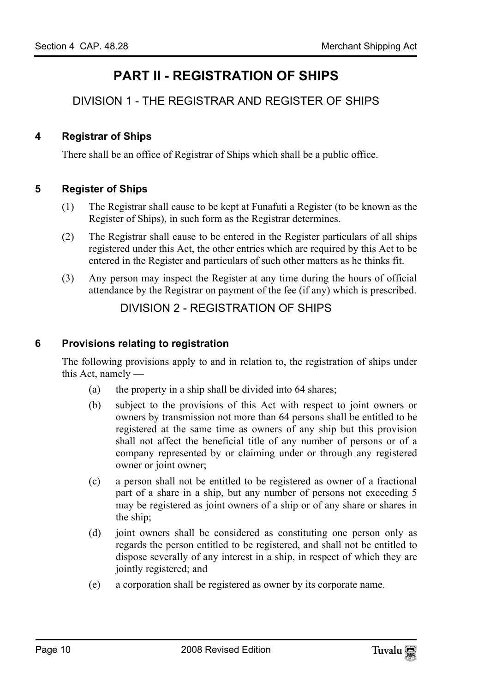# <span id="page-9-2"></span><span id="page-9-1"></span><span id="page-9-0"></span>**PART II - REGISTRATION OF SHIPS**

<span id="page-9-3"></span>DIVISION 1 - THE REGISTRAR AND REGISTER OF SHIPS

# **4 Registrar of Ships**

There shall be an office of Registrar of Ships which shall be a public office.

# **5 Register of Ships**

- (1) The Registrar shall cause to be kept at Funafuti a Register (to be known as the Register of Ships), in such form as the Registrar determines.
- (2) The Registrar shall cause to be entered in the Register particulars of all ships registered under this Act, the other entries which are required by this Act to be entered in the Register and particulars of such other matters as he thinks fit.
- <span id="page-9-5"></span>(3) Any person may inspect the Register at any time during the hours of official attendance by the Registrar on payment of the fee (if any) which is prescribed.

# <span id="page-9-4"></span>DIVISION 2 - REGISTRATION OF SHIPS

#### **6 Provisions relating to registration**

The following provisions apply to and in relation to, the registration of ships under this Act, namely —

- (a) the property in a ship shall be divided into 64 shares;
- (b) subject to the provisions of this Act with respect to joint owners or owners by transmission not more than 64 persons shall be entitled to be registered at the same time as owners of any ship but this provision shall not affect the beneficial title of any number of persons or of a company represented by or claiming under or through any registered owner or joint owner;
- (c) a person shall not be entitled to be registered as owner of a fractional part of a share in a ship, but any number of persons not exceeding 5 may be registered as joint owners of a ship or of any share or shares in the ship;
- (d) joint owners shall be considered as constituting one person only as regards the person entitled to be registered, and shall not be entitled to dispose severally of any interest in a ship, in respect of which they are jointly registered; and
- (e) a corporation shall be registered as owner by its corporate name.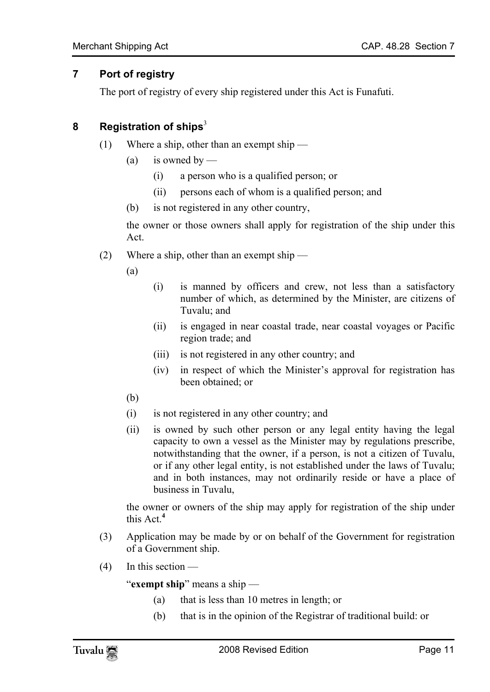# **7 Port of registry**

<span id="page-10-1"></span><span id="page-10-0"></span>The port of registry of every ship registered under this Act is Funafuti.

### **8 Registration of ships**<sup>3</sup>

- (1) Where a ship, other than an exempt ship
	- (a) is owned by
		- (i) a person who is a qualified person; or
		- (ii) persons each of whom is a qualified person; and
	- (b) is not registered in any other country,

the owner or those owners shall apply for registration of the ship under this Act.

(2) Where a ship, other than an exempt ship —

(a)

- (i) is manned by officers and crew, not less than a satisfactory number of which, as determined by the Minister, are citizens of Tuvalu; and
- (ii) is engaged in near coastal trade, near coastal voyages or Pacific region trade; and
- (iii) is not registered in any other country; and
- (iv) in respect of which the Minister's approval for registration has been obtained; or
- (b)
- (i) is not registered in any other country; and
- (ii) is owned by such other person or any legal entity having the legal capacity to own a vessel as the Minister may by regulations prescribe, notwithstanding that the owner, if a person, is not a citizen of Tuvalu, or if any other l[eg](#page-80-1)al entity, is not established under the laws of Tuvalu; and in both instances, may not ordinarily reside or have a place of business in Tuvalu,

the owner or owners of the ship may apply for registration of the ship under this Act.**<sup>4</sup>**

- (3) Application may be made by or on behalf of the Government for registration of a Government ship.
- (4) In this section —

"**exempt ship**" means a ship —

- (a) that is less than 10 metres in length; or
- (b) that is in the opinion of the Registrar of traditional build: or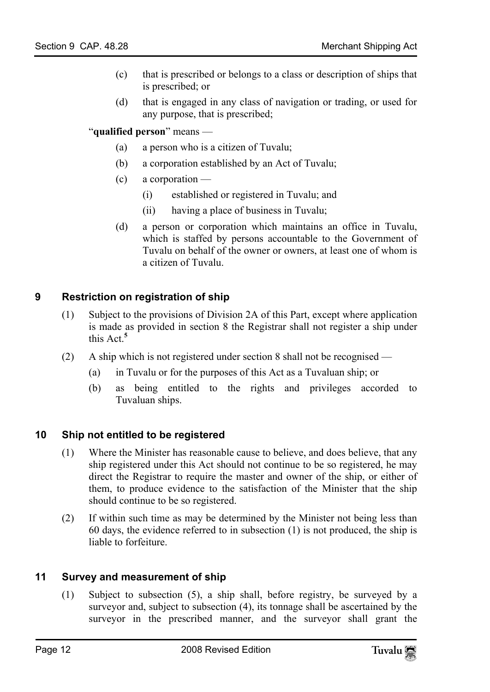- (c) that is prescribed or belongs to a class or description of ships that is prescribed; or
- (d) that is engaged in any class of navigation or trading, or used for any purpose, that is prescribed;

"**qualified person**" means —

- (a) a person who is a citizen of Tuvalu;
- (b) a corporation established by an Act of Tuvalu;
- (c) a corporation
	- (i) established or registered in Tuvalu; and
	- (ii) having a place of business in Tuvalu;
- <span id="page-11-0"></span>(d) a person or corporation which maintains an office in Tuvalu, which is staffed by persons accountable to the Government of Tuvalu on behalf of the owner or owners, at least one of whom is a citizen of Tuvalu.

# **9 Restriction on registration of ship**

- (1) Subject to the provisions of Division 2A of this Part, except where application is made as provided in section 8 the Registrar shall not register a ship under this Act.**<sup>5</sup>**
- <span id="page-11-1"></span>(2) A ship which is not registered under section 8 shall not be recognised —
	- (a) in Tuvalu or for the purposes of this Act as a Tuvaluan ship; or
	- (b) as being entitled to the rights and privileges accorded to Tuvaluan ships.

# **10 Ship not entitled to be registered**

- (1) Where the Minister has reasonable cause to believe, and does believe, that any ship registered under this Act should not continue to be so registered, he may direct the Registrar to require the master and owner of the ship, or either of them, to produce evidence to the satisfaction of the Minister that the ship should continue to be so registered.
- <span id="page-11-2"></span>(2) If within such time as may be determined by the Minister not being less than 60 days, the evidence referred to in subsection (1) is not produced, the ship is liable to forfeiture.

# **11 Survey and measurement of ship**

(1) Subject to subsection (5), a ship shall, before registry, be surveyed by a surveyor and, subject to subsection (4), its tonnage shall be ascertained by the surveyor in the prescribed manner, and the surveyor shall grant the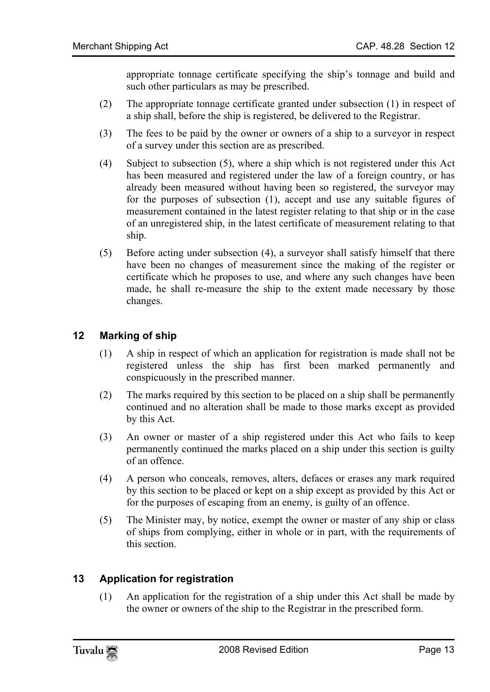appropriate tonnage certificate specifying the ship's tonnage and build and such other particulars as may be prescribed.

- (2) The appropriate tonnage certificate granted under subsection (1) in respect of a ship shall, before the ship is registered, be delivered to the Registrar.
- (3) The fees to be paid by the owner or owners of a ship to a surveyor in respect of a survey under this section are as prescribed.
- (4) Subject to subsection (5), where a ship which is not registered under this Act has been measured and registered under the law of a foreign country, or has already been measured without having been so registered, the surveyor may for the purposes of subsection (1), accept and use any suitable figures of measurement contained in the latest register relating to that ship or in the case of an unregistered ship, in the latest certificate of measurement relating to that ship.
- <span id="page-12-0"></span>(5) Before acting under subsection (4), a surveyor shall satisfy himself that there have been no changes of measurement since the making of the register or certificate which he proposes to use, and where any such changes have been made, he shall re-measure the ship to the extent made necessary by those changes.

# **12 Marking of ship**

- (1) A ship in respect of which an application for registration is made shall not be registered unless the ship has first been marked permanently and conspicuously in the prescribed manner.
- (2) The marks required by this section to be placed on a ship shall be permanently continued and no alteration shall be made to those marks except as provided by this Act.
- (3) An owner or master of a ship registered under this Act who fails to keep permanently continued the marks placed on a ship under this section is guilty of an offence.
- (4) A person who conceals, removes, alters, defaces or erases any mark required by this section to be placed or kept on a ship except as provided by this Act or for the purposes of escaping from an enemy, is guilty of an offence.
- <span id="page-12-1"></span>(5) The Minister may, by notice, exempt the owner or master of any ship or class of ships from complying, either in whole or in part, with the requirements of this section.

# **13 Application for registration**

(1) An application for the registration of a ship under this Act shall be made by the owner or owners of the ship to the Registrar in the prescribed form.

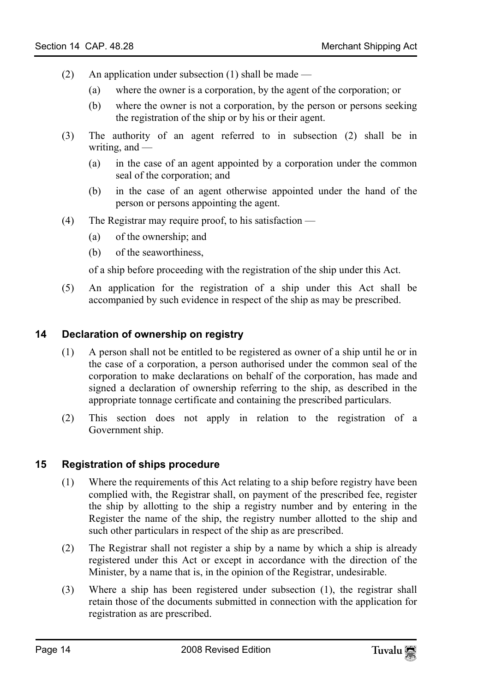- (2) An application under subsection (1) shall be made
	- (a) where the owner is a corporation, by the agent of the corporation; or
	- (b) where the owner is not a corporation, by the person or persons seeking the registration of the ship or by his or their agent.
- (3) The authority of an agent referred to in subsection (2) shall be in writing, and —
	- (a) in the case of an agent appointed by a corporation under the common seal of the corporation; and
	- (b) in the case of an agent otherwise appointed under the hand of the person or persons appointing the agent.
- (4) The Registrar may require proof, to his satisfaction
	- (a) of the ownership; and
	- (b) of the seaworthiness,

<span id="page-13-0"></span>of a ship before proceeding with the registration of the ship under this Act.

(5) An application for the registration of a ship under this Act shall be accompanied by such evidence in respect of the ship as may be prescribed.

#### **14 Declaration of ownership on registry**

- (1) A person shall not be entitled to be registered as owner of a ship until he or in the case of a corporation, a person authorised under the common seal of the corporation to make declarations on behalf of the corporation, has made and signed a declaration of ownership referring to the ship, as described in the appropriate tonnage certificate and containing the prescribed particulars.
- <span id="page-13-1"></span>(2) This section does not apply in relation to the registration of a Government ship.

# **15 Registration of ships procedure**

- (1) Where the requirements of this Act relating to a ship before registry have been complied with, the Registrar shall, on payment of the prescribed fee, register the ship by allotting to the ship a registry number and by entering in the Register the name of the ship, the registry number allotted to the ship and such other particulars in respect of the ship as are prescribed.
- (2) The Registrar shall not register a ship by a name by which a ship is already registered under this Act or except in accordance with the direction of the Minister, by a name that is, in the opinion of the Registrar, undesirable.
- (3) Where a ship has been registered under subsection (1), the registrar shall retain those of the documents submitted in connection with the application for registration as are prescribed.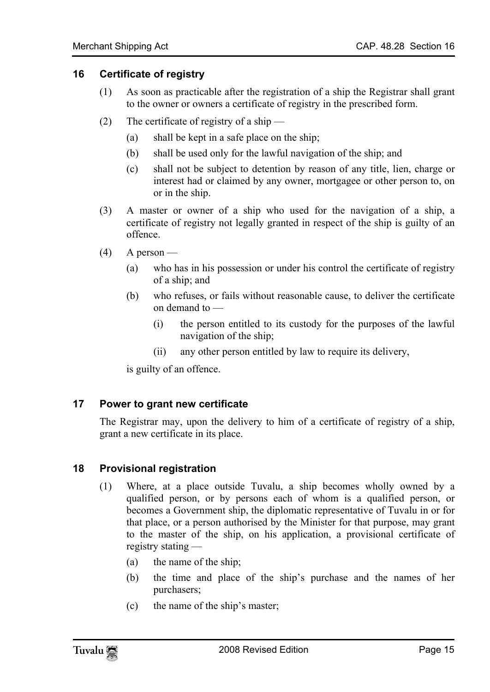#### **16 Certificate of registry**

- <span id="page-14-0"></span>(1) As soon as practicable after the registration of a ship the Registrar shall grant to the owner or owners a certificate of registry in the prescribed form.
- (2) The certificate of registry of a ship
	- (a) shall be kept in a safe place on the ship;
	- (b) shall be used only for the lawful navigation of the ship; and
	- (c) shall not be subject to detention by reason of any title, lien, charge or interest had or claimed by any owner, mortgagee or other person to, on or in the ship.
- (3) A master or owner of a ship who used for the navigation of a ship, a certificate of registry not legally granted in respect of the ship is guilty of an offence.
- $(4)$  A person
	- (a) who has in his possession or under his control the certificate of registry of a ship; and
	- (b) who refuses, or fails without reasonable cause, to deliver the certificate on demand to —
		- (i) the person entitled to its custody for the purposes of the lawful navigation of the ship;
		- (ii) any other person entitled by law to require its delivery,

<span id="page-14-2"></span><span id="page-14-1"></span>is guilty of an offence.

#### **17 Power to grant new certificate**

The Registrar may, upon the delivery to him of a certificate of registry of a ship, grant a new certificate in its place.

#### **18 Provisional registration**

- (1) Where, at a place outside Tuvalu, a ship becomes wholly owned by a qualified person, or by persons each of whom is a qualified person, or becomes a Government ship, the diplomatic representative of Tuvalu in or for that place, or a person authorised by the Minister for that purpose, may grant to the master of the ship, on his application, a provisional certificate of registry stating —
	- (a) the name of the ship;
	- (b) the time and place of the ship's purchase and the names of her purchasers;
	- (c) the name of the ship's master;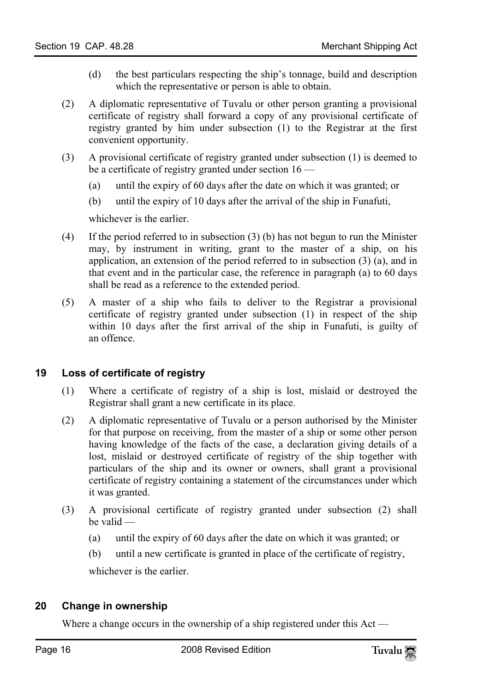- (d) the best particulars respecting the ship's tonnage, build and description which the representative or person is able to obtain.
- (2) A diplomatic representative of Tuvalu or other person granting a provisional certificate of registry shall forward a copy of any provisional certificate of registry granted by him under subsection (1) to the Registrar at the first convenient opportunity.
- (3) A provisional certificate of registry granted under subsection (1) is deemed to be a certificate of registry granted under section 16 —
	- (a) until the expiry of 60 days after the date on which it was granted; or
	- (b) until the expiry of 10 days after the arrival of the ship in Funafuti,

whichever is the earlier.

- (4) If the period referred to in subsection (3) (b) has not begun to run the Minister may, by instrument in writing, grant to the master of a ship, on his application, an extension of the period referred to in subsection  $(3)$   $(a)$ , and in that event and in the particular case, the reference in paragraph (a) to 60 days shall be read as a reference to the extended period.
- <span id="page-15-0"></span>(5) A master of a ship who fails to deliver to the Registrar a provisional certificate of registry granted under subsection (1) in respect of the ship within 10 days after the first arrival of the ship in Funafuti, is guilty of an offence.

# **19 Loss of certificate of registry**

- (1) Where a certificate of registry of a ship is lost, mislaid or destroyed the Registrar shall grant a new certificate in its place.
- (2) A diplomatic representative of Tuvalu or a person authorised by the Minister for that purpose on receiving, from the master of a ship or some other person having knowledge of the facts of the case, a declaration giving details of a lost, mislaid or destroyed certificate of registry of the ship together with particulars of the ship and its owner or owners, shall grant a provisional certificate of registry containing a statement of the circumstances under which it was granted.
- (3) A provisional certificate of registry granted under subsection (2) shall be valid —
	- (a) until the expiry of 60 days after the date on which it was granted; or
	- (b) until a new certificate is granted in place of the certificate of registry,

<span id="page-15-1"></span>whichever is the earlier.

# **20 Change in ownership**

Where a change occurs in the ownership of a ship registered under this Act —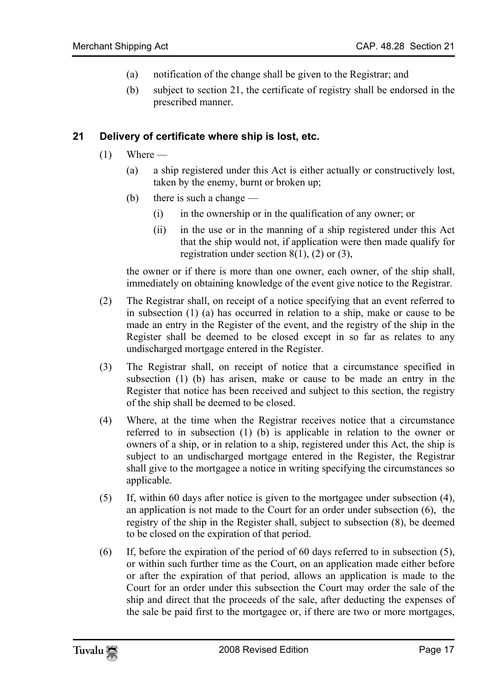- <span id="page-16-0"></span>(a) notification of the change shall be given to the Registrar; and
- (b) subject to section 21, the certificate of registry shall be endorsed in the prescribed manner.

#### **21 Delivery of certificate where ship is lost, etc.**

- $(1)$  Where
	- (a) a ship registered under this Act is either actually or constructively lost, taken by the enemy, burnt or broken up;
	- (b) there is such a change
		- (i) in the ownership or in the qualification of any owner; or
		- (ii) in the use or in the manning of a ship registered under this Act that the ship would not, if application were then made qualify for registration under section  $8(1)$ ,  $(2)$  or  $(3)$ ,

the owner or if there is more than one owner, each owner, of the ship shall, immediately on obtaining knowledge of the event give notice to the Registrar.

- (2) The Registrar shall, on receipt of a notice specifying that an event referred to in subsection (1) (a) has occurred in relation to a ship, make or cause to be made an entry in the Register of the event, and the registry of the ship in the Register shall be deemed to be closed except in so far as relates to any undischarged mortgage entered in the Register.
- (3) The Registrar shall, on receipt of notice that a circumstance specified in subsection (1) (b) has arisen, make or cause to be made an entry in the Register that notice has been received and subject to this section, the registry of the ship shall be deemed to be closed.
- (4) Where, at the time when the Registrar receives notice that a circumstance referred to in subsection (1) (b) is applicable in relation to the owner or owners of a ship, or in relation to a ship, registered under this Act, the ship is subject to an undischarged mortgage entered in the Register, the Registrar shall give to the mortgagee a notice in writing specifying the circumstances so applicable.
- (5) If, within 60 days after notice is given to the mortgagee under subsection (4), an application is not made to the Court for an order under subsection (6), the registry of the ship in the Register shall, subject to subsection (8), be deemed to be closed on the expiration of that period.
- (6) If, before the expiration of the period of 60 days referred to in subsection (5), or within such further time as the Court, on an application made either before or after the expiration of that period, allows an application is made to the Court for an order under this subsection the Court may order the sale of the ship and direct that the proceeds of the sale, after deducting the expenses of the sale be paid first to the mortgagee or, if there are two or more mortgages,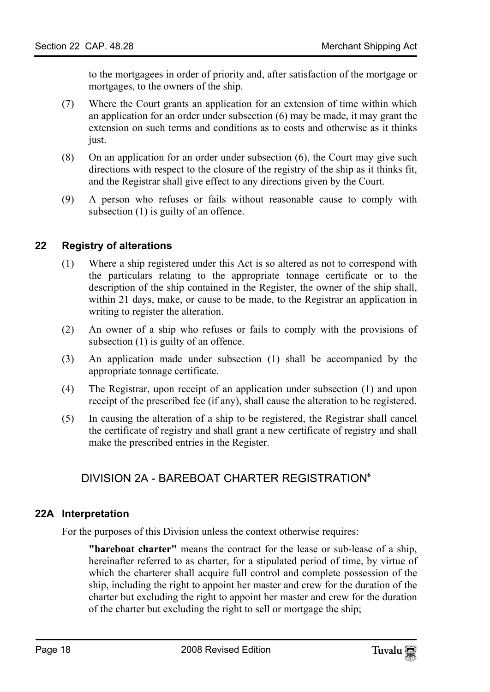to the mortgagees in order of priority and, after satisfaction of the mortgage or mortgages, to the owners of the ship.

- (7) Where the Court grants an application for an extension of time within which an application for an order under subsection (6) may be made, it may grant the extension on such terms and conditions as to costs and otherwise as it thinks just.
- (8) On an application for an order under subsection (6), the Court may give such directions with respect to the closure of the registry of the ship as it thinks fit, and the Registrar shall give effect to any directions given by the Court.
- <span id="page-17-0"></span>(9) A person who refuses or fails without reasonable cause to comply with subsection (1) is guilty of an offence.

# **22 Registry of alterations**

- (1) Where a ship registered under this Act is so altered as not to correspond with the particulars relating to the appropriate tonnage certificate or to the description of the ship contained in the Register, the owner of the ship shall, within 21 days, make, or cause to be made, to the Registrar an application in writing to register the alteration.
- (2) An owner of a ship who refuses or fails to comply with the provisions of subsection (1) is guilty of an offence.
- (3) An application made under subsection (1) shall be accompanied by the appropriate tonnage certificate.
- (4) The Registrar, upon receipt of an application under subsection (1) and upon receipt of the prescribed fee (if any), shall cause the alteration to be registered.
- (5) In causing the alteration of a ship to be registered, the Registrar shall cancel the certificate of registry and shall grant a new certificate of registry and shall make the prescribed entries in the Register.

# DIVISION 2A - BAREBOAT CHARTER REGISTRATION**<sup>6</sup>**

#### **22A Interpretation**

For the purposes of this Division unless the context otherwise requires:

**"bareboat charter"** means the contract for the lease or sub-lease of a ship, hereinafter referred to as charter, for a stipulated period of time, by virtue of which the charterer shall acquire full control and complete possession of the ship, including the right to appoint her master and crew for the duration of the charter but excluding the right to appoint her master and crew for the duration of the charter but excluding the right to sell or mortgage the ship;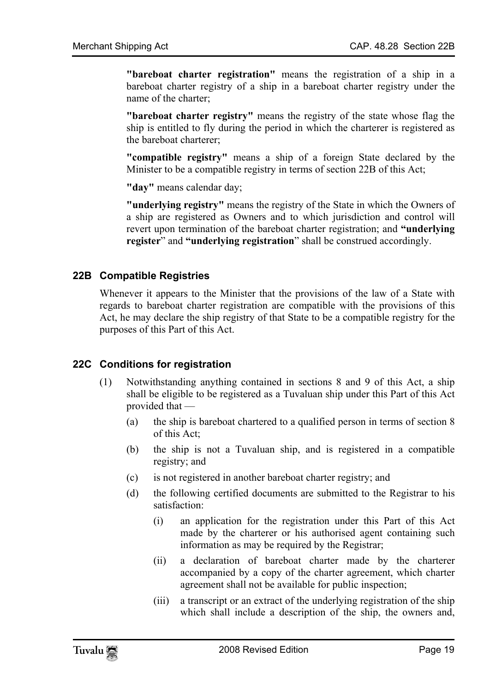**"bareboat charter registration"** means the registration of a ship in a bareboat charter registry of a ship in a bareboat charter registry under the name of the charter;

**"bareboat charter registry"** means the registry of the state whose flag the ship is entitled to fly during the period in which the charterer is registered as the bareboat charterer;

**"compatible registry"** means a ship of a foreign State declared by the Minister to be a compatible registry in terms of section 22B of this Act;

**"day"** means calendar day;

<span id="page-18-0"></span>**"underlying registry"** means the registry of the State in which the Owners of a ship are registered as Owners and to which jurisdiction and control will revert upon termination of the bareboat charter registration; and **"underlying register**" and **"underlying registration**" shall be construed accordingly.

#### **22B Compatible Registries**

<span id="page-18-1"></span>Whenever it appears to the Minister that the provisions of the law of a State with regards to bareboat charter registration are compatible with the provisions of this Act, he may declare the ship registry of that State to be a compatible registry for the purposes of this Part of this Act.

# **22C Conditions for registration**

- (1) Notwithstanding anything contained in sections 8 and 9 of this Act, a ship shall be eligible to be registered as a Tuvaluan ship under this Part of this Act provided that —
	- (a) the ship is bareboat chartered to a qualified person in terms of section 8 of this Act;
	- (b) the ship is not a Tuvaluan ship, and is registered in a compatible registry; and
	- (c) is not registered in another bareboat charter registry; and
	- (d) the following certified documents are submitted to the Registrar to his satisfaction:
		- (i) an application for the registration under this Part of this Act made by the charterer or his authorised agent containing such information as may be required by the Registrar;
		- (ii) a declaration of bareboat charter made by the charterer accompanied by a copy of the charter agreement, which charter agreement shall not be available for public inspection;
		- (iii) a transcript or an extract of the underlying registration of the ship which shall include a description of the ship, the owners and,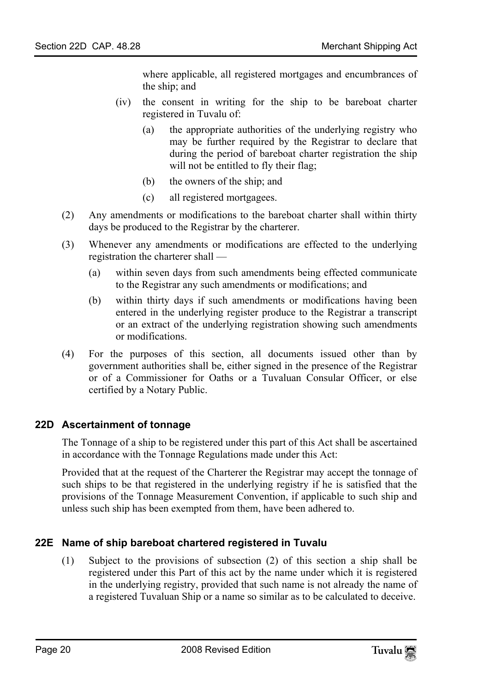where applicable, all registered mortgages and encumbrances of the ship; and

- (iv) the consent in writing for the ship to be bareboat charter registered in Tuvalu of:
	- (a) the appropriate authorities of the underlying registry who may be further required by the Registrar to declare that during the period of bareboat charter registration the ship will not be entitled to fly their flag;
	- (b) the owners of the ship; and
	- (c) all registered mortgagees.
- (2) Any amendments or modifications to the bareboat charter shall within thirty days be produced to the Registrar by the charterer.
- (3) Whenever any amendments or modifications are effected to the underlying registration the charterer shall —
	- (a) within seven days from such amendments being effected communicate to the Registrar any such amendments or modifications; and
	- (b) within thirty days if such amendments or modifications having been entered in the underlying register produce to the Registrar a transcript or an extract of the underlying registration showing such amendments or modifications.
- <span id="page-19-0"></span>(4) For the purposes of this section, all documents issued other than by government authorities shall be, either signed in the presence of the Registrar or of a Commissioner for Oaths or a Tuvaluan Consular Officer, or else certified by a Notary Public.

#### **22D Ascertainment of tonnage**

The Tonnage of a ship to be registered under this part of this Act shall be ascertained in accordance with the Tonnage Regulations made under this Act:

<span id="page-19-1"></span>Provided that at the request of the Charterer the Registrar may accept the tonnage of such ships to be that registered in the underlying registry if he is satisfied that the provisions of the Tonnage Measurement Convention, if applicable to such ship and unless such ship has been exempted from them, have been adhered to.

# **22E Name of ship bareboat chartered registered in Tuvalu**

(1) Subject to the provisions of subsection (2) of this section a ship shall be registered under this Part of this act by the name under which it is registered in the underlying registry, provided that such name is not already the name of a registered Tuvaluan Ship or a name so similar as to be calculated to deceive.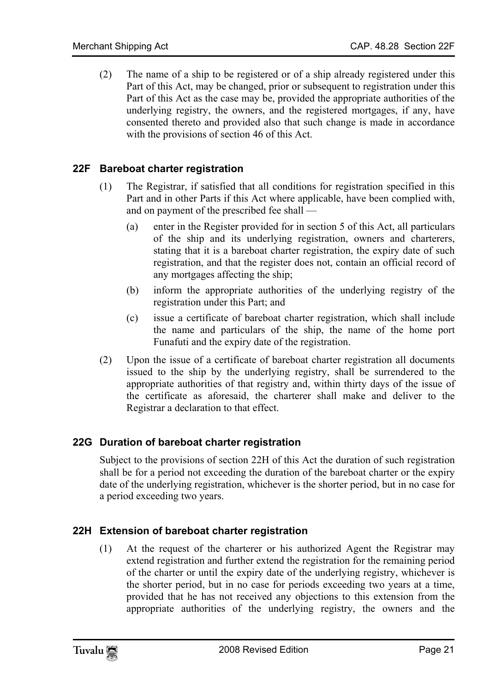<span id="page-20-0"></span>(2) The name of a ship to be registered or of a ship already registered under this Part of this Act, may be changed, prior or subsequent to registration under this Part of this Act as the case may be, provided the appropriate authorities of the underlying registry, the owners, and the registered mortgages, if any, have consented thereto and provided also that such change is made in accordance with the provisions of section 46 of this Act.

# **22F Bareboat charter registration**

- (1) The Registrar, if satisfied that all conditions for registration specified in this Part and in other Parts if this Act where applicable, have been complied with, and on payment of the prescribed fee shall —
	- (a) enter in the Register provided for in section 5 of this Act, all particulars of the ship and its underlying registration, owners and charterers, stating that it is a bareboat charter registration, the expiry date of such registration, and that the register does not, contain an official record of any mortgages affecting the ship;
	- (b) inform the appropriate authorities of the underlying registry of the registration under this Part; and
	- (c) issue a certificate of bareboat charter registration, which shall include the name and particulars of the ship, the name of the home port Funafuti and the expiry date of the registration.
- <span id="page-20-1"></span>(2) Upon the issue of a certificate of bareboat charter registration all documents issued to the ship by the underlying registry, shall be surrendered to the appropriate authorities of that registry and, within thirty days of the issue of the certificate as aforesaid, the charterer shall make and deliver to the Registrar a declaration to that effect.

# **22G Duration of bareboat charter registration**

<span id="page-20-2"></span>Subject to the provisions of section 22H of this Act the duration of such registration shall be for a period not exceeding the duration of the bareboat charter or the expiry date of the underlying registration, whichever is the shorter period, but in no case for a period exceeding two years.

# **22H Extension of bareboat charter registration**

(1) At the request of the charterer or his authorized Agent the Registrar may extend registration and further extend the registration for the remaining period of the charter or until the expiry date of the underlying registry, whichever is the shorter period, but in no case for periods exceeding two years at a time, provided that he has not received any objections to this extension from the appropriate authorities of the underlying registry, the owners and the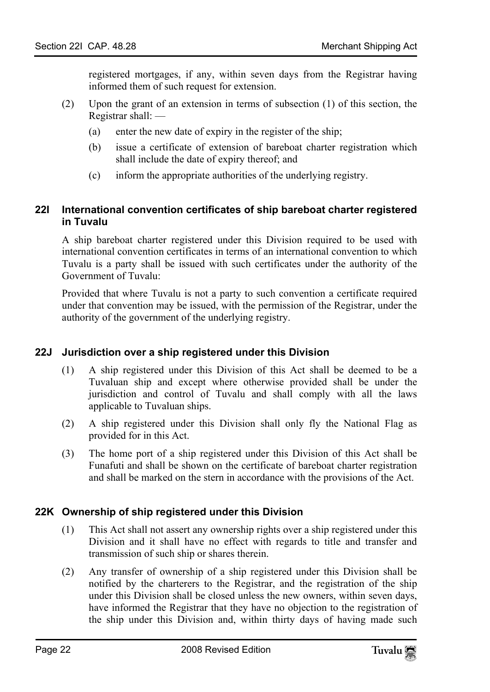registered mortgages, if any, within seven days from the Registrar having informed them of such request for extension.

- <span id="page-21-0"></span>(2) Upon the grant of an extension in terms of subsection (1) of this section, the Registrar shall: —
	- (a) enter the new date of expiry in the register of the ship;
	- (b) issue a certificate of extension of bareboat charter registration which shall include the date of expiry thereof; and
	- (c) inform the appropriate authorities of the underlying registry.

#### **22I International convention certificates of ship bareboat charter registered in Tuvalu**

A ship bareboat charter registered under this Division required to be used with international convention certificates in terms of an international convention to which Tuvalu is a party shall be issued with such certificates under the authority of the Government of Tuvalu:

<span id="page-21-1"></span>Provided that where Tuvalu is not a party to such convention a certificate required under that convention may be issued, with the permission of the Registrar, under the authority of the government of the underlying registry.

#### **22J Jurisdiction over a ship registered under this Division**

- (1) A ship registered under this Division of this Act shall be deemed to be a Tuvaluan ship and except where otherwise provided shall be under the jurisdiction and control of Tuvalu and shall comply with all the laws applicable to Tuvaluan ships.
- (2) A ship registered under this Division shall only fly the National Flag as provided for in this Act.
- <span id="page-21-2"></span>(3) The home port of a ship registered under this Division of this Act shall be Funafuti and shall be shown on the certificate of bareboat charter registration and shall be marked on the stern in accordance with the provisions of the Act.

#### **22K Ownership of ship registered under this Division**

- (1) This Act shall not assert any ownership rights over a ship registered under this Division and it shall have no effect with regards to title and transfer and transmission of such ship or shares therein.
- (2) Any transfer of ownership of a ship registered under this Division shall be notified by the charterers to the Registrar, and the registration of the ship under this Division shall be closed unless the new owners, within seven days, have informed the Registrar that they have no objection to the registration of the ship under this Division and, within thirty days of having made such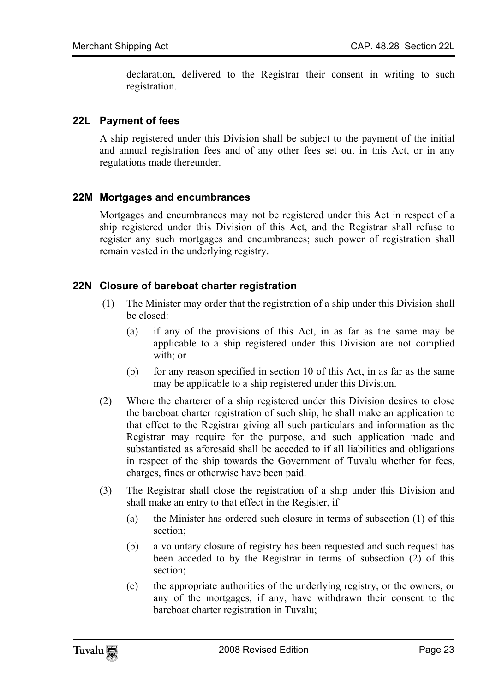<span id="page-22-0"></span>declaration, delivered to the Registrar their consent in writing to such registration.

#### **22L Payment of fees**

<span id="page-22-1"></span>A ship registered under this Division shall be subject to the payment of the initial and annual registration fees and of any other fees set out in this Act, or in any regulations made thereunder.

#### **22M Mortgages and encumbrances**

<span id="page-22-2"></span>Mortgages and encumbrances may not be registered under this Act in respect of a ship registered under this Division of this Act, and the Registrar shall refuse to register any such mortgages and encumbrances; such power of registration shall remain vested in the underlying registry.

#### **22N Closure of bareboat charter registration**

- (1) The Minister may order that the registration of a ship under this Division shall be closed: —
	- (a) if any of the provisions of this Act, in as far as the same may be applicable to a ship registered under this Division are not complied with; or
	- (b) for any reason specified in section 10 of this Act, in as far as the same may be applicable to a ship registered under this Division.
- (2) Where the charterer of a ship registered under this Division desires to close the bareboat charter registration of such ship, he shall make an application to that effect to the Registrar giving all such particulars and information as the Registrar may require for the purpose, and such application made and substantiated as aforesaid shall be acceded to if all liabilities and obligations in respect of the ship towards the Government of Tuvalu whether for fees, charges, fines or otherwise have been paid.
- (3) The Registrar shall close the registration of a ship under this Division and shall make an entry to that effect in the Register, if —
	- (a) the Minister has ordered such closure in terms of subsection (1) of this section;
	- (b) a voluntary closure of registry has been requested and such request has been acceded to by the Registrar in terms of subsection (2) of this section;
	- (c) the appropriate authorities of the underlying registry, or the owners, or any of the mortgages, if any, have withdrawn their consent to the bareboat charter registration in Tuvalu;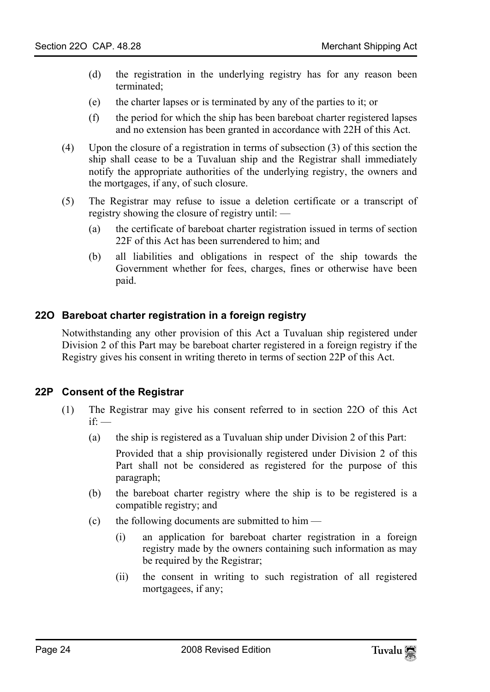- (d) the registration in the underlying registry has for any reason been terminated;
- (e) the charter lapses or is terminated by any of the parties to it; or
- (f) the period for which the ship has been bareboat charter registered lapses and no extension has been granted in accordance with 22H of this Act.
- (4) Upon the closure of a registration in terms of subsection (3) of this section the ship shall cease to be a Tuvaluan ship and the Registrar shall immediately notify the appropriate authorities of the underlying registry, the owners and the mortgages, if any, of such closure.
- <span id="page-23-0"></span>(5) The Registrar may refuse to issue a deletion certificate or a transcript of registry showing the closure of registry until: —
	- (a) the certificate of bareboat charter registration issued in terms of section 22F of this Act has been surrendered to him; and
	- (b) all liabilities and obligations in respect of the ship towards the Government whether for fees, charges, fines or otherwise have been paid.

#### **22O Bareboat charter registration in a foreign registry**

<span id="page-23-1"></span>Notwithstanding any other provision of this Act a Tuvaluan ship registered under Division 2 of this Part may be bareboat charter registered in a foreign registry if the Registry gives his consent in writing thereto in terms of section 22P of this Act.

#### **22P Consent of the Registrar**

- (1) The Registrar may give his consent referred to in section 22O of this Act  $if'$  —
	- (a) the ship is registered as a Tuvaluan ship under Division 2 of this Part:

 Provided that a ship provisionally registered under Division 2 of this Part shall not be considered as registered for the purpose of this paragraph;

- (b) the bareboat charter registry where the ship is to be registered is a compatible registry; and
- (c) the following documents are submitted to him  $-$ 
	- (i) an application for bareboat charter registration in a foreign registry made by the owners containing such information as may be required by the Registrar;
	- (ii) the consent in writing to such registration of all registered mortgagees, if any;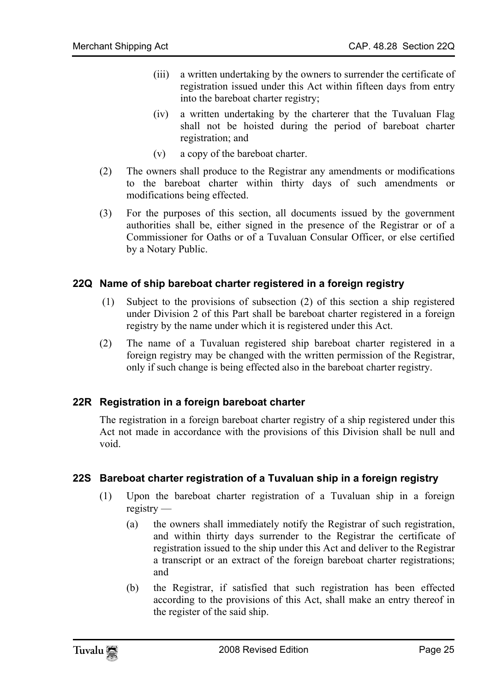- (iii) a written undertaking by the owners to surrender the certificate of registration issued under this Act within fifteen days from entry into the bareboat charter registry;
- (iv) a written undertaking by the charterer that the Tuvaluan Flag shall not be hoisted during the period of bareboat charter registration; and
- (v) a copy of the bareboat charter.
- (2) The owners shall produce to the Registrar any amendments or modifications to the bareboat charter within thirty days of such amendments or modifications being effected.
- <span id="page-24-0"></span>(3) For the purposes of this section, all documents issued by the government authorities shall be, either signed in the presence of the Registrar or of a Commissioner for Oaths or of a Tuvaluan Consular Officer, or else certified by a Notary Public.

#### **22Q Name of ship bareboat charter registered in a foreign registry**

- (1) Subject to the provisions of subsection (2) of this section a ship registered under Division 2 of this Part shall be bareboat charter registered in a foreign registry by the name under which it is registered under this Act.
- <span id="page-24-1"></span>(2) The name of a Tuvaluan registered ship bareboat charter registered in a foreign registry may be changed with the written permission of the Registrar, only if such change is being effected also in the bareboat charter registry.

#### **22R Registration in a foreign bareboat charter**

<span id="page-24-2"></span>The registration in a foreign bareboat charter registry of a ship registered under this Act not made in accordance with the provisions of this Division shall be null and void.

#### **22S Bareboat charter registration of a Tuvaluan ship in a foreign registry**

- (1) Upon the bareboat charter registration of a Tuvaluan ship in a foreign registry —
	- (a) the owners shall immediately notify the Registrar of such registration, and within thirty days surrender to the Registrar the certificate of registration issued to the ship under this Act and deliver to the Registrar a transcript or an extract of the foreign bareboat charter registrations; and
	- (b) the Registrar, if satisfied that such registration has been effected according to the provisions of this Act, shall make an entry thereof in the register of the said ship.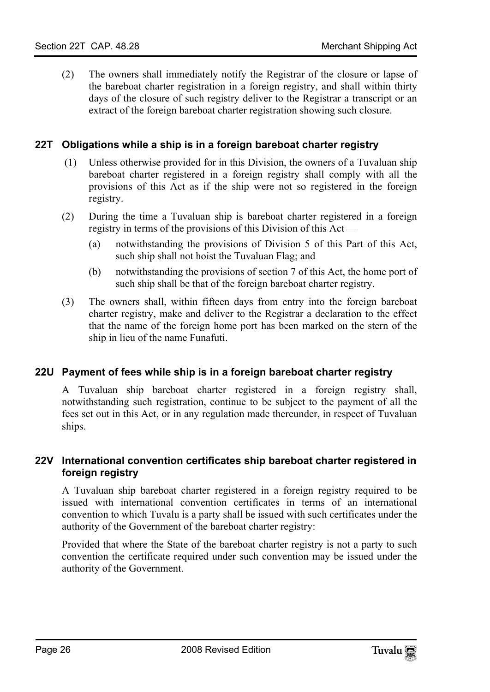<span id="page-25-0"></span>(2) The owners shall immediately notify the Registrar of the closure or lapse of the bareboat charter registration in a foreign registry, and shall within thirty days of the closure of such registry deliver to the Registrar a transcript or an extract of the foreign bareboat charter registration showing such closure.

### **22T Obligations while a ship is in a foreign bareboat charter registry**

- (1) Unless otherwise provided for in this Division, the owners of a Tuvaluan ship bareboat charter registered in a foreign registry shall comply with all the provisions of this Act as if the ship were not so registered in the foreign registry.
- (2) During the time a Tuvaluan ship is bareboat charter registered in a foreign registry in terms of the provisions of this Division of this Act —
	- (a) notwithstanding the provisions of Division 5 of this Part of this Act, such ship shall not hoist the Tuvaluan Flag; and
	- (b) notwithstanding the provisions of section 7 of this Act, the home port of such ship shall be that of the foreign bareboat charter registry.
- <span id="page-25-1"></span>(3) The owners shall, within fifteen days from entry into the foreign bareboat charter registry, make and deliver to the Registrar a declaration to the effect that the name of the foreign home port has been marked on the stern of the ship in lieu of the name Funafuti.

#### **22U Payment of fees while ship is in a foreign bareboat charter registry**

<span id="page-25-2"></span>A Tuvaluan ship bareboat charter registered in a foreign registry shall, notwithstanding such registration, continue to be subject to the payment of all the fees set out in this Act, or in any regulation made thereunder, in respect of Tuvaluan ships.

#### **22V International convention certificates ship bareboat charter registered in foreign registry**

A Tuvaluan ship bareboat charter registered in a foreign registry required to be issued with international convention certificates in terms of an international convention to which Tuvalu is a party shall be issued with such certificates under the authority of the Government of the bareboat charter registry:

Provided that where the State of the bareboat charter registry is not a party to such convention the certificate required under such convention may be issued under the authority of the Government.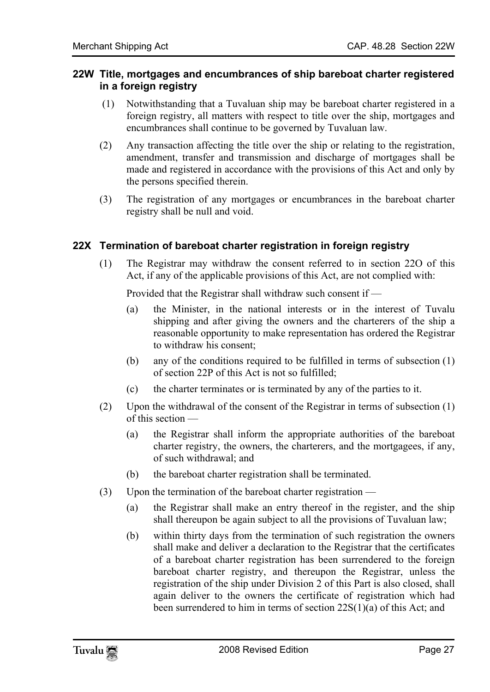#### <span id="page-26-0"></span>**22W Title, mortgages and encumbrances of ship bareboat charter registered in a foreign registry**

- (1) Notwithstanding that a Tuvaluan ship may be bareboat charter registered in a foreign registry, all matters with respect to title over the ship, mortgages and encumbrances shall continue to be governed by Tuvaluan law.
- (2) Any transaction affecting the title over the ship or relating to the registration, amendment, transfer and transmission and discharge of mortgages shall be made and registered in accordance with the provisions of this Act and only by the persons specified therein.
- <span id="page-26-1"></span>(3) The registration of any mortgages or encumbrances in the bareboat charter registry shall be null and void.

#### **22X Termination of bareboat charter registration in foreign registry**

(1) The Registrar may withdraw the consent referred to in section 22O of this Act, if any of the applicable provisions of this Act, are not complied with:

Provided that the Registrar shall withdraw such consent if —

- (a) the Minister, in the national interests or in the interest of Tuvalu shipping and after giving the owners and the charterers of the ship a reasonable opportunity to make representation has ordered the Registrar to withdraw his consent;
- (b) any of the conditions required to be fulfilled in terms of subsection (1) of section 22P of this Act is not so fulfilled;
- (c) the charter terminates or is terminated by any of the parties to it.
- (2) Upon the withdrawal of the consent of the Registrar in terms of subsection (1) of this section —
	- (a) the Registrar shall inform the appropriate authorities of the bareboat charter registry, the owners, the charterers, and the mortgagees, if any, of such withdrawal; and
	- (b) the bareboat charter registration shall be terminated.
- (3) Upon the termination of the bareboat charter registration
	- (a) the Registrar shall make an entry thereof in the register, and the ship shall thereupon be again subject to all the provisions of Tuvaluan law;
	- (b) within thirty days from the termination of such registration the owners shall make and deliver a declaration to the Registrar that the certificates of a bareboat charter registration has been surrendered to the foreign bareboat charter registry, and thereupon the Registrar, unless the registration of the ship under Division 2 of this Part is also closed, shall again deliver to the owners the certificate of registration which had been surrendered to him in terms of section 22S(1)(a) of this Act; and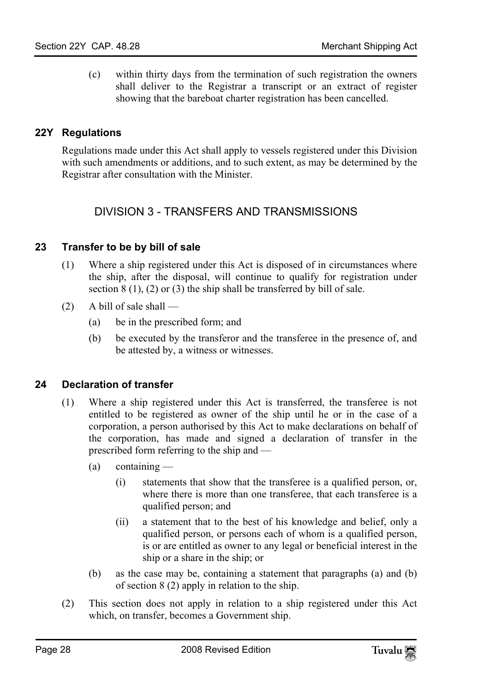<span id="page-27-0"></span>(c) within thirty days from the termination of such registration the owners shall deliver to the Registrar a transcript or an extract of register showing that the bareboat charter registration has been cancelled.

### **22Y Regulations**

Regulations made under this Act shall apply to vessels registered under this Division with such amendments or additions, and to such extent, as may be determined by the Registrar after consultation with the Minister.

# <span id="page-27-2"></span><span id="page-27-1"></span>DIVISION 3 - TRANSFERS AND TRANSMISSIONS

#### **23 Transfer to be by bill of sale**

- (1) Where a ship registered under this Act is disposed of in circumstances where the ship, after the disposal, will continue to qualify for registration under section  $8(1)$ ,  $(2)$  or  $(3)$  the ship shall be transferred by bill of sale.
- <span id="page-27-3"></span> $(2)$  A bill of sale shall —
	- (a) be in the prescribed form; and
	- (b) be executed by the transferor and the transferee in the presence of, and be attested by, a witness or witnesses.

#### **24 Declaration of transfer**

- (1) Where a ship registered under this Act is transferred, the transferee is not entitled to be registered as owner of the ship until he or in the case of a corporation, a person authorised by this Act to make declarations on behalf of the corporation, has made and signed a declaration of transfer in the prescribed form referring to the ship and —
	- $(a)$  containing
		- (i) statements that show that the transferee is a qualified person, or, where there is more than one transferee, that each transferee is a qualified person; and
		- (ii) a statement that to the best of his knowledge and belief, only a qualified person, or persons each of whom is a qualified person, is or are entitled as owner to any legal or beneficial interest in the ship or a share in the ship; or
	- (b) as the case may be, containing a statement that paragraphs (a) and (b) of section 8 (2) apply in relation to the ship.
- (2) This section does not apply in relation to a ship registered under this Act which, on transfer, becomes a Government ship.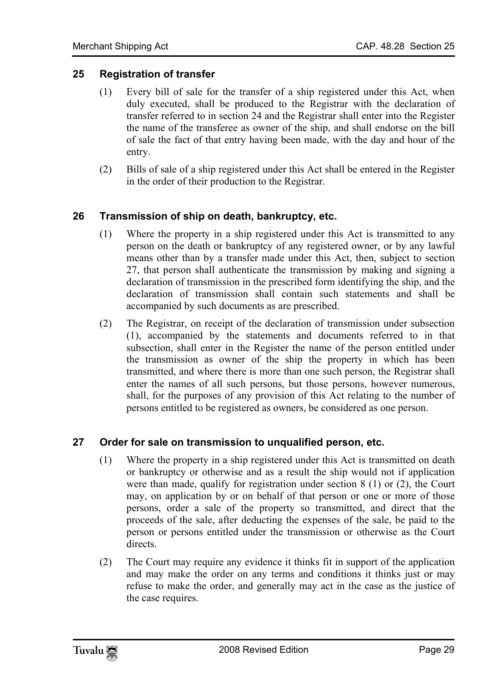### **25 Registration of transfer**

- <span id="page-28-0"></span>(1) Every bill of sale for the transfer of a ship registered under this Act, when duly executed, shall be produced to the Registrar with the declaration of transfer referred to in section 24 and the Registrar shall enter into the Register the name of the transferee as owner of the ship, and shall endorse on the bill of sale the fact of that entry having been made, with the day and hour of the entry.
- <span id="page-28-1"></span>(2) Bills of sale of a ship registered under this Act shall be entered in the Register in the order of their production to the Registrar.

#### **26 Transmission of ship on death, bankruptcy, etc.**

- (1) Where the property in a ship registered under this Act is transmitted to any person on the death or bankruptcy of any registered owner, or by any lawful means other than by a transfer made under this Act, then, subject to section 27, that person shall authenticate the transmission by making and signing a declaration of transmission in the prescribed form identifying the ship, and the declaration of transmission shall contain such statements and shall be accompanied by such documents as are prescribed.
- <span id="page-28-2"></span>(2) The Registrar, on receipt of the declaration of transmission under subsection (1), accompanied by the statements and documents referred to in that subsection, shall enter in the Register the name of the person entitled under the transmission as owner of the ship the property in which has been transmitted, and where there is more than one such person, the Registrar shall enter the names of all such persons, but those persons, however numerous, shall, for the purposes of any provision of this Act relating to the number of persons entitled to be registered as owners, be considered as one person.

#### **27 Order for sale on transmission to unqualified person, etc.**

- (1) Where the property in a ship registered under this Act is transmitted on death or bankruptcy or otherwise and as a result the ship would not if application were than made, qualify for registration under section 8 (1) or (2), the Court may, on application by or on behalf of that person or one or more of those persons, order a sale of the property so transmitted, and direct that the proceeds of the sale, after deducting the expenses of the sale, be paid to the person or persons entitled under the transmission or otherwise as the Court directs.
- (2) The Court may require any evidence it thinks fit in support of the application and may make the order on any terms and conditions it thinks just or may refuse to make the order, and generally may act in the case as the justice of the case requires.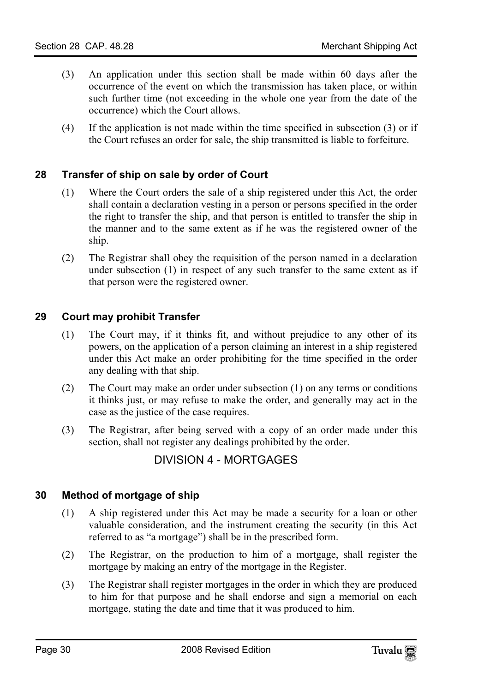- (3) An application under this section shall be made within 60 days after the occurrence of the event on which the transmission has taken place, or within such further time (not exceeding in the whole one year from the date of the occurrence) which the Court allows.
- <span id="page-29-0"></span>(4) If the application is not made within the time specified in subsection (3) or if the Court refuses an order for sale, the ship transmitted is liable to forfeiture.

# **28 Transfer of ship on sale by order of Court**

- (1) Where the Court orders the sale of a ship registered under this Act, the order shall contain a declaration vesting in a person or persons specified in the order the right to transfer the ship, and that person is entitled to transfer the ship in the manner and to the same extent as if he was the registered owner of the ship.
- <span id="page-29-1"></span>(2) The Registrar shall obey the requisition of the person named in a declaration under subsection (1) in respect of any such transfer to the same extent as if that person were the registered owner.

# **29 Court may prohibit Transfer**

- (1) The Court may, if it thinks fit, and without prejudice to any other of its powers, on the application of a person claiming an interest in a ship registered under this Act make an order prohibiting for the time specified in the order any dealing with that ship.
- (2) The Court may make an order under subsection (1) on any terms or conditions it thinks just, or may refuse to make the order, and generally may act in the case as the justice of the case requires.
- <span id="page-29-3"></span>(3) The Registrar, after being served with a copy of an order made under this section, shall not register any dealings prohibited by the order.

# <span id="page-29-2"></span>DIVISION 4 - MORTGAGES

#### **30 Method of mortgage of ship**

- (1) A ship registered under this Act may be made a security for a loan or other valuable consideration, and the instrument creating the security (in this Act referred to as "a mortgage") shall be in the prescribed form.
- (2) The Registrar, on the production to him of a mortgage, shall register the mortgage by making an entry of the mortgage in the Register.
- (3) The Registrar shall register mortgages in the order in which they are produced to him for that purpose and he shall endorse and sign a memorial on each mortgage, stating the date and time that it was produced to him.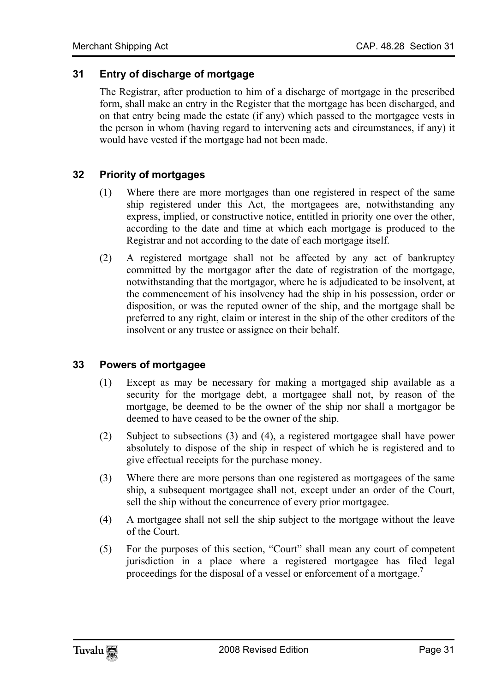#### **31 Entry of discharge of mortgage**

<span id="page-30-1"></span><span id="page-30-0"></span>The Registrar, after production to him of a discharge of mortgage in the prescribed form, shall make an entry in the Register that the mortgage has been discharged, and on that entry being made the estate (if any) which passed to the mortgagee vests in the person in whom (having regard to intervening acts and circumstances, if any) it would have vested if the mortgage had not been made.

# **32 Priority of mortgages**

- (1) Where there are more mortgages than one registered in respect of the same ship registered under this Act, the mortgagees are, notwithstanding any express, implied, or constructive notice, entitled in priority one over the other, according to the date and time at which each mortgage is produced to the Registrar and not according to the date of each mortgage itself.
- <span id="page-30-2"></span>(2) A registered mortgage shall not be affected by any act of bankruptcy committed by the mortgagor after the date of registration of the mortgage, notwithstanding that the mortgagor, where he is adjudicated to be insolvent, at the commencement of his insolvency had the ship in his possession, order or disposition, or was the reputed owner of the ship, and the mortgage shall be preferred to any right, claim or interest in the ship of the other creditors of the insolvent or any trustee or assignee on their behalf.

#### **33 Powers of mortgagee**

- (1) Except as may be necessary for making a mortgaged ship available as a security for the mortgage debt, a mortgagee shall not, by reason of the mortgage, be deemed to be the owner of the ship nor shall a mortgagor be deemed to have ceased to be the owner of the ship.
- (2) Subject to subsections (3) and (4), a registered mortgagee shall have power absolutely to dispose of the ship in respect of which he is registered and to give effectual receipts for the purchase money.
- (3) Where there are more persons than one registered as mortgagees of the same ship, a subsequent mortgagee shall not, except under an order of the Court, sell the ship without the concurrence of every prior mortgagee.
- (4) A mortgagee shall not sell the ship subject to the mortgage without the leave of the Court.
- (5) For the purposes of this section, "Court" shall mean any court of competent jurisdiction in a place where a registered mortgagee has filed legal proceedings for the disposal of a vessel or enforcement of a mortgage.**<sup>7</sup>**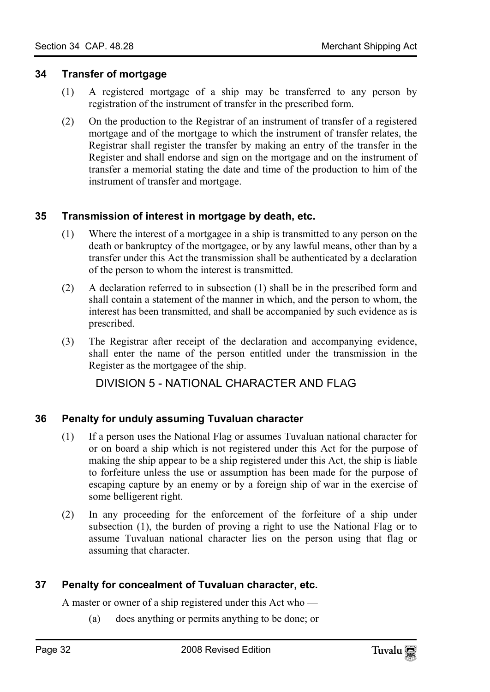#### **34 Transfer of mortgage**

- <span id="page-31-0"></span>(1) A registered mortgage of a ship may be transferred to any person by registration of the instrument of transfer in the prescribed form.
- <span id="page-31-1"></span>(2) On the production to the Registrar of an instrument of transfer of a registered mortgage and of the mortgage to which the instrument of transfer relates, the Registrar shall register the transfer by making an entry of the transfer in the Register and shall endorse and sign on the mortgage and on the instrument of transfer a memorial stating the date and time of the production to him of the instrument of transfer and mortgage.

# **35 Transmission of interest in mortgage by death, etc.**

- (1) Where the interest of a mortgagee in a ship is transmitted to any person on the death or bankruptcy of the mortgagee, or by any lawful means, other than by a transfer under this Act the transmission shall be authenticated by a declaration of the person to whom the interest is transmitted.
- (2) A declaration referred to in subsection (1) shall be in the prescribed form and shall contain a statement of the manner in which, and the person to whom, the interest has been transmitted, and shall be accompanied by such evidence as is prescribed.
- (3) The Registrar after receipt of the declaration and accompanying evidence, shall enter the name of the person entitled under the transmission in the Register as the mortgagee of the ship.

DIVISION 5 - NATIONAL CHARACTER AND FLAG

# **36 Penalty for unduly assuming Tuvaluan character**

- (1) If a person uses the National Flag or assumes Tuvaluan national character for or on board a ship which is not registered under this Act for the purpose of making the ship appear to be a ship registered under this Act, the ship is liable to forfeiture unless the use or assumption has been made for the purpose of escaping capture by an enemy or by a foreign ship of war in the exercise of some belligerent right.
- <span id="page-31-2"></span>(2) In any proceeding for the enforcement of the forfeiture of a ship under subsection (1), the burden of proving a right to use the National Flag or to assume Tuvaluan national character lies on the person using that flag or assuming that character.

# **37 Penalty for concealment of Tuvaluan character, etc.**

A master or owner of a ship registered under this Act who —

(a) does anything or permits anything to be done; or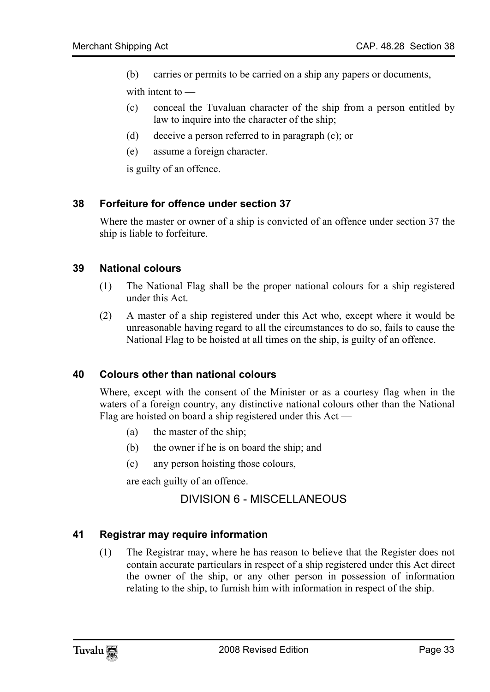(b) carries or permits to be carried on a ship any papers or documents,

with intent to —

- (c) conceal the Tuvaluan character of the ship from a person entitled by law to inquire into the character of the ship;
- <span id="page-32-0"></span>(d) deceive a person referred to in paragraph (c); or
- (e) assume a foreign character.

is guilty of an offence.

#### **38 Forfeiture for offence under section 37**

<span id="page-32-1"></span>Where the master or owner of a ship is convicted of an offence under section 37 the ship is liable to forfeiture.

#### **39 National colours**

- (1) The National Flag shall be the proper national colours for a ship registered under this Act.
- <span id="page-32-2"></span>(2) A master of a ship registered under this Act who, except where it would be unreasonable having regard to all the circumstances to do so, fails to cause the National Flag to be hoisted at all times on the ship, is guilty of an offence.

#### **40 Colours other than national colours**

Where, except with the consent of the Minister or as a courtesy flag when in the waters of a foreign country, any distinctive national colours other than the National Flag are hoisted on board a ship registered under this Act —

- (a) the master of the ship;
- (b) the owner if he is on board the ship; and
- (c) any person hoisting those colours,

<span id="page-32-4"></span>are each guilty of an offence.

#### <span id="page-32-3"></span>DIVISION 6 - MISCELLANEOUS

#### **41 Registrar may require information**

(1) The Registrar may, where he has reason to believe that the Register does not contain accurate particulars in respect of a ship registered under this Act direct the owner of the ship, or any other person in possession of information relating to the ship, to furnish him with information in respect of the ship.

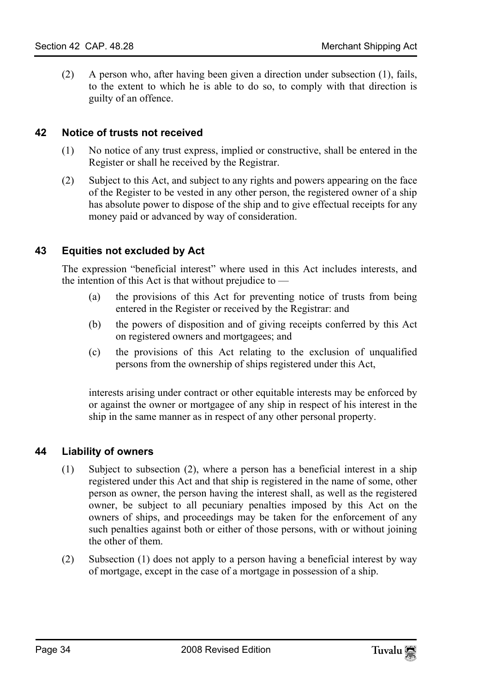<span id="page-33-0"></span>(2) A person who, after having been given a direction under subsection (1), fails, to the extent to which he is able to do so, to comply with that direction is guilty of an offence.

### **42 Notice of trusts not received**

- (1) No notice of any trust express, implied or constructive, shall be entered in the Register or shall he received by the Registrar.
- <span id="page-33-1"></span>(2) Subject to this Act, and subject to any rights and powers appearing on the face of the Register to be vested in any other person, the registered owner of a ship has absolute power to dispose of the ship and to give effectual receipts for any money paid or advanced by way of consideration.

#### **43 Equities not excluded by Act**

The expression "beneficial interest" where used in this Act includes interests, and the intention of this Act is that without prejudice to  $-$ 

- (a) the provisions of this Act for preventing notice of trusts from being entered in the Register or received by the Registrar: and
- (b) the powers of disposition and of giving receipts conferred by this Act on registered owners and mortgagees; and
- (c) the provisions of this Act relating to the exclusion of unqualified persons from the ownership of ships registered under this Act,

<span id="page-33-2"></span>interests arising under contract or other equitable interests may be enforced by or against the owner or mortgagee of any ship in respect of his interest in the ship in the same manner as in respect of any other personal property.

#### **44 Liability of owners**

- (1) Subject to subsection (2), where a person has a beneficial interest in a ship registered under this Act and that ship is registered in the name of some, other person as owner, the person having the interest shall, as well as the registered owner, be subject to all pecuniary penalties imposed by this Act on the owners of ships, and proceedings may be taken for the enforcement of any such penalties against both or either of those persons, with or without joining the other of them.
- (2) Subsection (1) does not apply to a person having a beneficial interest by way of mortgage, except in the case of a mortgage in possession of a ship.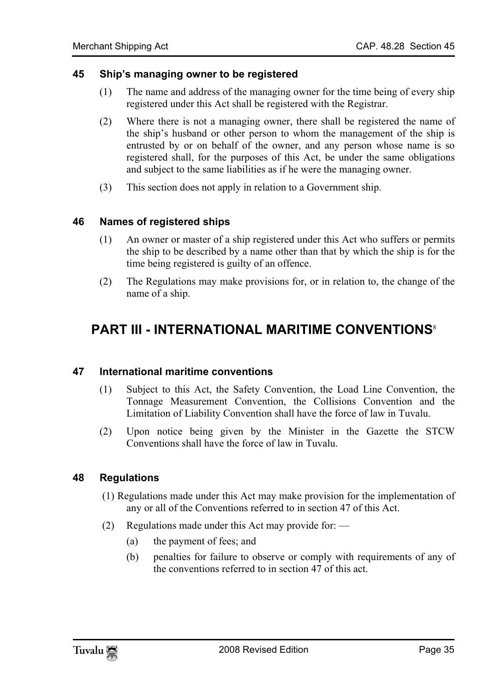#### **45 Ship's managing owner to be registered**

- <span id="page-34-0"></span>(1) The name and address of the managing owner for the time being of every ship registered under this Act shall be registered with the Registrar.
- (2) Where there is not a managing owner, there shall be registered the name of the ship's husband or other person to whom the management of the ship is entrusted by or on behalf of the owner, and any person whose name is so registered shall, for the purposes of this Act, be under the same obligations and subject to the same liabilities as if he were the managing owner.
- <span id="page-34-1"></span>(3) This section does not apply in relation to a Government ship.

#### **46 Names of registered ships**

- (1) An owner or master of a ship registered under this Act who suffers or permits the ship to be described by a name other than that by which the ship is for the time being registered is guilty of an offence.
- <span id="page-34-3"></span><span id="page-34-2"></span>(2) The Regulations may make provisions for, or in relation to, the change of the name of a ship.

# **PART III - INTERNATIONAL MARITIME CONVENTIONS**<sup>8</sup>

#### **47 International maritime conventions**

- (1) Subject to this Act, the Safety Convention, the Load Line Convention, the Tonnage Measurement Convention, the Collisions Convention and the Limitation of Liability Convention shall have the force of law in Tuvalu.
- <span id="page-34-4"></span>(2) Upon notice being given by the Minister in the Gazette the STCW Conventions shall have the force of law in Tuvalu.

#### **48 Regulations**

- (1) Regulations made under this Act may make provision for the implementation of any or all of the Conventions referred to in section 47 of this Act.
- (2) Regulations made under this Act may provide for:  $\overline{\phantom{a}}$ 
	- (a) the payment of fees; and
	- (b) penalties for failure to observe or comply with requirements of any of the conventions referred to in section 47 of this act.

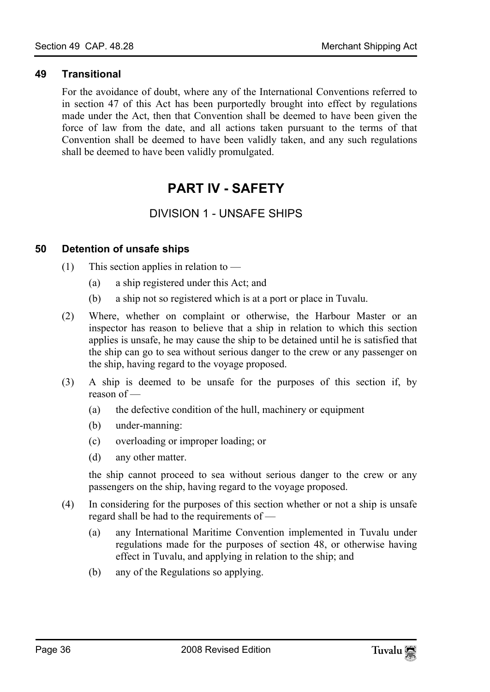#### **49 Transitional**

<span id="page-35-0"></span>For the avoidance of doubt, where any of the International Conventions referred to in section 47 of this Act has been purportedly brought into effect by regulations made under the Act, then that Convention shall be deemed to have been given the force of law from the date, and all actions taken pursuant to the terms of that Convention shall be deemed to have been validly taken, and any such regulations shall be deemed to have been validly promulgated.

# <span id="page-35-2"></span><span id="page-35-1"></span>**PART IV - SAFETY**

# <span id="page-35-3"></span>DIVISION 1 - UNSAFE SHIPS

#### **50 Detention of unsafe ships**

- (1) This section applies in relation to  $-$ 
	- (a) a ship registered under this Act; and
	- (b) a ship not so registered which is at a port or place in Tuvalu.
- (2) Where, whether on complaint or otherwise, the Harbour Master or an inspector has reason to believe that a ship in relation to which this section applies is unsafe, he may cause the ship to be detained until he is satisfied that the ship can go to sea without serious danger to the crew or any passenger on the ship, having regard to the voyage proposed.
- (3) A ship is deemed to be unsafe for the purposes of this section if, by reason of —
	- (a) the defective condition of the hull, machinery or equipment
	- (b) under-manning:
	- (c) overloading or improper loading; or
	- (d) any other matter.

the ship cannot proceed to sea without serious danger to the crew or any passengers on the ship, having regard to the voyage proposed.

- (4) In considering for the purposes of this section whether or not a ship is unsafe regard shall be had to the requirements of —
	- (a) any International Maritime Convention implemented in Tuvalu under regulations made for the purposes of section 48, or otherwise having effect in Tuvalu, and applying in relation to the ship; and
	- (b) any of the Regulations so applying.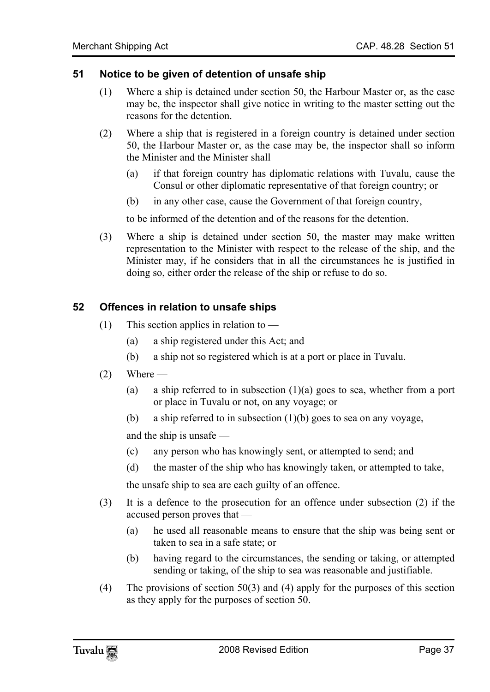#### **51 Notice to be given of detention of unsafe ship**

- (1) Where a ship is detained under section 50, the Harbour Master or, as the case may be, the inspector shall give notice in writing to the master setting out the reasons for the detention.
- (2) Where a ship that is registered in a foreign country is detained under section 50, the Harbour Master or, as the case may be, the inspector shall so inform the Minister and the Minister shall —
	- (a) if that foreign country has diplomatic relations with Tuvalu, cause the Consul or other diplomatic representative of that foreign country; or
	- (b) in any other case, cause the Government of that foreign country,

to be informed of the detention and of the reasons for the detention.

(3) Where a ship is detained under section 50, the master may make written representation to the Minister with respect to the release of the ship, and the Minister may, if he considers that in all the circumstances he is justified in doing so, either order the release of the ship or refuse to do so.

#### **52 Offences in relation to unsafe ships**

- (1) This section applies in relation to
	- (a) a ship registered under this Act; and
	- (b) a ship not so registered which is at a port or place in Tuvalu.
- $(2)$  Where
	- (a) a ship referred to in subsection  $(1)(a)$  goes to sea, whether from a port or place in Tuvalu or not, on any voyage; or
	- (b) a ship referred to in subsection (1)(b) goes to sea on any voyage,

and the ship is unsafe —

- (c) any person who has knowingly sent, or attempted to send; and
- (d) the master of the ship who has knowingly taken, or attempted to take,

the unsafe ship to sea are each guilty of an offence.

- (3) It is a defence to the prosecution for an offence under subsection (2) if the accused person proves that —
	- (a) he used all reasonable means to ensure that the ship was being sent or taken to sea in a safe state; or
	- (b) having regard to the circumstances, the sending or taking, or attempted sending or taking, of the ship to sea was reasonable and justifiable.
- (4) The provisions of section 50(3) and (4) apply for the purposes of this section as they apply for the purposes of section 50.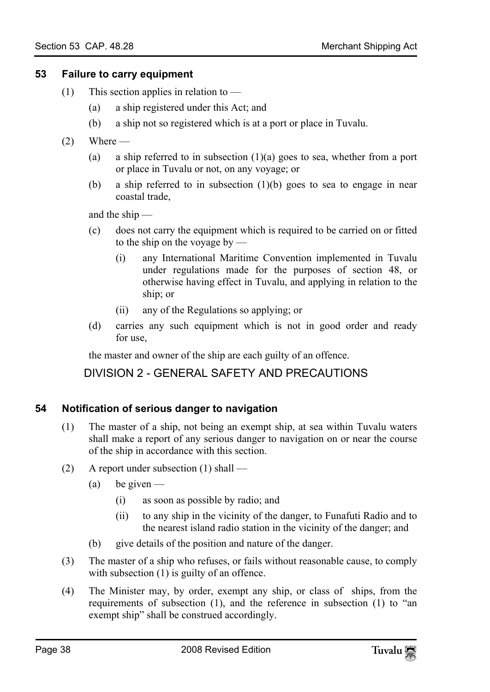#### **53 Failure to carry equipment**

- (1) This section applies in relation to  $-$ 
	- (a) a ship registered under this Act; and
	- (b) a ship not so registered which is at a port or place in Tuvalu.
- $(2)$  Where
	- (a) a ship referred to in subsection  $(1)(a)$  goes to sea, whether from a port or place in Tuvalu or not, on any voyage; or
	- (b) a ship referred to in subsection (1)(b) goes to sea to engage in near coastal trade,

and the ship —

- (c) does not carry the equipment which is required to be carried on or fitted to the ship on the voyage by —
	- (i) any International Maritime Convention implemented in Tuvalu under regulations made for the purposes of section 48, or otherwise having effect in Tuvalu, and applying in relation to the ship; or
	- (ii) any of the Regulations so applying; or
- (d) carries any such equipment which is not in good order and ready for use,

the master and owner of the ship are each guilty of an offence.

# DIVISION 2 - GENERAL SAFETY AND PRECAUTIONS

# **54 Notification of serious danger to navigation**

- (1) The master of a ship, not being an exempt ship, at sea within Tuvalu waters shall make a report of any serious danger to navigation on or near the course of the ship in accordance with this section.
- (2) A report under subsection (1) shall
	- (a) be given  $-$ 
		- (i) as soon as possible by radio; and
		- (ii) to any ship in the vicinity of the danger, to Funafuti Radio and to the nearest island radio station in the vicinity of the danger; and
	- (b) give details of the position and nature of the danger.
- (3) The master of a ship who refuses, or fails without reasonable cause, to comply with subsection (1) is guilty of an offence.
- (4) The Minister may, by order, exempt any ship, or class of ships, from the requirements of subsection (1), and the reference in subsection (1) to "an exempt ship" shall be construed accordingly.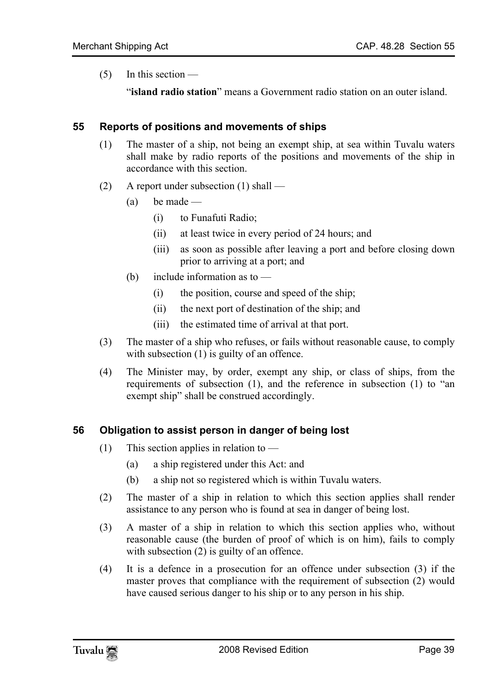$(5)$  In this section —

"**island radio station**" means a Government radio station on an outer island.

#### **55 Reports of positions and movements of ships**

- (1) The master of a ship, not being an exempt ship, at sea within Tuvalu waters shall make by radio reports of the positions and movements of the ship in accordance with this section.
- (2) A report under subsection (1) shall
	- $(a)$  be made
		- (i) to Funafuti Radio;
		- (ii) at least twice in every period of 24 hours; and
		- (iii) as soon as possible after leaving a port and before closing down prior to arriving at a port; and
	- (b) include information as to
		- (i) the position, course and speed of the ship;
		- (ii) the next port of destination of the ship; and
		- (iii) the estimated time of arrival at that port.
- (3) The master of a ship who refuses, or fails without reasonable cause, to comply with subsection (1) is guilty of an offence.
- (4) The Minister may, by order, exempt any ship, or class of ships, from the requirements of subsection (1), and the reference in subsection (1) to "an exempt ship" shall be construed accordingly.

#### **56 Obligation to assist person in danger of being lost**

- (1) This section applies in relation to  $-$ 
	- (a) a ship registered under this Act: and
	- (b) a ship not so registered which is within Tuvalu waters.
- (2) The master of a ship in relation to which this section applies shall render assistance to any person who is found at sea in danger of being lost.
- (3) A master of a ship in relation to which this section applies who, without reasonable cause (the burden of proof of which is on him), fails to comply with subsection (2) is guilty of an offence.
- (4) It is a defence in a prosecution for an offence under subsection (3) if the master proves that compliance with the requirement of subsection (2) would have caused serious danger to his ship or to any person in his ship.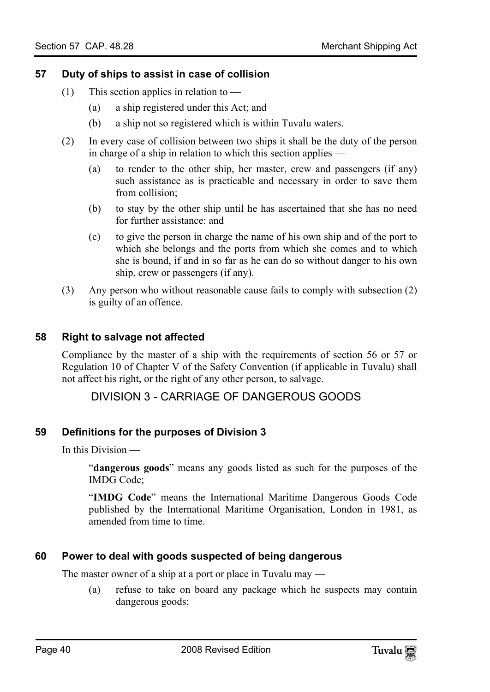# **57 Duty of ships to assist in case of collision**

- (1) This section applies in relation to
	- (a) a ship registered under this Act; and
	- (b) a ship not so registered which is within Tuvalu waters.
- (2) In every case of collision between two ships it shall be the duty of the person in charge of a ship in relation to which this section applies —
	- (a) to render to the other ship, her master, crew and passengers (if any) such assistance as is practicable and necessary in order to save them from collision;
	- (b) to stay by the other ship until he has ascertained that she has no need for further assistance: and
	- (c) to give the person in charge the name of his own ship and of the port to which she belongs and the ports from which she comes and to which she is bound, if and in so far as he can do so without danger to his own ship, crew or passengers (if any).
- (3) Any person who without reasonable cause fails to comply with subsection (2) is guilty of an offence.

#### **58 Right to salvage not affected**

Compliance by the master of a ship with the requirements of section 56 or 57 or Regulation 10 of Chapter V of the Safety Convention (if applicable in Tuvalu) shall not affect his right, or the right of any other person, to salvage.

# DIVISION 3 - CARRIAGE OF DANGEROUS GOODS

#### **59 Definitions for the purposes of Division 3**

In this Division —

"**dangerous goods**" means any goods listed as such for the purposes of the IMDG Code;

"**IMDG Code**" means the International Maritime Dangerous Goods Code published by the International Maritime Organisation, London in 1981, as amended from time to time.

#### **60 Power to deal with goods suspected of being dangerous**

The master owner of a ship at a port or place in Tuvalu may —

(a) refuse to take on board any package which he suspects may contain dangerous goods;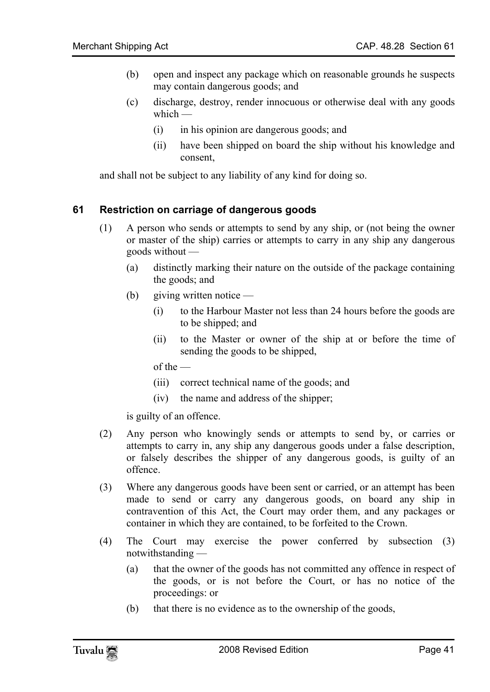- (b) open and inspect any package which on reasonable grounds he suspects may contain dangerous goods; and
- (c) discharge, destroy, render innocuous or otherwise deal with any goods which —
	- (i) in his opinion are dangerous goods; and
	- (ii) have been shipped on board the ship without his knowledge and consent,

and shall not be subject to any liability of any kind for doing so.

#### **61 Restriction on carriage of dangerous goods**

- (1) A person who sends or attempts to send by any ship, or (not being the owner or master of the ship) carries or attempts to carry in any ship any dangerous goods without —
	- (a) distinctly marking their nature on the outside of the package containing the goods; and
	- (b) giving written notice
		- (i) to the Harbour Master not less than 24 hours before the goods are to be shipped; and
		- (ii) to the Master or owner of the ship at or before the time of sending the goods to be shipped,

of the —

- (iii) correct technical name of the goods; and
- (iv) the name and address of the shipper;

is guilty of an offence.

- (2) Any person who knowingly sends or attempts to send by, or carries or attempts to carry in, any ship any dangerous goods under a false description, or falsely describes the shipper of any dangerous goods, is guilty of an offence.
- (3) Where any dangerous goods have been sent or carried, or an attempt has been made to send or carry any dangerous goods, on board any ship in contravention of this Act, the Court may order them, and any packages or container in which they are contained, to be forfeited to the Crown.
- (4) The Court may exercise the power conferred by subsection (3) notwithstanding —
	- (a) that the owner of the goods has not committed any offence in respect of the goods, or is not before the Court, or has no notice of the proceedings: or
	- (b) that there is no evidence as to the ownership of the goods,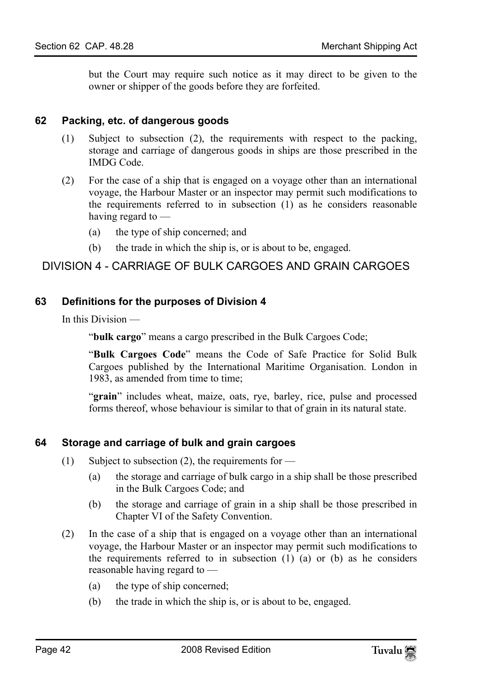but the Court may require such notice as it may direct to be given to the owner or shipper of the goods before they are forfeited.

#### **62 Packing, etc. of dangerous goods**

- (1) Subject to subsection (2), the requirements with respect to the packing, storage and carriage of dangerous goods in ships are those prescribed in the IMDG Code.
- (2) For the case of a ship that is engaged on a voyage other than an international voyage, the Harbour Master or an inspector may permit such modifications to the requirements referred to in subsection (1) as he considers reasonable having regard to —
	- (a) the type of ship concerned; and
	- (b) the trade in which the ship is, or is about to be, engaged.

# DIVISION 4 - CARRIAGE OF BULK CARGOES AND GRAIN CARGOES

#### **63 Definitions for the purposes of Division 4**

In this Division —

"**bulk cargo**" means a cargo prescribed in the Bulk Cargoes Code;

"**Bulk Cargoes Code**" means the Code of Safe Practice for Solid Bulk Cargoes published by the International Maritime Organisation. London in 1983, as amended from time to time;

"**grain**" includes wheat, maize, oats, rye, barley, rice, pulse and processed forms thereof, whose behaviour is similar to that of grain in its natural state.

#### **64 Storage and carriage of bulk and grain cargoes**

- (1) Subject to subsection (2), the requirements for
	- (a) the storage and carriage of bulk cargo in a ship shall be those prescribed in the Bulk Cargoes Code; and
	- (b) the storage and carriage of grain in a ship shall be those prescribed in Chapter VI of the Safety Convention.
- (2) In the case of a ship that is engaged on a voyage other than an international voyage, the Harbour Master or an inspector may permit such modifications to the requirements referred to in subsection (1) (a) or (b) as he considers reasonable having regard to —
	- (a) the type of ship concerned;
	- (b) the trade in which the ship is, or is about to be, engaged.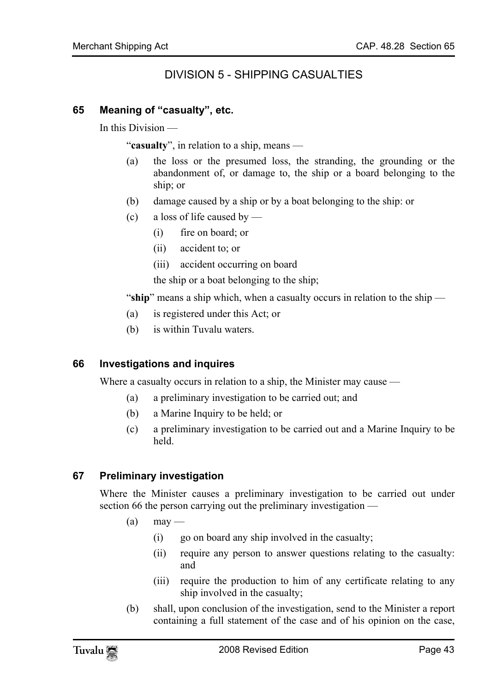# DIVISION 5 - SHIPPING CASUALTIES

#### **65 Meaning of "casualty", etc.**

In this Division —

"**casualty**", in relation to a ship, means —

- (a) the loss or the presumed loss, the stranding, the grounding or the abandonment of, or damage to, the ship or a board belonging to the ship; or
- (b) damage caused by a ship or by a boat belonging to the ship: or
- (c) a loss of life caused by
	- (i) fire on board; or
	- (ii) accident to; or
	- (iii) accident occurring on board

the ship or a boat belonging to the ship;

"**ship**" means a ship which, when a casualty occurs in relation to the ship —

- (a) is registered under this Act; or
- (b) is within Tuvalu waters.

#### **66 Investigations and inquires**

Where a casualty occurs in relation to a ship, the Minister may cause —

- (a) a preliminary investigation to be carried out; and
- (b) a Marine Inquiry to be held; or
- (c) a preliminary investigation to be carried out and a Marine Inquiry to be held.

#### **67 Preliminary investigation**

Where the Minister causes a preliminary investigation to be carried out under section 66 the person carrying out the preliminary investigation —

- $(a)$  may
	- (i) go on board any ship involved in the casualty;
	- (ii) require any person to answer questions relating to the casualty: and
	- (iii) require the production to him of any certificate relating to any ship involved in the casualty;
- (b) shall, upon conclusion of the investigation, send to the Minister a report containing a full statement of the case and of his opinion on the case,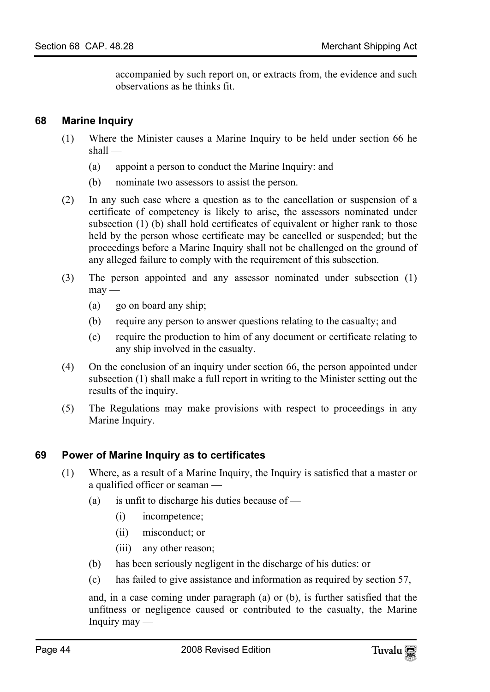accompanied by such report on, or extracts from, the evidence and such observations as he thinks fit.

## **68 Marine Inquiry**

- (1) Where the Minister causes a Marine Inquiry to be held under section 66 he shall —
	- (a) appoint a person to conduct the Marine Inquiry: and
	- (b) nominate two assessors to assist the person.
- (2) In any such case where a question as to the cancellation or suspension of a certificate of competency is likely to arise, the assessors nominated under subsection (1) (b) shall hold certificates of equivalent or higher rank to those held by the person whose certificate may be cancelled or suspended; but the proceedings before a Marine Inquiry shall not be challenged on the ground of any alleged failure to comply with the requirement of this subsection.
- (3) The person appointed and any assessor nominated under subsection (1)  $may -$ 
	- (a) go on board any ship;
	- (b) require any person to answer questions relating to the casualty; and
	- (c) require the production to him of any document or certificate relating to any ship involved in the casualty.
- (4) On the conclusion of an inquiry under section 66, the person appointed under subsection (1) shall make a full report in writing to the Minister setting out the results of the inquiry.
- (5) The Regulations may make provisions with respect to proceedings in any Marine Inquiry.

#### **69 Power of Marine Inquiry as to certificates**

- (1) Where, as a result of a Marine Inquiry, the Inquiry is satisfied that a master or a qualified officer or seaman —
	- (a) is unfit to discharge his duties because of
		- (i) incompetence;
		- (ii) misconduct; or
		- (iii) any other reason;
	- (b) has been seriously negligent in the discharge of his duties: or
	- (c) has failed to give assistance and information as required by section 57,

and, in a case coming under paragraph (a) or (b), is further satisfied that the unfitness or negligence caused or contributed to the casualty, the Marine Inquiry may —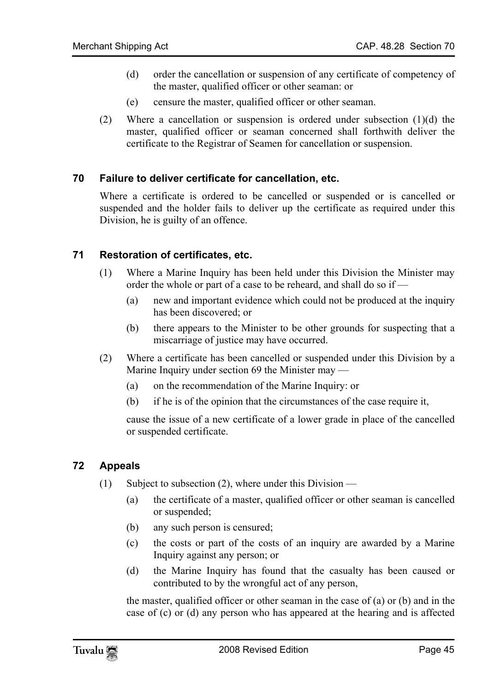- (d) order the cancellation or suspension of any certificate of competency of the master, qualified officer or other seaman: or
- (e) censure the master, qualified officer or other seaman.
- (2) Where a cancellation or suspension is ordered under subsection  $(1)(d)$  the master, qualified officer or seaman concerned shall forthwith deliver the certificate to the Registrar of Seamen for cancellation or suspension.

#### **70 Failure to deliver certificate for cancellation, etc.**

Where a certificate is ordered to be cancelled or suspended or is cancelled or suspended and the holder fails to deliver up the certificate as required under this Division, he is guilty of an offence.

#### **71 Restoration of certificates, etc.**

- (1) Where a Marine Inquiry has been held under this Division the Minister may order the whole or part of a case to be reheard, and shall do so if —
	- (a) new and important evidence which could not be produced at the inquiry has been discovered; or
	- (b) there appears to the Minister to be other grounds for suspecting that a miscarriage of justice may have occurred.
- (2) Where a certificate has been cancelled or suspended under this Division by a Marine Inquiry under section 69 the Minister may —
	- (a) on the recommendation of the Marine Inquiry: or
	- (b) if he is of the opinion that the circumstances of the case require it,

cause the issue of a new certificate of a lower grade in place of the cancelled or suspended certificate.

#### **72 Appeals**

- (1) Subject to subsection (2), where under this Division
	- (a) the certificate of a master, qualified officer or other seaman is cancelled or suspended;
	- (b) any such person is censured;
	- (c) the costs or part of the costs of an inquiry are awarded by a Marine Inquiry against any person; or
	- (d) the Marine Inquiry has found that the casualty has been caused or contributed to by the wrongful act of any person,

the master, qualified officer or other seaman in the case of (a) or (b) and in the case of (c) or (d) any person who has appeared at the hearing and is affected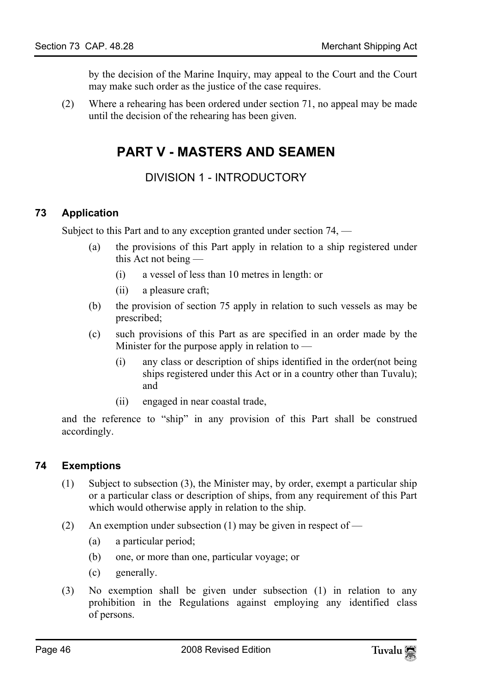by the decision of the Marine Inquiry, may appeal to the Court and the Court may make such order as the justice of the case requires.

(2) Where a rehearing has been ordered under section 71, no appeal may be made until the decision of the rehearing has been given.

# **PART V - MASTERS AND SEAMEN**

DIVISION 1 - INTRODUCTORY

# **73 Application**

Subject to this Part and to any exception granted under section 74, —

- (a) the provisions of this Part apply in relation to a ship registered under this Act not being —
	- (i) a vessel of less than 10 metres in length: or
	- (ii) a pleasure craft;
- (b) the provision of section 75 apply in relation to such vessels as may be prescribed;
- (c) such provisions of this Part as are specified in an order made by the Minister for the purpose apply in relation to  $-$ 
	- (i) any class or description of ships identified in the order(not being ships registered under this Act or in a country other than Tuvalu); and
	- (ii) engaged in near coastal trade,

and the reference to "ship" in any provision of this Part shall be construed accordingly.

# **74 Exemptions**

- (1) Subject to subsection (3), the Minister may, by order, exempt a particular ship or a particular class or description of ships, from any requirement of this Part which would otherwise apply in relation to the ship.
- (2) An exemption under subsection (1) may be given in respect of  $-$ 
	- (a) a particular period;
	- (b) one, or more than one, particular voyage; or
	- (c) generally.
- (3) No exemption shall be given under subsection (1) in relation to any prohibition in the Regulations against employing any identified class of persons.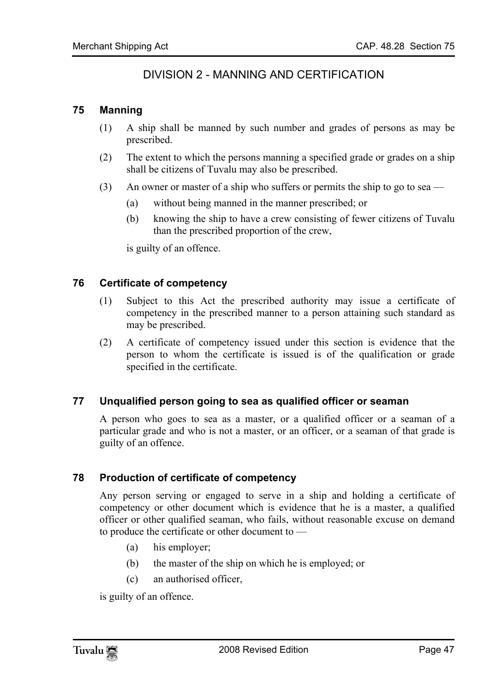# DIVISION 2 - MANNING AND CERTIFICATION

#### **75 Manning**

- (1) A ship shall be manned by such number and grades of persons as may be prescribed.
- (2) The extent to which the persons manning a specified grade or grades on a ship shall be citizens of Tuvalu may also be prescribed.
- (3) An owner or master of a ship who suffers or permits the ship to go to sea
	- (a) without being manned in the manner prescribed; or
	- (b) knowing the ship to have a crew consisting of fewer citizens of Tuvalu than the prescribed proportion of the crew,

is guilty of an offence.

#### **76 Certificate of competency**

- (1) Subject to this Act the prescribed authority may issue a certificate of competency in the prescribed manner to a person attaining such standard as may be prescribed.
- (2) A certificate of competency issued under this section is evidence that the person to whom the certificate is issued is of the qualification or grade specified in the certificate.

#### **77 Unqualified person going to sea as qualified officer or seaman**

A person who goes to sea as a master, or a qualified officer or a seaman of a particular grade and who is not a master, or an officer, or a seaman of that grade is guilty of an offence.

#### **78 Production of certificate of competency**

Any person serving or engaged to serve in a ship and holding a certificate of competency or other document which is evidence that he is a master, a qualified officer or other qualified seaman, who fails, without reasonable excuse on demand to produce the certificate or other document to —

- (a) his employer;
- (b) the master of the ship on which he is employed; or
- (c) an authorised officer,

is guilty of an offence.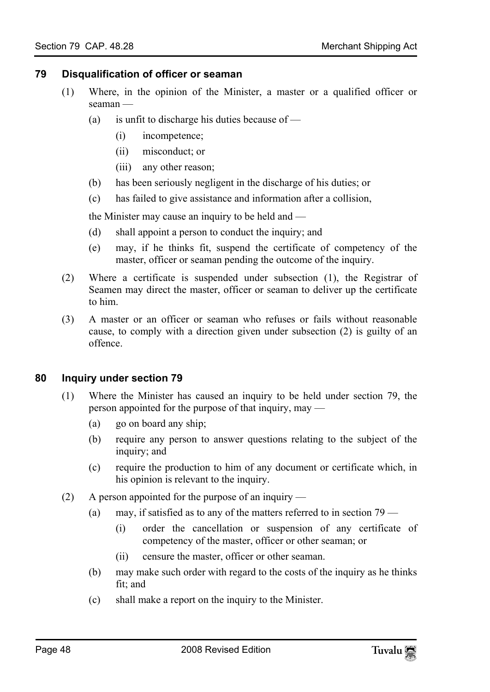#### **79 Disqualification of officer or seaman**

- (1) Where, in the opinion of the Minister, a master or a qualified officer or seaman —
	- (a) is unfit to discharge his duties because of
		- (i) incompetence;
		- (ii) misconduct; or
		- (iii) any other reason;
	- (b) has been seriously negligent in the discharge of his duties; or
	- (c) has failed to give assistance and information after a collision,

the Minister may cause an inquiry to be held and —

- (d) shall appoint a person to conduct the inquiry; and
- (e) may, if he thinks fit, suspend the certificate of competency of the master, officer or seaman pending the outcome of the inquiry.
- (2) Where a certificate is suspended under subsection (1), the Registrar of Seamen may direct the master, officer or seaman to deliver up the certificate to him.
- (3) A master or an officer or seaman who refuses or fails without reasonable cause, to comply with a direction given under subsection (2) is guilty of an offence.

#### **80 Inquiry under section 79**

- (1) Where the Minister has caused an inquiry to be held under section 79, the person appointed for the purpose of that inquiry, may —
	- (a) go on board any ship;
	- (b) require any person to answer questions relating to the subject of the inquiry; and
	- (c) require the production to him of any document or certificate which, in his opinion is relevant to the inquiry.
- (2) A person appointed for the purpose of an inquiry
	- (a) may, if satisfied as to any of the matters referred to in section 79
		- (i) order the cancellation or suspension of any certificate of competency of the master, officer or other seaman; or
		- (ii) censure the master, officer or other seaman.
	- (b) may make such order with regard to the costs of the inquiry as he thinks fit; and
	- (c) shall make a report on the inquiry to the Minister.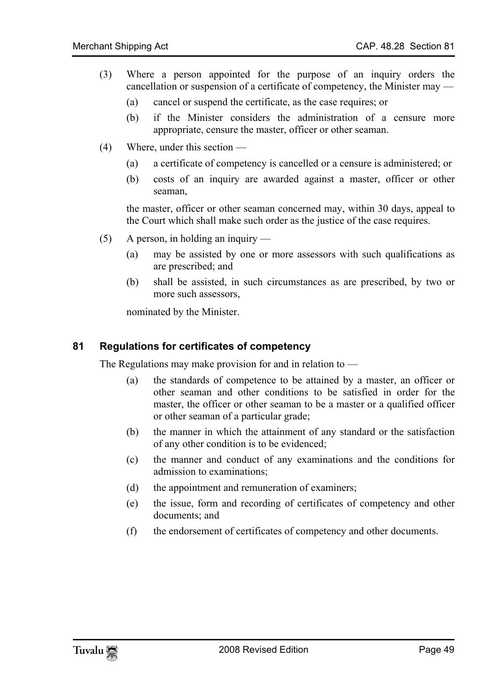- (3) Where a person appointed for the purpose of an inquiry orders the cancellation or suspension of a certificate of competency, the Minister may —
	- (a) cancel or suspend the certificate, as the case requires; or
	- (b) if the Minister considers the administration of a censure more appropriate, censure the master, officer or other seaman.
- (4) Where, under this section
	- (a) a certificate of competency is cancelled or a censure is administered; or
	- (b) costs of an inquiry are awarded against a master, officer or other seaman,

the master, officer or other seaman concerned may, within 30 days, appeal to the Court which shall make such order as the justice of the case requires.

- (5) A person, in holding an inquiry
	- (a) may be assisted by one or more assessors with such qualifications as are prescribed; and
	- (b) shall be assisted, in such circumstances as are prescribed, by two or more such assessors,

nominated by the Minister.

#### **81 Regulations for certificates of competency**

The Regulations may make provision for and in relation to —

- (a) the standards of competence to be attained by a master, an officer or other seaman and other conditions to be satisfied in order for the master, the officer or other seaman to be a master or a qualified officer or other seaman of a particular grade;
- (b) the manner in which the attainment of any standard or the satisfaction of any other condition is to be evidenced;
- (c) the manner and conduct of any examinations and the conditions for admission to examinations;
- (d) the appointment and remuneration of examiners;
- (e) the issue, form and recording of certificates of competency and other documents; and
- (f) the endorsement of certificates of competency and other documents.

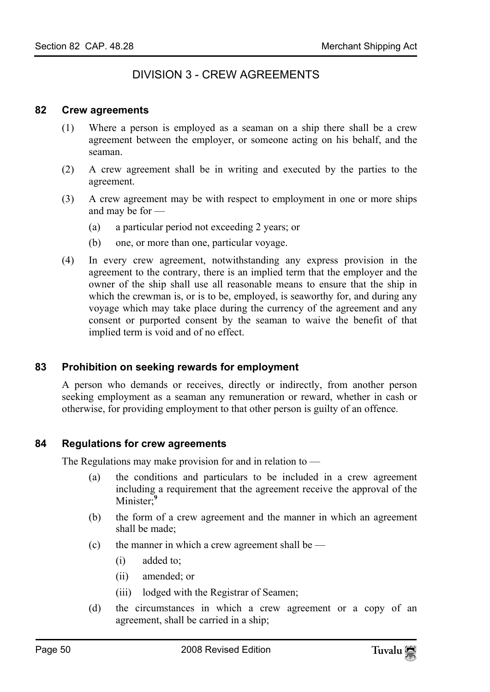# DIVISION 3 - CREW AGREEMENTS

#### **82 Crew agreements**

- (1) Where a person is employed as a seaman on a ship there shall be a crew agreement between the employer, or someone acting on his behalf, and the seaman.
- (2) A crew agreement shall be in writing and executed by the parties to the agreement.
- (3) A crew agreement may be with respect to employment in one or more ships and may be for —
	- (a) a particular period not exceeding 2 years; or
	- (b) one, or more than one, particular voyage.
- (4) In every crew agreement, notwithstanding any express provision in the agreement to the contrary, there is an implied term that the employer and the owner of the ship shall use all reasonable means to ensure that the ship in which the crewman is, or is to be, employed, is seaworthy for, and during any voyage which may take place during the currency of the agreement and any consent or purported consent by the seaman to waive the benefit of that implied term is void and of no effect.

#### **83 Prohibition on seeking rewards for employment**

A person who demands or receives, directly or indirectly, from another person seeking employment as a seaman any remuneration or reward, whether in cash or otherwise, for providing employment to that other person is guilty of an offence.

#### **84 Regulations for crew agreeme[nt](#page-80-0)s**

The Regulations may make provision for and in relation to —

- (a) the conditions and particulars to be included in a crew agreement including a requirement that the agreement receive the approval of the Minister;**<sup>9</sup>**
- (b) the form of a crew agreement and the manner in which an agreement shall be made;
- (c) the manner in which a crew agreement shall be  $-$ 
	- (i) added to;
	- (ii) amended; or
	- (iii) lodged with the Registrar of Seamen;
- (d) the circumstances in which a crew agreement or a copy of an agreement, shall be carried in a ship;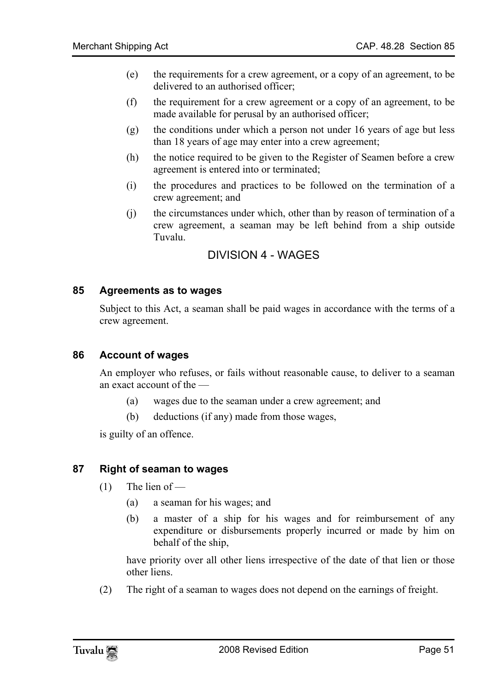- (e) the requirements for a crew agreement, or a copy of an agreement, to be delivered to an authorised officer;
- (f) the requirement for a crew agreement or a copy of an agreement, to be made available for perusal by an authorised officer;
- (g) the conditions under which a person not under 16 years of age but less than 18 years of age may enter into a crew agreement;
- (h) the notice required to be given to the Register of Seamen before a crew agreement is entered into or terminated;
- (i) the procedures and practices to be followed on the termination of a crew agreement; and
- (j) the circumstances under which, other than by reason of termination of a crew agreement, a seaman may be left behind from a ship outside Tuvalu.

# DIVISION 4 - WAGES

#### **85 Agreements as to wages**

Subject to this Act, a seaman shall be paid wages in accordance with the terms of a crew agreement.

# **86 Account of wages**

An employer who refuses, or fails without reasonable cause, to deliver to a seaman an exact account of the —

- (a) wages due to the seaman under a crew agreement; and
- (b) deductions (if any) made from those wages,

is guilty of an offence.

# **87 Right of seaman to wages**

- $(1)$  The lien of
	- (a) a seaman for his wages; and
	- (b) a master of a ship for his wages and for reimbursement of any expenditure or disbursements properly incurred or made by him on behalf of the ship,

have priority over all other liens irrespective of the date of that lien or those other liens.

(2) The right of a seaman to wages does not depend on the earnings of freight.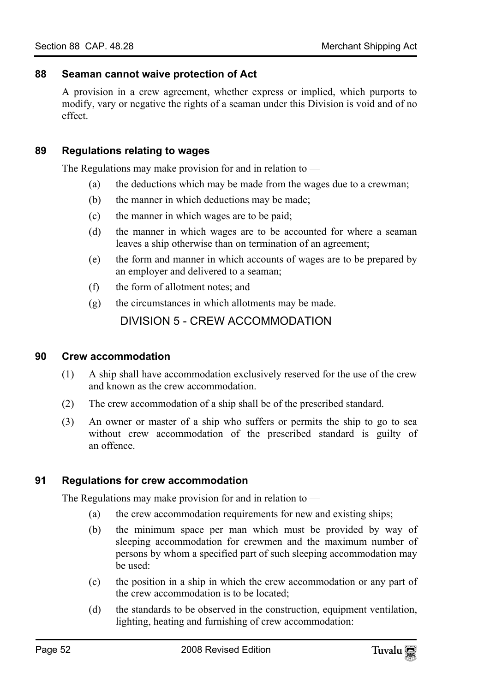#### **88 Seaman cannot waive protection of Act**

A provision in a crew agreement, whether express or implied, which purports to modify, vary or negative the rights of a seaman under this Division is void and of no effect.

#### **89 Regulations relating to wages**

The Regulations may make provision for and in relation to  $-$ 

- (a) the deductions which may be made from the wages due to a crewman;
- (b) the manner in which deductions may be made;
- (c) the manner in which wages are to be paid;
- (d) the manner in which wages are to be accounted for where a seaman leaves a ship otherwise than on termination of an agreement;
- (e) the form and manner in which accounts of wages are to be prepared by an employer and delivered to a seaman;
- (f) the form of allotment notes; and
- (g) the circumstances in which allotments may be made.

DIVISION 5 - CREW ACCOMMODATION

#### **90 Crew accommodation**

- (1) A ship shall have accommodation exclusively reserved for the use of the crew and known as the crew accommodation.
- (2) The crew accommodation of a ship shall be of the prescribed standard.
- (3) An owner or master of a ship who suffers or permits the ship to go to sea without crew accommodation of the prescribed standard is guilty of an offence.

#### **91 Regulations for crew accommodation**

The Regulations may make provision for and in relation to —

- (a) the crew accommodation requirements for new and existing ships;
- (b) the minimum space per man which must be provided by way of sleeping accommodation for crewmen and the maximum number of persons by whom a specified part of such sleeping accommodation may be used:
- (c) the position in a ship in which the crew accommodation or any part of the crew accommodation is to be located;
- (d) the standards to be observed in the construction, equipment ventilation, lighting, heating and furnishing of crew accommodation: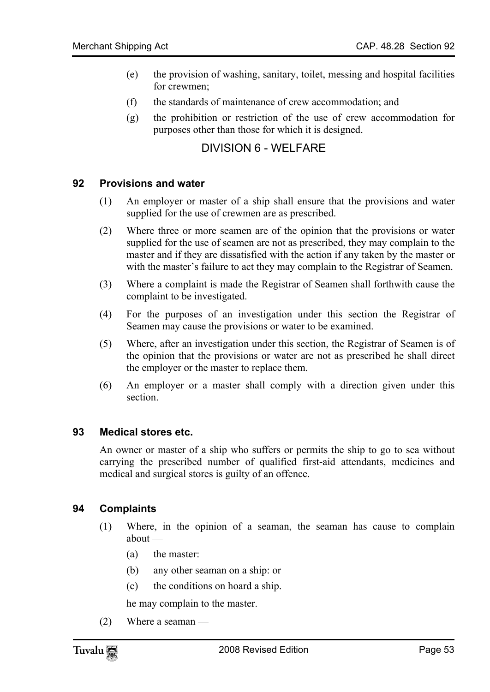- (e) the provision of washing, sanitary, toilet, messing and hospital facilities for crewmen;
- (f) the standards of maintenance of crew accommodation; and
- (g) the prohibition or restriction of the use of crew accommodation for purposes other than those for which it is designed.

# DIVISION 6 - WELFARE

#### **92 Provisions and water**

- (1) An employer or master of a ship shall ensure that the provisions and water supplied for the use of crewmen are as prescribed.
- (2) Where three or more seamen are of the opinion that the provisions or water supplied for the use of seamen are not as prescribed, they may complain to the master and if they are dissatisfied with the action if any taken by the master or with the master's failure to act they may complain to the Registrar of Seamen.
- (3) Where a complaint is made the Registrar of Seamen shall forthwith cause the complaint to be investigated.
- (4) For the purposes of an investigation under this section the Registrar of Seamen may cause the provisions or water to be examined.
- (5) Where, after an investigation under this section, the Registrar of Seamen is of the opinion that the provisions or water are not as prescribed he shall direct the employer or the master to replace them.
- (6) An employer or a master shall comply with a direction given under this section.

#### **93 Medical stores etc.**

An owner or master of a ship who suffers or permits the ship to go to sea without carrying the prescribed number of qualified first-aid attendants, medicines and medical and surgical stores is guilty of an offence.

#### **94 Complaints**

- (1) Where, in the opinion of a seaman, the seaman has cause to complain about —
	- (a) the master:
	- (b) any other seaman on a ship: or
	- (c) the conditions on hoard a ship.

he may complain to the master.

(2) Where a seaman —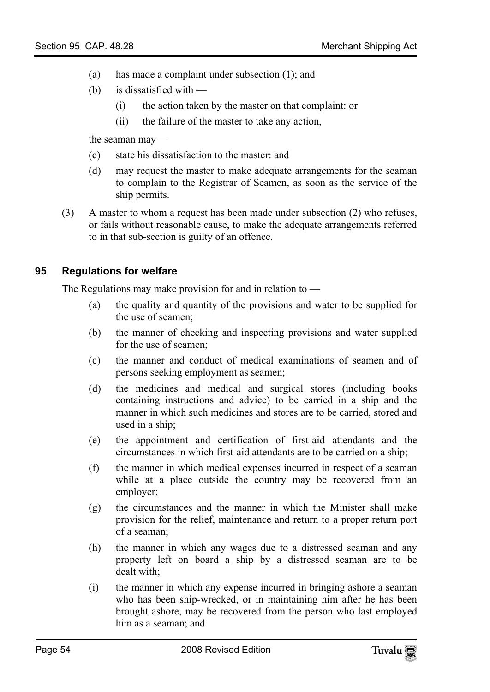- (a) has made a complaint under subsection (1); and
- (b) is dissatisfied with
	- (i) the action taken by the master on that complaint: or
	- (ii) the failure of the master to take any action,

the seaman may —

- (c) state his dissatisfaction to the master: and
- (d) may request the master to make adequate arrangements for the seaman to complain to the Registrar of Seamen, as soon as the service of the ship permits.
- (3) A master to whom a request has been made under subsection (2) who refuses, or fails without reasonable cause, to make the adequate arrangements referred to in that sub-section is guilty of an offence.

#### **95 Regulations for welfare**

The Regulations may make provision for and in relation to —

- (a) the quality and quantity of the provisions and water to be supplied for the use of seamen;
- (b) the manner of checking and inspecting provisions and water supplied for the use of seamen;
- (c) the manner and conduct of medical examinations of seamen and of persons seeking employment as seamen;
- (d) the medicines and medical and surgical stores (including books containing instructions and advice) to be carried in a ship and the manner in which such medicines and stores are to be carried, stored and used in a ship;
- (e) the appointment and certification of first-aid attendants and the circumstances in which first-aid attendants are to be carried on a ship;
- (f) the manner in which medical expenses incurred in respect of a seaman while at a place outside the country may be recovered from an employer;
- (g) the circumstances and the manner in which the Minister shall make provision for the relief, maintenance and return to a proper return port of a seaman;
- (h) the manner in which any wages due to a distressed seaman and any property left on board a ship by a distressed seaman are to be dealt with;
- (i) the manner in which any expense incurred in bringing ashore a seaman who has been ship-wrecked, or in maintaining him after he has been brought ashore, may be recovered from the person who last employed him as a seaman; and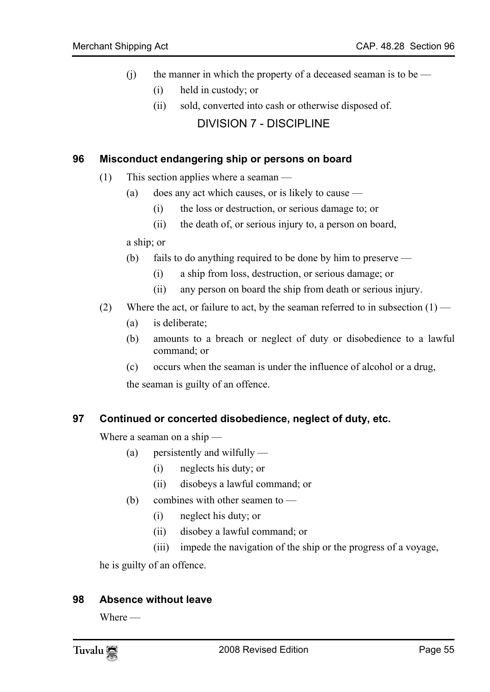- (i) the manner in which the property of a deceased seaman is to be
	- (i) held in custody; or
	- (ii) sold, converted into cash or otherwise disposed of.

DIVISION 7 - DISCIPLINE

#### **96 Misconduct endangering ship or persons on board**

- (1) This section applies where a seaman
	- (a) does any act which causes, or is likely to cause
		- (i) the loss or destruction, or serious damage to; or
		- (ii) the death of, or serious injury to, a person on board,

a ship; or

- (b) fails to do anything required to be done by him to preserve
	- (i) a ship from loss, destruction, or serious damage; or
	- (ii) any person on board the ship from death or serious injury.
- (2) Where the act, or failure to act, by the seaman referred to in subsection  $(1)$ 
	- (a) is deliberate;
	- (b) amounts to a breach or neglect of duty or disobedience to a lawful command; or
	- (c) occurs when the seaman is under the influence of alcohol or a drug,

the seaman is guilty of an offence.

#### **97 Continued or concerted disobedience, neglect of duty, etc.**

Where a seaman on a ship —

- (a) persistently and wilfully
	- (i) neglects his duty; or
	- (ii) disobeys a lawful command; or
- (b) combines with other seamen to
	- (i) neglect his duty; or
	- (ii) disobey a lawful command; or
	- (iii) impede the navigation of the ship or the progress of a voyage,

he is guilty of an offence.

#### **98 Absence without leave**

Where —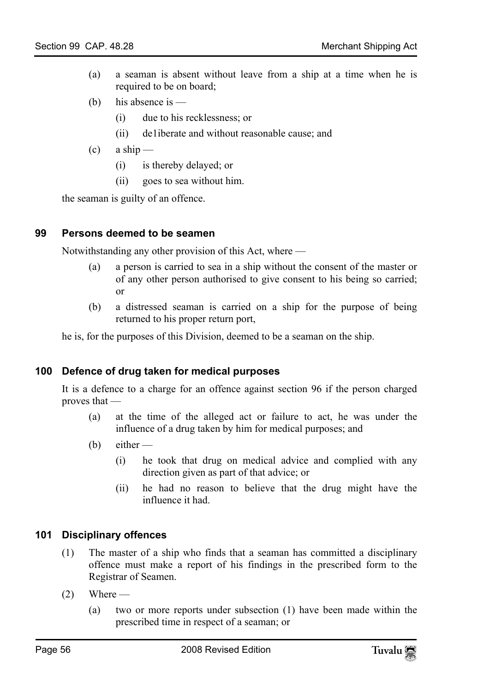- (a) a seaman is absent without leave from a ship at a time when he is required to be on board;
- (b) his absence is
	- (i) due to his recklessness; or
	- (ii) de1iberate and without reasonable cause; and
- $(c)$  a ship
	- (i) is thereby delayed; or
	- (ii) goes to sea without him.

the seaman is guilty of an offence.

#### **99 Persons deemed to be seamen**

Notwithstanding any other provision of this Act, where —

- (a) a person is carried to sea in a ship without the consent of the master or of any other person authorised to give consent to his being so carried; or
- (b) a distressed seaman is carried on a ship for the purpose of being returned to his proper return port,

he is, for the purposes of this Division, deemed to be a seaman on the ship.

#### **100 Defence of drug taken for medical purposes**

It is a defence to a charge for an offence against section 96 if the person charged proves that —

- (a) at the time of the alleged act or failure to act, he was under the influence of a drug taken by him for medical purposes; and
- $(b)$  either
	- (i) he took that drug on medical advice and complied with any direction given as part of that advice; or
	- (ii) he had no reason to believe that the drug might have the influence it had.

#### **101 Disciplinary offences**

- (1) The master of a ship who finds that a seaman has committed a disciplinary offence must make a report of his findings in the prescribed form to the Registrar of Seamen.
- $(2)$  Where
	- (a) two or more reports under subsection (1) have been made within the prescribed time in respect of a seaman; or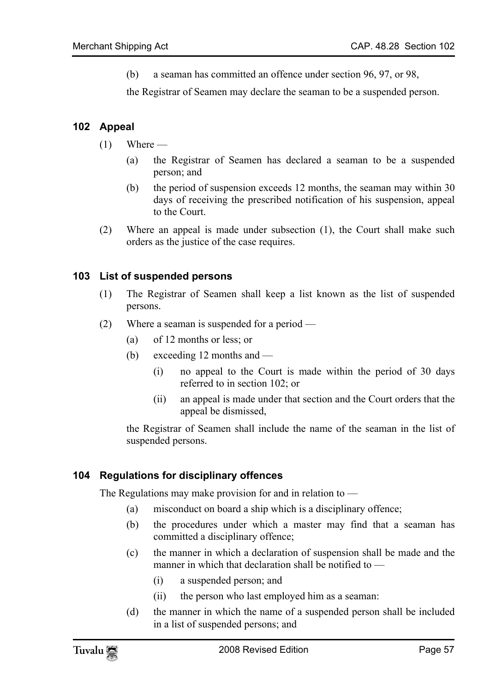(b) a seaman has committed an offence under section 96, 97, or 98,

the Registrar of Seamen may declare the seaman to be a suspended person.

## **102 Appeal**

- $(1)$  Where
	- (a) the Registrar of Seamen has declared a seaman to be a suspended person; and
	- (b) the period of suspension exceeds 12 months, the seaman may within 30 days of receiving the prescribed notification of his suspension, appeal to the Court.
- (2) Where an appeal is made under subsection (1), the Court shall make such orders as the justice of the case requires.

#### **103 List of suspended persons**

- (1) The Registrar of Seamen shall keep a list known as the list of suspended persons.
- (2) Where a seaman is suspended for a period
	- (a) of 12 months or less; or
	- (b) exceeding 12 months and
		- (i) no appeal to the Court is made within the period of 30 days referred to in section 102; or
		- (ii) an appeal is made under that section and the Court orders that the appeal be dismissed,

the Registrar of Seamen shall include the name of the seaman in the list of suspended persons.

# **104 Regulations for disciplinary offences**

The Regulations may make provision for and in relation to —

- (a) misconduct on board a ship which is a disciplinary offence;
- (b) the procedures under which a master may find that a seaman has committed a disciplinary offence;
- (c) the manner in which a declaration of suspension shall be made and the manner in which that declaration shall be notified to —
	- (i) a suspended person; and
	- (ii) the person who last employed him as a seaman:
- (d) the manner in which the name of a suspended person shall be included in a list of suspended persons; and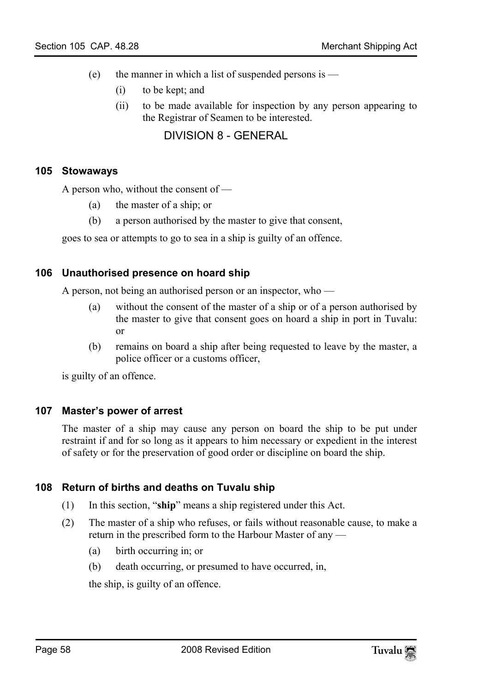- (e) the manner in which a list of suspended persons is  $-$ 
	- (i) to be kept; and
	- (ii) to be made available for inspection by any person appearing to the Registrar of Seamen to be interested.

# DIVISION 8 - GENERAL

#### **105 Stowaways**

A person who, without the consent of —

- (a) the master of a ship; or
- (b) a person authorised by the master to give that consent,

goes to sea or attempts to go to sea in a ship is guilty of an offence.

#### **106 Unauthorised presence on hoard ship**

A person, not being an authorised person or an inspector, who —

- (a) without the consent of the master of a ship or of a person authorised by the master to give that consent goes on hoard a ship in port in Tuvalu: or
- (b) remains on board a ship after being requested to leave by the master, a police officer or a customs officer,

is guilty of an offence.

#### **107 Master's power of arrest**

The master of a ship may cause any person on board the ship to be put under restraint if and for so long as it appears to him necessary or expedient in the interest of safety or for the preservation of good order or discipline on board the ship.

#### **108 Return of births and deaths on Tuvalu ship**

- (1) In this section, "**ship**" means a ship registered under this Act.
- (2) The master of a ship who refuses, or fails without reasonable cause, to make a return in the prescribed form to the Harbour Master of any —
	- (a) birth occurring in; or
	- (b) death occurring, or presumed to have occurred, in,

the ship, is guilty of an offence.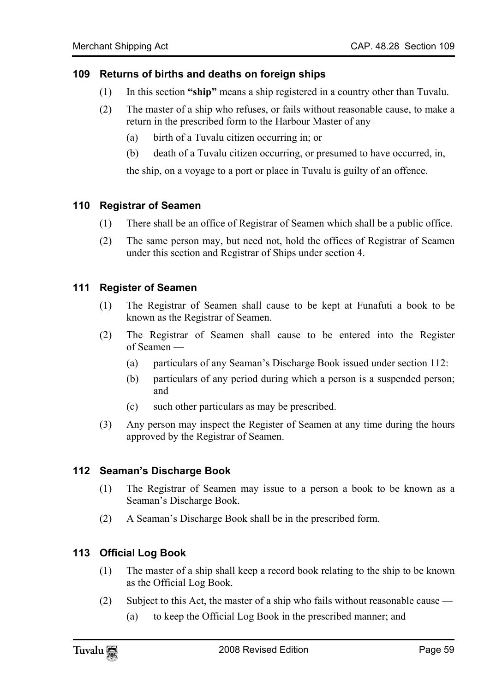#### **109 Returns of births and deaths on foreign ships**

- (1) In this section **"ship"** means a ship registered in a country other than Tuvalu.
- (2) The master of a ship who refuses, or fails without reasonable cause, to make a return in the prescribed form to the Harbour Master of any —
	- (a) birth of a Tuvalu citizen occurring in; or
	- (b) death of a Tuvalu citizen occurring, or presumed to have occurred, in,

the ship, on a voyage to a port or place in Tuvalu is guilty of an offence.

#### **110 Registrar of Seamen**

- (1) There shall be an office of Registrar of Seamen which shall be a public office.
- (2) The same person may, but need not, hold the offices of Registrar of Seamen under this section and Registrar of Ships under section 4.

#### **111 Register of Seamen**

- (1) The Registrar of Seamen shall cause to be kept at Funafuti a book to be known as the Registrar of Seamen.
- (2) The Registrar of Seamen shall cause to be entered into the Register of Seamen —
	- (a) particulars of any Seaman's Discharge Book issued under section 112:
	- (b) particulars of any period during which a person is a suspended person; and
	- (c) such other particulars as may be prescribed.
- (3) Any person may inspect the Register of Seamen at any time during the hours approved by the Registrar of Seamen.

#### **112 Seaman's Discharge Book**

- (1) The Registrar of Seamen may issue to a person a book to be known as a Seaman's Discharge Book.
- (2) A Seaman's Discharge Book shall be in the prescribed form.

#### **113 Official Log Book**

- (1) The master of a ship shall keep a record book relating to the ship to be known as the Official Log Book.
- (2) Subject to this Act, the master of a ship who fails without reasonable cause
	- (a) to keep the Official Log Book in the prescribed manner; and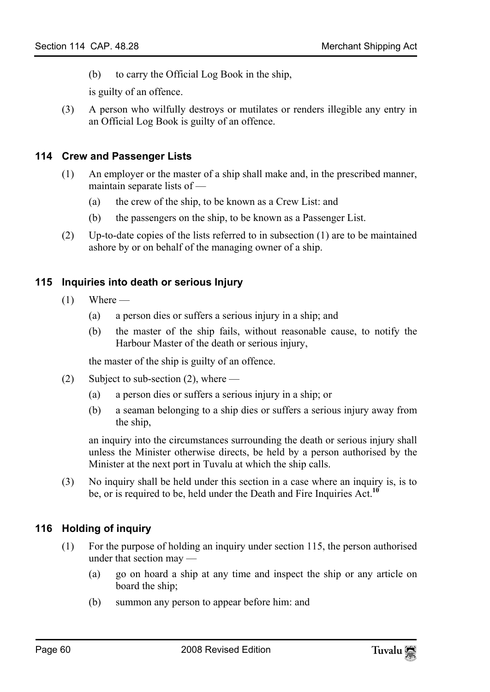(b) to carry the Official Log Book in the ship,

is guilty of an offence.

(3) A person who wilfully destroys or mutilates or renders illegible any entry in an Official Log Book is guilty of an offence.

#### **114 Crew and Passenger Lists**

- (1) An employer or the master of a ship shall make and, in the prescribed manner, maintain separate lists of —
	- (a) the crew of the ship, to be known as a Crew List: and
	- (b) the passengers on the ship, to be known as a Passenger List.
- (2) Up-to-date copies of the lists referred to in subsection (1) are to be maintained ashore by or on behalf of the managing owner of a ship.

#### **115 Inquiries into death or serious Injury**

- $(1)$  Where
	- (a) a person dies or suffers a serious injury in a ship; and
	- (b) the master of the ship fails, without reasonable cause, to notify the Harbour Master of the death or serious injury,

the master of the ship is guilty of an offence.

- (2) Subject to sub-section (2), where
	- (a) a person dies or suffers a serious injury in a ship; or
	- (b) a seaman belonging to a ship dies or suffers a serious injury away from the ship,

an inquiry into the circumstances surrounding the death or serious injury shall unless the Minister otherwise directs, be held by a person authorised by the Minister at the next port in Tuvalu at which the ship calls.

(3) No inquiry shall be held under this section in a case where an inquiry is, is to be, or is required to be, held under the Death and Fire Inquiries Act.**<sup>10</sup>**

# **116 Holding of inquiry**

- (1) For the purpose of holding an inquiry under section 115, the person authorised under that section may —
	- (a) go on hoard a ship at any time and inspect the ship or any article on board the ship;
	- (b) summon any person to appear before him: and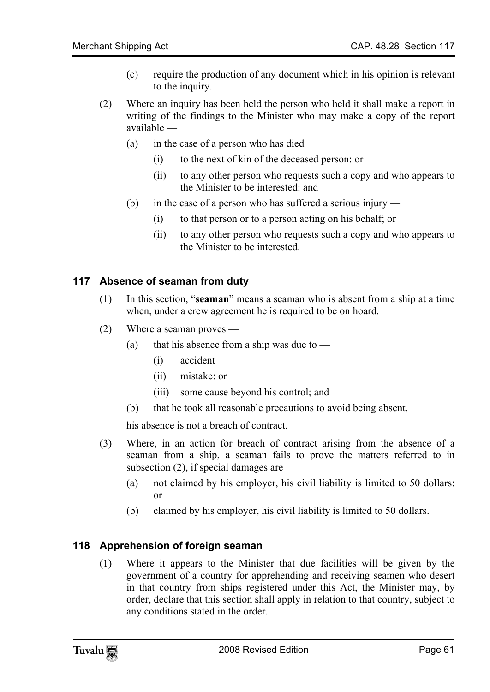- (c) require the production of any document which in his opinion is relevant to the inquiry.
- (2) Where an inquiry has been held the person who held it shall make a report in writing of the findings to the Minister who may make a copy of the report available —
	- (a) in the case of a person who has died
		- (i) to the next of kin of the deceased person: or
		- (ii) to any other person who requests such a copy and who appears to the Minister to be interested: and
	- (b) in the case of a person who has suffered a serious injury
		- (i) to that person or to a person acting on his behalf; or
		- (ii) to any other person who requests such a copy and who appears to the Minister to be interested.

#### **117 Absence of seaman from duty**

- (1) In this section, "**seaman**" means a seaman who is absent from a ship at a time when, under a crew agreement he is required to be on hoard.
- (2) Where a seaman proves
	- (a) that his absence from a ship was due to  $-$ 
		- (i) accident
		- (ii) mistake: or
		- (iii) some cause beyond his control; and
	- (b) that he took all reasonable precautions to avoid being absent,

his absence is not a breach of contract.

- (3) Where, in an action for breach of contract arising from the absence of a seaman from a ship, a seaman fails to prove the matters referred to in subsection  $(2)$ , if special damages are —
	- (a) not claimed by his employer, his civil liability is limited to 50 dollars: or
	- (b) claimed by his employer, his civil liability is limited to 50 dollars.

#### **118 Apprehension of foreign seaman**

(1) Where it appears to the Minister that due facilities will be given by the government of a country for apprehending and receiving seamen who desert in that country from ships registered under this Act, the Minister may, by order, declare that this section shall apply in relation to that country, subject to any conditions stated in the order.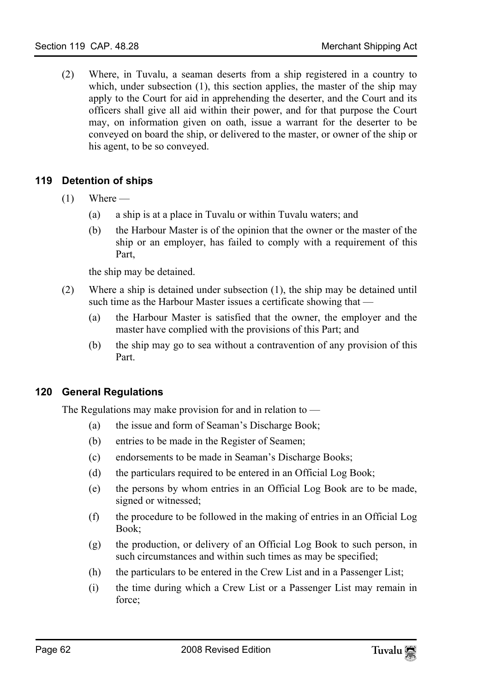(2) Where, in Tuvalu, a seaman deserts from a ship registered in a country to which, under subsection (1), this section applies, the master of the ship may apply to the Court for aid in apprehending the deserter, and the Court and its officers shall give all aid within their power, and for that purpose the Court may, on information given on oath, issue a warrant for the deserter to be conveyed on board the ship, or delivered to the master, or owner of the ship or his agent, to be so conveyed.

# **119 Detention of ships**

- $(1)$  Where
	- (a) a ship is at a place in Tuvalu or within Tuvalu waters; and
	- (b) the Harbour Master is of the opinion that the owner or the master of the ship or an employer, has failed to comply with a requirement of this Part,

the ship may be detained.

- (2) Where a ship is detained under subsection (1), the ship may be detained until such time as the Harbour Master issues a certificate showing that —
	- (a) the Harbour Master is satisfied that the owner, the employer and the master have complied with the provisions of this Part; and
	- (b) the ship may go to sea without a contravention of any provision of this Part.

# **120 General Regulations**

The Regulations may make provision for and in relation to —

- (a) the issue and form of Seaman's Discharge Book;
- (b) entries to be made in the Register of Seamen;
- (c) endorsements to be made in Seaman's Discharge Books;
- (d) the particulars required to be entered in an Official Log Book;
- (e) the persons by whom entries in an Official Log Book are to be made, signed or witnessed;
- (f) the procedure to be followed in the making of entries in an Official Log Book;
- (g) the production, or delivery of an Official Log Book to such person, in such circumstances and within such times as may be specified;
- (h) the particulars to be entered in the Crew List and in a Passenger List;
- (i) the time during which a Crew List or a Passenger List may remain in force;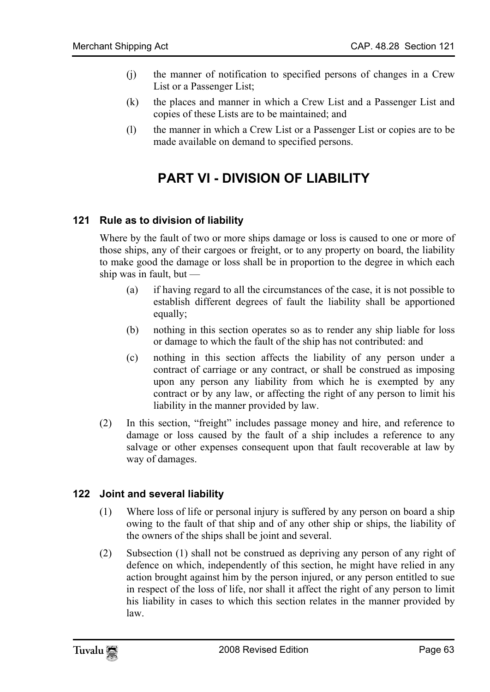- (j) the manner of notification to specified persons of changes in a Crew List or a Passenger List;
- (k) the places and manner in which a Crew List and a Passenger List and copies of these Lists are to be maintained; and
- (l) the manner in which a Crew List or a Passenger List or copies are to be made available on demand to specified persons.

# **PART VI - DIVISION OF LIABILITY**

#### **121 Rule as to division of liability**

Where by the fault of two or more ships damage or loss is caused to one or more of those ships, any of their cargoes or freight, or to any property on board, the liability to make good the damage or loss shall be in proportion to the degree in which each ship was in fault, but  $-$ 

- (a) if having regard to all the circumstances of the case, it is not possible to establish different degrees of fault the liability shall be apportioned equally;
- (b) nothing in this section operates so as to render any ship liable for loss or damage to which the fault of the ship has not contributed: and
- (c) nothing in this section affects the liability of any person under a contract of carriage or any contract, or shall be construed as imposing upon any person any liability from which he is exempted by any contract or by any law, or affecting the right of any person to limit his liability in the manner provided by law.
- (2) In this section, "freight" includes passage money and hire, and reference to damage or loss caused by the fault of a ship includes a reference to any salvage or other expenses consequent upon that fault recoverable at law by way of damages.

#### **122 Joint and several liability**

- (1) Where loss of life or personal injury is suffered by any person on board a ship owing to the fault of that ship and of any other ship or ships, the liability of the owners of the ships shall be joint and several.
- (2) Subsection (1) shall not be construed as depriving any person of any right of defence on which, independently of this section, he might have relied in any action brought against him by the person injured, or any person entitled to sue in respect of the loss of life, nor shall it affect the right of any person to limit his liability in cases to which this section relates in the manner provided by law.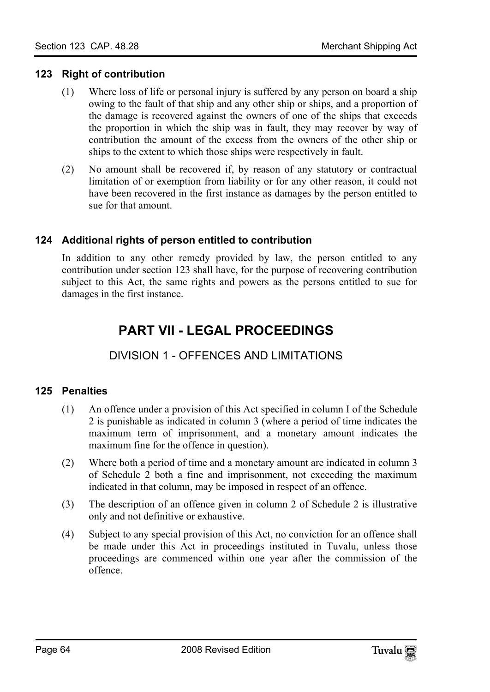#### **123 Right of contribution**

- (1) Where loss of life or personal injury is suffered by any person on board a ship owing to the fault of that ship and any other ship or ships, and a proportion of the damage is recovered against the owners of one of the ships that exceeds the proportion in which the ship was in fault, they may recover by way of contribution the amount of the excess from the owners of the other ship or ships to the extent to which those ships were respectively in fault.
- (2) No amount shall be recovered if, by reason of any statutory or contractual limitation of or exemption from liability or for any other reason, it could not have been recovered in the first instance as damages by the person entitled to sue for that amount.

#### **124 Additional rights of person entitled to contribution**

In addition to any other remedy provided by law, the person entitled to any contribution under section 123 shall have, for the purpose of recovering contribution subject to this Act, the same rights and powers as the persons entitled to sue for damages in the first instance.

# **PART VII - LEGAL PROCEEDINGS**

# DIVISION 1 - OFFENCES AND LIMITATIONS

# **125 Penalties**

- (1) An offence under a provision of this Act specified in column I of the Schedule 2 is punishable as indicated in column 3 (where a period of time indicates the maximum term of imprisonment, and a monetary amount indicates the maximum fine for the offence in question).
- (2) Where both a period of time and a monetary amount are indicated in column 3 of Schedule 2 both a fine and imprisonment, not exceeding the maximum indicated in that column, may be imposed in respect of an offence.
- (3) The description of an offence given in column 2 of Schedule 2 is illustrative only and not definitive or exhaustive.
- (4) Subject to any special provision of this Act, no conviction for an offence shall be made under this Act in proceedings instituted in Tuvalu, unless those proceedings are commenced within one year after the commission of the offence.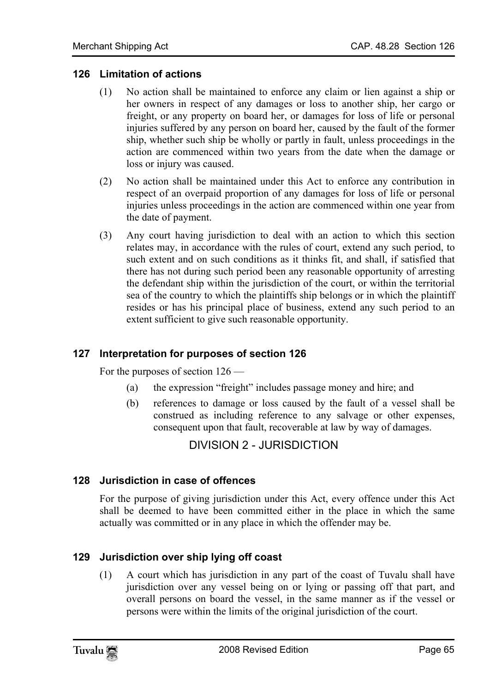#### **126 Limitation of actions**

- (1) No action shall be maintained to enforce any claim or lien against a ship or her owners in respect of any damages or loss to another ship, her cargo or freight, or any property on board her, or damages for loss of life or personal injuries suffered by any person on board her, caused by the fault of the former ship, whether such ship be wholly or partly in fault, unless proceedings in the action are commenced within two years from the date when the damage or loss or injury was caused.
- (2) No action shall be maintained under this Act to enforce any contribution in respect of an overpaid proportion of any damages for loss of life or personal injuries unless proceedings in the action are commenced within one year from the date of payment.
- (3) Any court having jurisdiction to deal with an action to which this section relates may, in accordance with the rules of court, extend any such period, to such extent and on such conditions as it thinks fit, and shall, if satisfied that there has not during such period been any reasonable opportunity of arresting the defendant ship within the jurisdiction of the court, or within the territorial sea of the country to which the plaintiffs ship belongs or in which the plaintiff resides or has his principal place of business, extend any such period to an extent sufficient to give such reasonable opportunity.

# **127 Interpretation for purposes of section 126**

For the purposes of section 126 —

- (a) the expression "freight" includes passage money and hire; and
- (b) references to damage or loss caused by the fault of a vessel shall be construed as including reference to any salvage or other expenses, consequent upon that fault, recoverable at law by way of damages.

DIVISION 2 - JURISDICTION

#### **128 Jurisdiction in case of offences**

For the purpose of giving jurisdiction under this Act, every offence under this Act shall be deemed to have been committed either in the place in which the same actually was committed or in any place in which the offender may be.

# **129 Jurisdiction over ship lying off coast**

(1) A court which has jurisdiction in any part of the coast of Tuvalu shall have jurisdiction over any vessel being on or lying or passing off that part, and overall persons on board the vessel, in the same manner as if the vessel or persons were within the limits of the original jurisdiction of the court.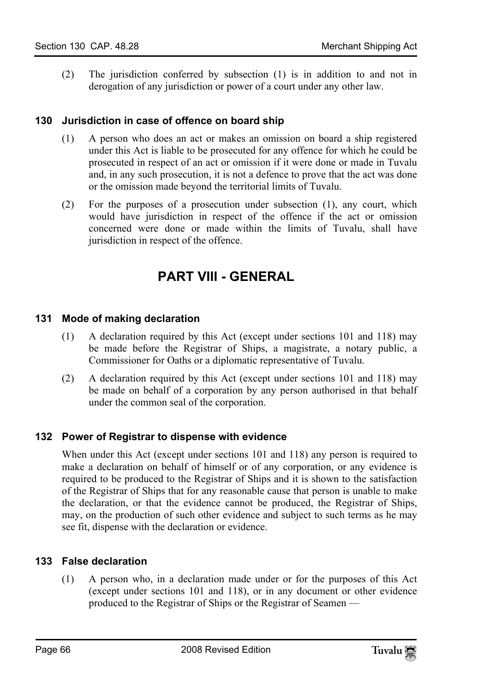(2) The jurisdiction conferred by subsection (1) is in addition to and not in derogation of any jurisdiction or power of a court under any other law.

## **130 Jurisdiction in case of offence on board ship**

- (1) A person who does an act or makes an omission on board a ship registered under this Act is liable to be prosecuted for any offence for which he could be prosecuted in respect of an act or omission if it were done or made in Tuvalu and, in any such prosecution, it is not a defence to prove that the act was done or the omission made beyond the territorial limits of Tuvalu.
- (2) For the purposes of a prosecution under subsection (1), any court, which would have jurisdiction in respect of the offence if the act or omission concerned were done or made within the limits of Tuvalu, shall have jurisdiction in respect of the offence.

# **PART VIII - GENERAL**

#### **131 Mode of making declaration**

- (1) A declaration required by this Act (except under sections 101 and 118) may be made before the Registrar of Ships, a magistrate, a notary public, a Commissioner for Oaths or a diplomatic representative of Tuvalu.
- (2) A declaration required by this Act (except under sections 101 and 118) may be made on behalf of a corporation by any person authorised in that behalf under the common seal of the corporation.

#### **132 Power of Registrar to dispense with evidence**

When under this Act (except under sections 101 and 118) any person is required to make a declaration on behalf of himself or of any corporation, or any evidence is required to be produced to the Registrar of Ships and it is shown to the satisfaction of the Registrar of Ships that for any reasonable cause that person is unable to make the declaration, or that the evidence cannot be produced, the Registrar of Ships, may, on the production of such other evidence and subject to such terms as he may see fit, dispense with the declaration or evidence.

# **133 False declaration**

(1) A person who, in a declaration made under or for the purposes of this Act (except under sections 101 and 118), or in any document or other evidence produced to the Registrar of Ships or the Registrar of Seamen —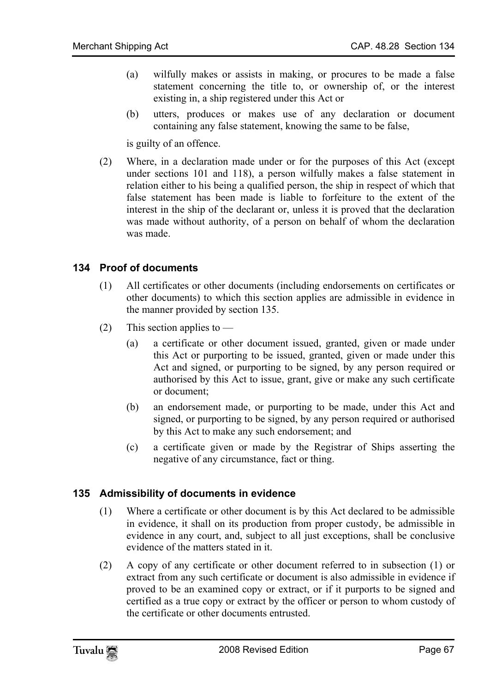- (a) wilfully makes or assists in making, or procures to be made a false statement concerning the title to, or ownership of, or the interest existing in, a ship registered under this Act or
- (b) utters, produces or makes use of any declaration or document containing any false statement, knowing the same to be false,

is guilty of an offence.

(2) Where, in a declaration made under or for the purposes of this Act (except under sections 101 and 118), a person wilfully makes a false statement in relation either to his being a qualified person, the ship in respect of which that false statement has been made is liable to forfeiture to the extent of the interest in the ship of the declarant or, unless it is proved that the declaration was made without authority, of a person on behalf of whom the declaration was made.

#### **134 Proof of documents**

- (1) All certificates or other documents (including endorsements on certificates or other documents) to which this section applies are admissible in evidence in the manner provided by section 135.
- (2) This section applies to
	- (a) a certificate or other document issued, granted, given or made under this Act or purporting to be issued, granted, given or made under this Act and signed, or purporting to be signed, by any person required or authorised by this Act to issue, grant, give or make any such certificate or document;
	- (b) an endorsement made, or purporting to be made, under this Act and signed, or purporting to be signed, by any person required or authorised by this Act to make any such endorsement; and
	- (c) a certificate given or made by the Registrar of Ships asserting the negative of any circumstance, fact or thing.

#### **135 Admissibility of documents in evidence**

- (1) Where a certificate or other document is by this Act declared to be admissible in evidence, it shall on its production from proper custody, be admissible in evidence in any court, and, subject to all just exceptions, shall be conclusive evidence of the matters stated in it.
- (2) A copy of any certificate or other document referred to in subsection (1) or extract from any such certificate or document is also admissible in evidence if proved to be an examined copy or extract, or if it purports to be signed and certified as a true copy or extract by the officer or person to whom custody of the certificate or other documents entrusted.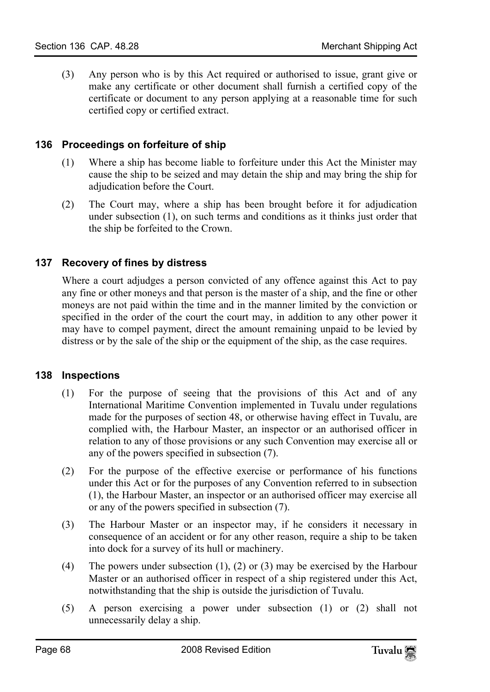(3) Any person who is by this Act required or authorised to issue, grant give or make any certificate or other document shall furnish a certified copy of the certificate or document to any person applying at a reasonable time for such certified copy or certified extract.

## **136 Proceedings on forfeiture of ship**

- (1) Where a ship has become liable to forfeiture under this Act the Minister may cause the ship to be seized and may detain the ship and may bring the ship for adjudication before the Court.
- (2) The Court may, where a ship has been brought before it for adjudication under subsection (1), on such terms and conditions as it thinks just order that the ship be forfeited to the Crown.

# **137 Recovery of fines by distress**

Where a court adjudges a person convicted of any offence against this Act to pay any fine or other moneys and that person is the master of a ship, and the fine or other moneys are not paid within the time and in the manner limited by the conviction or specified in the order of the court the court may, in addition to any other power it may have to compel payment, direct the amount remaining unpaid to be levied by distress or by the sale of the ship or the equipment of the ship, as the case requires.

#### **138 Inspections**

- (1) For the purpose of seeing that the provisions of this Act and of any International Maritime Convention implemented in Tuvalu under regulations made for the purposes of section 48, or otherwise having effect in Tuvalu, are complied with, the Harbour Master, an inspector or an authorised officer in relation to any of those provisions or any such Convention may exercise all or any of the powers specified in subsection (7).
- (2) For the purpose of the effective exercise or performance of his functions under this Act or for the purposes of any Convention referred to in subsection (1), the Harbour Master, an inspector or an authorised officer may exercise all or any of the powers specified in subsection (7).
- (3) The Harbour Master or an inspector may, if he considers it necessary in consequence of an accident or for any other reason, require a ship to be taken into dock for a survey of its hull or machinery.
- (4) The powers under subsection (1), (2) or (3) may be exercised by the Harbour Master or an authorised officer in respect of a ship registered under this Act, notwithstanding that the ship is outside the jurisdiction of Tuvalu.
- (5) A person exercising a power under subsection (1) or (2) shall not unnecessarily delay a ship.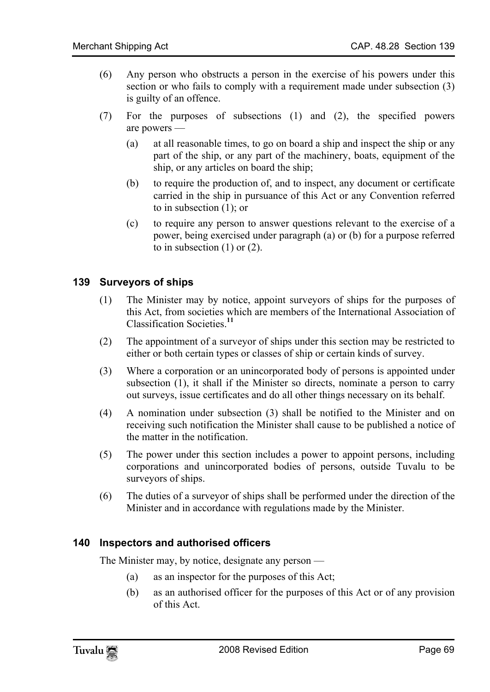- (6) Any person who obstructs a person in the exercise of his powers under this section or who fails to comply with a requirement made under subsection (3) is guilty of an offence.
- (7) For the purposes of subsections (1) and (2), the specified powers are powers —
	- (a) at all reasonable times, to go on board a ship and inspect the ship or any part of the ship, or any part of the machinery, boats, equipment of the ship, or any articles on board the ship;
	- (b) to require the production of, and to inspect, any document or certificate carried in the ship in pursuance of this Act or any Convention referred to in subsection (1); or
	- (c) to require any person to answer questions relevant to the exercise of a power, being exercised under paragraph (a) or (b) for a purpose referred to in subsection  $(1)$  or  $(2)$ .

#### **139 Surveyors of ships**

- (1) The Minister may by notice, appoint surveyors of ships for the purposes of this Act, from societies which are members of the International Association of Classification Societies.**<sup>11</sup>**
- (2) The appointment of a surveyor of ships under this section may be restricted to either or both certain types or classes of ship or certain kinds of survey.
- (3) Where a corporation or an unincorporated body of persons is appointed under subsection (1), it shall if the Minister so directs, nominate a person to carry out surveys, issue certificates and do all other things necessary on its behalf.
- (4) A nomination under subsection (3) shall be notified to the Minister and on receiving such notification the Minister shall cause to be published a notice of the matter in the notification.
- (5) The power under this section includes a power to appoint persons, including corporations and unincorporated bodies of persons, outside Tuvalu to be surveyors of ships.
- (6) The duties of a surveyor of ships shall be performed under the direction of the Minister and in accordance with regulations made by the Minister.

#### **140 Inspectors and authorised officers**

The Minister may, by notice, designate any person —

- (a) as an inspector for the purposes of this Act;
- (b) as an authorised officer for the purposes of this Act or of any provision of this Act.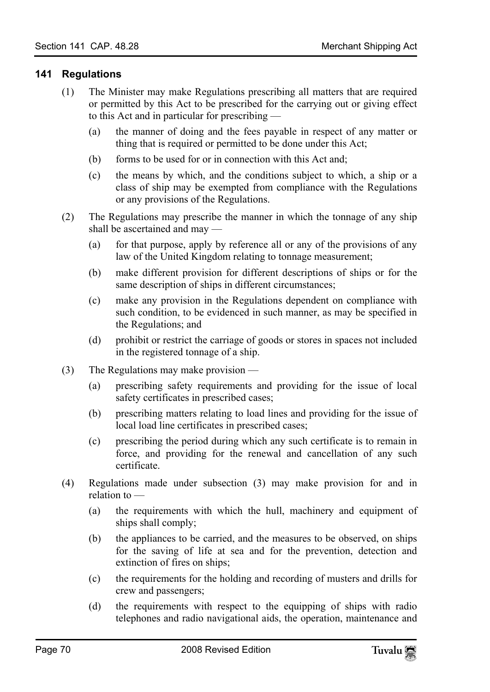#### **141 Regulations**

- (1) The Minister may make Regulations prescribing all matters that are required or permitted by this Act to be prescribed for the carrying out or giving effect to this Act and in particular for prescribing —
	- (a) the manner of doing and the fees payable in respect of any matter or thing that is required or permitted to be done under this Act;
	- (b) forms to be used for or in connection with this Act and;
	- (c) the means by which, and the conditions subject to which, a ship or a class of ship may be exempted from compliance with the Regulations or any provisions of the Regulations.
- (2) The Regulations may prescribe the manner in which the tonnage of any ship shall be ascertained and may —
	- (a) for that purpose, apply by reference all or any of the provisions of any law of the United Kingdom relating to tonnage measurement;
	- (b) make different provision for different descriptions of ships or for the same description of ships in different circumstances;
	- (c) make any provision in the Regulations dependent on compliance with such condition, to be evidenced in such manner, as may be specified in the Regulations; and
	- (d) prohibit or restrict the carriage of goods or stores in spaces not included in the registered tonnage of a ship.
- (3) The Regulations may make provision
	- (a) prescribing safety requirements and providing for the issue of local safety certificates in prescribed cases;
	- (b) prescribing matters relating to load lines and providing for the issue of local load line certificates in prescribed cases;
	- (c) prescribing the period during which any such certificate is to remain in force, and providing for the renewal and cancellation of any such certificate.
- (4) Regulations made under subsection (3) may make provision for and in relation to —
	- (a) the requirements with which the hull, machinery and equipment of ships shall comply;
	- (b) the appliances to be carried, and the measures to be observed, on ships for the saving of life at sea and for the prevention, detection and extinction of fires on ships;
	- (c) the requirements for the holding and recording of musters and drills for crew and passengers;
	- (d) the requirements with respect to the equipping of ships with radio telephones and radio navigational aids, the operation, maintenance and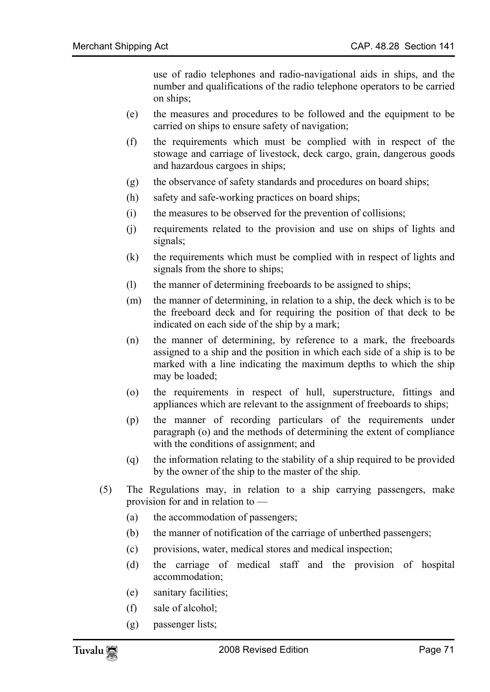use of radio telephones and radio-navigational aids in ships, and the number and qualifications of the radio telephone operators to be carried on ships;

- (e) the measures and procedures to be followed and the equipment to be carried on ships to ensure safety of navigation;
- (f) the requirements which must be complied with in respect of the stowage and carriage of livestock, deck cargo, grain, dangerous goods and hazardous cargoes in ships;
- (g) the observance of safety standards and procedures on board ships;
- (h) safety and safe-working practices on board ships;
- (i) the measures to be observed for the prevention of collisions;
- (j) requirements related to the provision and use on ships of lights and signals;
- (k) the requirements which must be complied with in respect of lights and signals from the shore to ships;
- (l) the manner of determining freeboards to be assigned to ships;
- (m) the manner of determining, in relation to a ship, the deck which is to be the freeboard deck and for requiring the position of that deck to be indicated on each side of the ship by a mark;
- (n) the manner of determining, by reference to a mark, the freeboards assigned to a ship and the position in which each side of a ship is to be marked with a line indicating the maximum depths to which the ship may be loaded;
- (o) the requirements in respect of hull, superstructure, fittings and appliances which are relevant to the assignment of freeboards to ships;
- (p) the manner of recording particulars of the requirements under paragraph (o) and the methods of determining the extent of compliance with the conditions of assignment; and
- (q) the information relating to the stability of a ship required to be provided by the owner of the ship to the master of the ship.
- (5) The Regulations may, in relation to a ship carrying passengers, make provision for and in relation to —
	- (a) the accommodation of passengers;
	- (b) the manner of notification of the carriage of unberthed passengers;
	- (c) provisions, water, medical stores and medical inspection;
	- (d) the carriage of medical staff and the provision of hospital accommodation;
	- (e) sanitary facilities;
	- (f) sale of alcohol;
	- (g) passenger lists;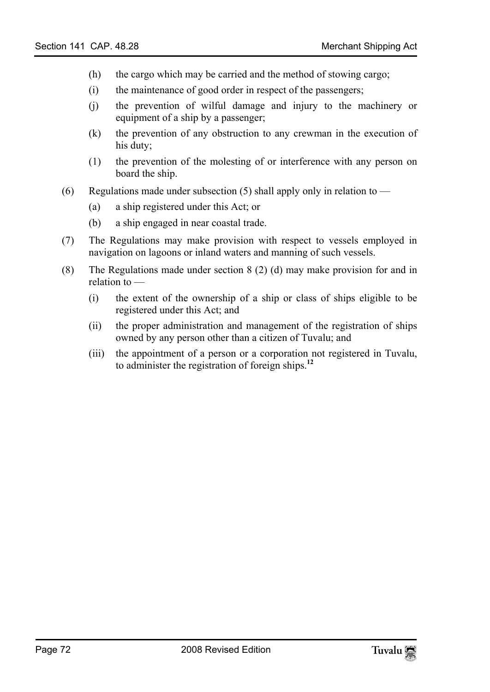- (h) the cargo which may be carried and the method of stowing cargo;
- (i) the maintenance of good order in respect of the passengers;
- (j) the prevention of wilful damage and injury to the machinery or equipment of a ship by a passenger;
- (k) the prevention of any obstruction to any crewman in the execution of his duty;
- (1) the prevention of the molesting of or interference with any person on board the ship.
- (6) Regulations made under subsection (5) shall apply only in relation to  $-$ 
	- (a) a ship registered under this Act; or
	- (b) a ship engaged in near coastal trade.
- (7) The Regulations may make provision with respect to vessels employed in navigation on lagoons or inland waters and manning of such vessels.
- (8) The Regulations made under section 8 (2) (d) may make provision for and in relation to —
	- (i) the extent of the ownership of a ship or class of ships el[igi](#page-80-1)ble to be registered under this Act; and
	- (ii) the proper administration and management of the registration of ships owned by any person other than a citizen of Tuvalu; and
	- (iii) the appointment of a person or a corporation not registered in Tuvalu, to administer the registration of foreign ships.**<sup>12</sup>**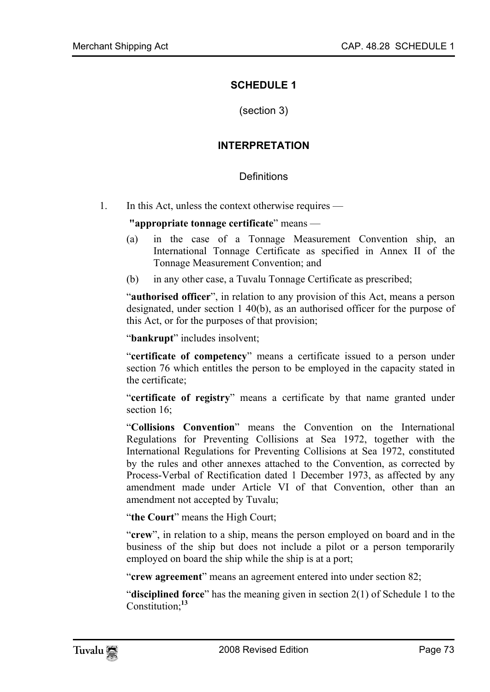## **SCHEDULE 1**

(section 3)

#### **INTERPRETATION**

#### Definitions

1. In this Act, unless the context otherwise requires —

**"appropriate tonnage certificate**" means —

- (a) in the case of a Tonnage Measurement Convention ship, an International Tonnage Certificate as specified in Annex II of the Tonnage Measurement Convention; and
- (b) in any other case, a Tuvalu Tonnage Certificate as prescribed;

"**authorised officer**", in relation to any provision of this Act, means a person designated, under section 1 40(b), as an authorised officer for the purpose of this Act, or for the purposes of that provision;

"**bankrupt**" includes insolvent;

"**certificate of competency**" means a certificate issued to a person under section 76 which entitles the person to be employed in the capacity stated in the certificate;

"**certificate of registry**" means a certificate by that name granted under section 16:

"**Collisions Convention**" means the Convention on the International Regulations for Preventing Collisions at Sea 1972, together with the International Regulations for Preventing Collisions at Sea 1972, constituted by the rules and other annexes attached to the Convention, as corrected by Process-Verbal of Rectification dated 1 December 1973, as affected by any amendment made under Article VI of that Convention, other than an amendment not accepted by Tuvalu;

"the Court" means the High Court;

"**crew**", in relation to a ship, means the person employed on board and in the business of the ship but [doe](#page-80-0)s not include a pilot or a person temporarily employed on board the ship while the ship is at a port;

"**crew agreement**" means an agreement entered into under section 82;

"**disciplined force**" has the meaning given in section 2(1) of Schedule 1 to the Constitution;**<sup>13</sup>**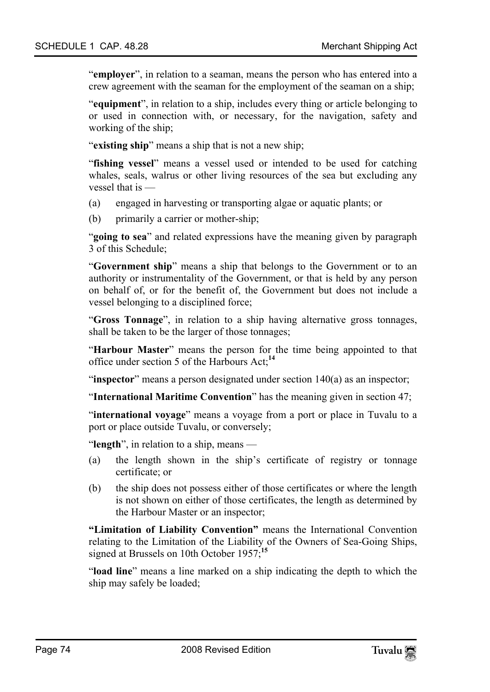"**employer**", in relation to a seaman, means the person who has entered into a crew agreement with the seaman for the employment of the seaman on a ship;

"**equipment**", in relation to a ship, includes every thing or article belonging to or used in connection with, or necessary, for the navigation, safety and working of the ship;

"**existing ship**" means a ship that is not a new ship;

"**fishing vessel**" means a vessel used or intended to be used for catching whales, seals, walrus or other living resources of the sea but excluding any vessel that is —

- (a) engaged in harvesting or transporting algae or aquatic plants; or
- (b) primarily a carrier or mother-ship;

"**going to sea**" and related expressions have the meaning given by paragraph 3 of this Schedule;

"**Government ship**" means a ship that belongs to the Government or to an authority or instrumentality of the Government, or that is held by any person on behalf of, or for the benefit of, the Government but does not include a vessel belonging to a disciplined force;

"**Gross Tonnage**", in relation to a ship having alternative gross tonnages, shall be taken to be the larger of those tonnages;

"**Harbour Master**" means the person for the time being appointed to that office under section 5 of the Harbours Act;**<sup>14</sup>**

"**inspector**" means a person designated under section 140(a) as an inspector;

"**International Maritime Convention**" has the meaning given in section 47;

"**international voyage**" means a voyage from a port or place in Tuvalu to a port or place outside Tuvalu, or conversely;

"**length**", in relation to a ship, means —

- (a) the length shown in the ship's certificate of registry or tonnage certificate; or
- (b) the ship does not possess either of those certificates or where the length is not shown on either of those certificates, the l[eng](#page-80-1)th as determined by the Harbour Master or an inspector;

**"Limitation of Liability Convention"** means the International Convention relating to the Limitation of the Liability of the Owners of Sea-Going Ships, signed at Brussels on 10th October 1957;**<sup>15</sup>**

"**load line**" means a line marked on a ship indicating the depth to which the ship may safely be loaded;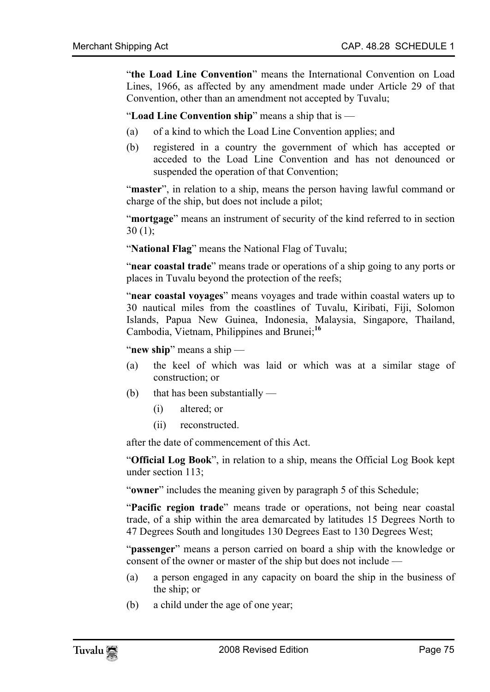"**the Load Line Convention**" means the International Convention on Load Lines, 1966, as affected by any amendment made under Article 29 of that Convention, other than an amendment not accepted by Tuvalu;

"**Load Line Convention ship**" means a ship that is —

- (a) of a kind to which the Load Line Convention applies; and
- (b) registered in a country the government of which has accepted or acceded to the Load Line Convention and has not denounced or suspended the operation of that Convention;

"**master**", in relation to a ship, means the person having lawful command or charge of the ship, but does not include a pilot;

"**mortgage**" means an instrument of security of the kind referred to in section  $30(1)$ ;

"**National Flag**" means the National Flag of Tuvalu;

"**near coastal trade**" means trade or operations of a ship g[oin](#page-80-2)g to any ports or places in Tuvalu beyond the protection of the reefs;

"**near coastal voyages**" means voyages and trade within coastal waters up to 30 nautical miles from the coastlines of Tuvalu, Kiribati, Fiji, Solomon Islands, Papua New Guinea, Indonesia, Malaysia, Singapore, Thailand, Cambodia, Vietnam, Philippines and Brunei;**<sup>16</sup>**

"**new ship**" means a ship —

- (a) the keel of which was laid or which was at a similar stage of construction; or
- (b) that has been substantially
	- (i) altered; or
	- (ii) reconstructed.

after the date of commencement of this Act.

"**Official Log Book**", in relation to a ship, means the Official Log Book kept under section 113;

"**owner**" includes the meaning given by paragraph 5 of this Schedule;

"**Pacific region trade**" means trade or operations, not being near coastal trade, of a ship within the area demarcated by latitudes 15 Degrees North to 47 Degrees South and longitudes 130 Degrees East to 130 Degrees West;

"**passenger**" means a person carried on board a ship with the knowledge or consent of the owner or master of the ship but does not include —

- (a) a person engaged in any capacity on board the ship in the business of the ship; or
- (b) a child under the age of one year;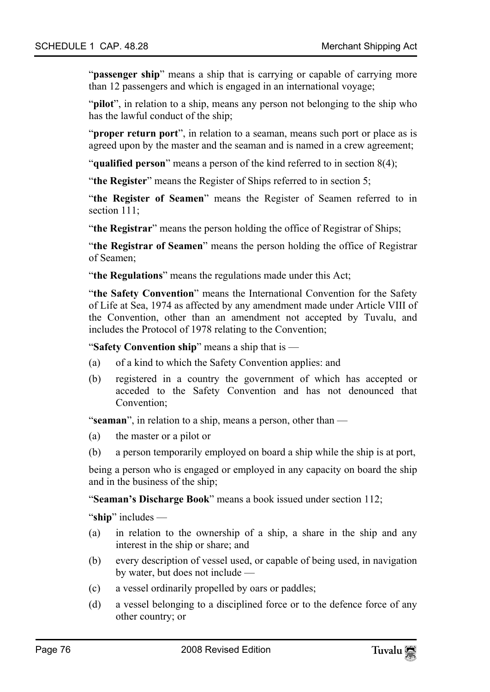"**passenger ship**" means a ship that is carrying or capable of carrying more than 12 passengers and which is engaged in an international voyage;

"**pilot**", in relation to a ship, means any person not belonging to the ship who has the lawful conduct of the ship;

"**proper return port**", in relation to a seaman, means such port or place as is agreed upon by the master and the seaman and is named in a crew agreement;

"**qualified person**" means a person of the kind referred to in section 8(4);

"**the Register**" means the Register of Ships referred to in section 5;

"**the Register of Seamen**" means the Register of Seamen referred to in section 111;

"**the Registrar**" means the person holding the office of Registrar of Ships;

"**the Registrar of Seamen**" means the person holding the office of Registrar of Seamen;

"**the Regulations**" means the regulations made under this Act;

"**the Safety Convention**" means the International Convention for the Safety of Life at Sea, 1974 as affected by any amendment made under Article VIII of the Convention, other than an amendment not accepted by Tuvalu, and includes the Protocol of 1978 relating to the Convention;

"**Safety Convention ship**" means a ship that is —

- (a) of a kind to which the Safety Convention applies: and
- (b) registered in a country the government of which has accepted or acceded to the Safety Convention and has not denounced that Convention;

"**seaman**", in relation to a ship, means a person, other than —

- (a) the master or a pilot or
- (b) a person temporarily employed on board a ship while the ship is at port,

being a person who is engaged or employed in any capacity on board the ship and in the business of the ship;

"**Seaman's Discharge Book**" means a book issued under section 112;

"**ship**" includes —

- (a) in relation to the ownership of a ship, a share in the ship and any interest in the ship or share; and
- (b) every description of vessel used, or capable of being used, in navigation by water, but does not include —
- (c) a vessel ordinarily propelled by oars or paddles;
- (d) a vessel belonging to a disciplined force or to the defence force of any other country; or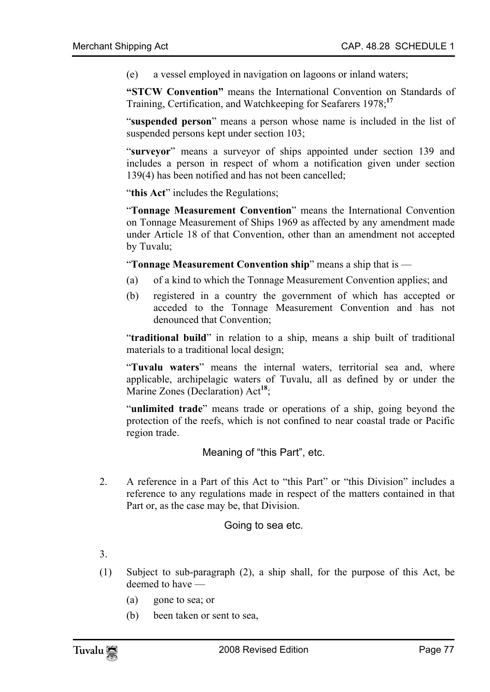(e) a vessel employed in navigation on lagoons or inland waters;

**"STCW Convention"** means the International Convention on Standards of Training, Certification, and Watchkeeping for Seafarers 1978;**<sup>17</sup>**

"**suspended person**" means a person whose name is included in the list of suspended persons kept under section 103;

"**surveyor**" means a surveyor of ships appointed under section 139 and includes a person in respect of whom a notification given under section 139(4) has been notified and has not been cancelled;

"this Act" includes the Regulations;

"**Tonnage Measurement Convention**" means the International Convention on Tonnage Measurement of Ships 1969 as affected by any amendment made under Article 18 of that Convention, other than an amendment not accepted by Tuvalu;

"**Tonnage Measurement Convention ship**" means a ship that is —

- (a) of a kind to which the Tonnage Measurement Convention applies; and
- (b) registered in a country the government of which has accepted or acceded to the Tonnage Measurement Convention and has not denounced that Convention;

"**traditional build**" in relation to a ship, m[ean](#page-80-4)s a ship built of traditional materials to a traditional local design;

"**Tuvalu waters**" means the internal waters, territorial sea and, where applicable, archipelagic waters of Tuvalu, all as defined by or under the Marine Zones (Declaration) Act<sup>18</sup>;

"**unlimited trade**" means trade or operations of a ship, going beyond the protection of the reefs, which is not confined to near coastal trade or Pacific region trade.

Meaning of "this Part", etc.

2. A reference in a Part of this Act to "this Part" or "this Division" includes a reference to any regulations made in respect of the matters contained in that Part or, as the case may be, that Division.

Going to sea etc.

- 3.
- (1) Subject to sub-paragraph (2), a ship shall, for the purpose of this Act, be deemed to have —
	- (a) gone to sea; or
	- (b) been taken or sent to sea,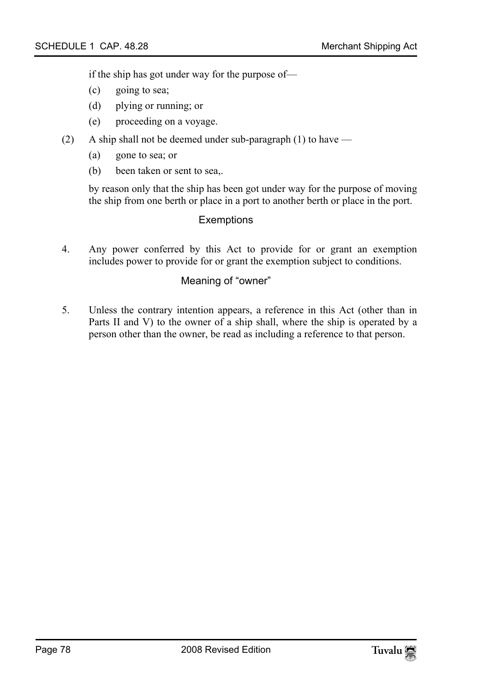if the ship has got under way for the purpose of—

- (c) going to sea;
- (d) plying or running; or
- (e) proceeding on a voyage.
- (2) A ship shall not be deemed under sub-paragraph (1) to have
	- (a) gone to sea; or
	- (b) been taken or sent to sea,.

by reason only that the ship has been got under way for the purpose of moving the ship from one berth or place in a port to another berth or place in the port.

#### **Exemptions**

4. Any power conferred by this Act to provide for or grant an exemption includes power to provide for or grant the exemption subject to conditions.

### Meaning of "owner"

5. Unless the contrary intention appears, a reference in this Act (other than in Parts II and V) to the owner of a ship shall, where the ship is operated by a person other than the owner, be read as including a reference to that person.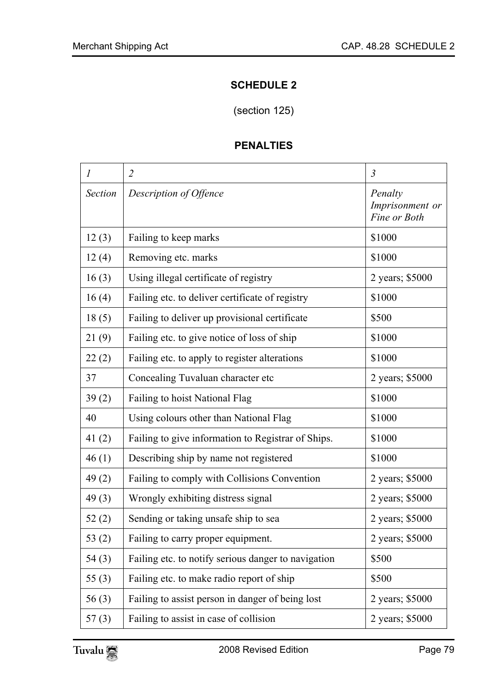## **SCHEDULE 2**

(section 125)

## **PENALTIES**

| $\boldsymbol{l}$ | $\overline{2}$                                      | $\mathfrak{Z}$                             |
|------------------|-----------------------------------------------------|--------------------------------------------|
| Section          | Description of Offence                              | Penalty<br>Imprisonment or<br>Fine or Both |
| 12(3)            | Failing to keep marks                               | \$1000                                     |
| 12(4)            | Removing etc. marks                                 | \$1000                                     |
| 16(3)            | Using illegal certificate of registry               | 2 years; \$5000                            |
| 16(4)            | Failing etc. to deliver certificate of registry     | \$1000                                     |
| 18(5)            | Failing to deliver up provisional certificate       | \$500                                      |
| 21(9)            | Failing etc. to give notice of loss of ship         | \$1000                                     |
| 22(2)            | Failing etc. to apply to register alterations       | \$1000                                     |
| 37               | Concealing Tuvaluan character etc                   | 2 years; \$5000                            |
| 39(2)            | Failing to hoist National Flag                      | \$1000                                     |
| 40               | Using colours other than National Flag              | \$1000                                     |
| 41(2)            | Failing to give information to Registrar of Ships.  | \$1000                                     |
| 46(1)            | Describing ship by name not registered              | \$1000                                     |
| 49(2)            | Failing to comply with Collisions Convention        | 2 years; \$5000                            |
| 49(3)            | Wrongly exhibiting distress signal                  | 2 years; \$5000                            |
| 52(2)            | Sending or taking unsafe ship to sea                | 2 years; \$5000                            |
| 53 $(2)$         | Failing to carry proper equipment.                  | 2 years; \$5000                            |
| 54(3)            | Failing etc. to notify serious danger to navigation | \$500                                      |
| 55(3)            | Failing etc. to make radio report of ship           | \$500                                      |
| 56(3)            | Failing to assist person in danger of being lost    | 2 years; \$5000                            |
| 57(3)            | Failing to assist in case of collision              | 2 years; \$5000                            |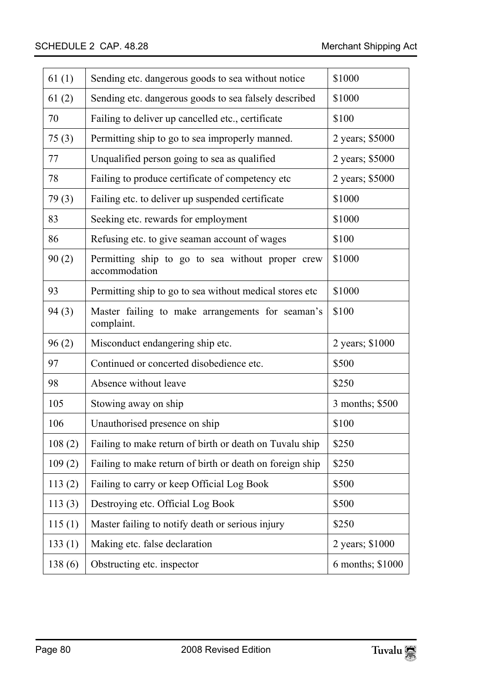| 61(1)  | Sending etc. dangerous goods to sea without notice                | \$1000           |
|--------|-------------------------------------------------------------------|------------------|
| 61(2)  | Sending etc. dangerous goods to sea falsely described             | \$1000           |
| 70     | Failing to deliver up cancelled etc., certificate                 | \$100            |
| 75(3)  | Permitting ship to go to sea improperly manned.                   | 2 years; \$5000  |
| 77     | Unqualified person going to sea as qualified                      | 2 years; \$5000  |
| 78     | Failing to produce certificate of competency etc                  | 2 years; \$5000  |
| 79(3)  | Failing etc. to deliver up suspended certificate                  | \$1000           |
| 83     | Seeking etc. rewards for employment                               | \$1000           |
| 86     | Refusing etc. to give seaman account of wages                     | \$100            |
| 90(2)  | Permitting ship to go to sea without proper crew<br>accommodation | \$1000           |
| 93     | Permitting ship to go to sea without medical stores etc           | \$1000           |
| 94(3)  | Master failing to make arrangements for seaman's<br>complaint.    | \$100            |
| 96(2)  | Misconduct endangering ship etc.                                  | 2 years; \$1000  |
| 97     | Continued or concerted disobedience etc.                          | \$500            |
| 98     | Absence without leave                                             | \$250            |
| 105    | Stowing away on ship                                              | 3 months; \$500  |
| 106    | Unauthorised presence on ship                                     | \$100            |
| 108(2) | Failing to make return of birth or death on Tuvalu ship           | \$250            |
| 109(2) | Failing to make return of birth or death on foreign ship          | \$250            |
| 113(2) | Failing to carry or keep Official Log Book                        | \$500            |
| 113(3) | Destroying etc. Official Log Book                                 | \$500            |
| 115(1) | Master failing to notify death or serious injury                  | \$250            |
| 133(1) | Making etc. false declaration                                     | 2 years; \$1000  |
| 138(6) | Obstructing etc. inspector                                        | 6 months; \$1000 |